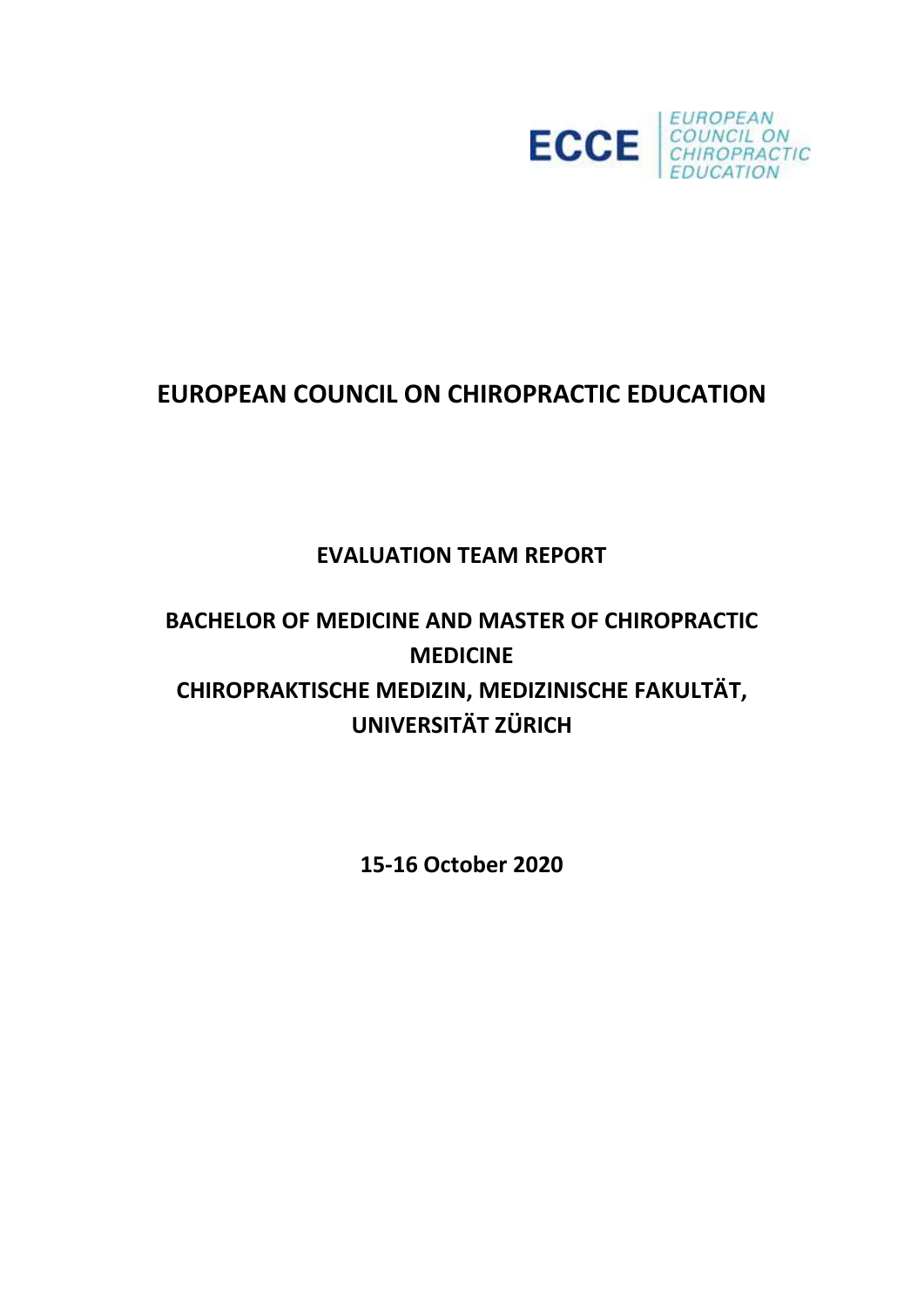

# **EUROPEAN COUNCIL ON CHIROPRACTIC EDUCATION**

# **EVALUATION TEAM REPORT**

# **BACHELOR OF MEDICINE AND MASTER OF CHIROPRACTIC MEDICINE CHIROPRAKTISCHE MEDIZIN, MEDIZINISCHE FAKULTÄT, UNIVERSITÄT ZÜRICH**

**15-16 October 2020**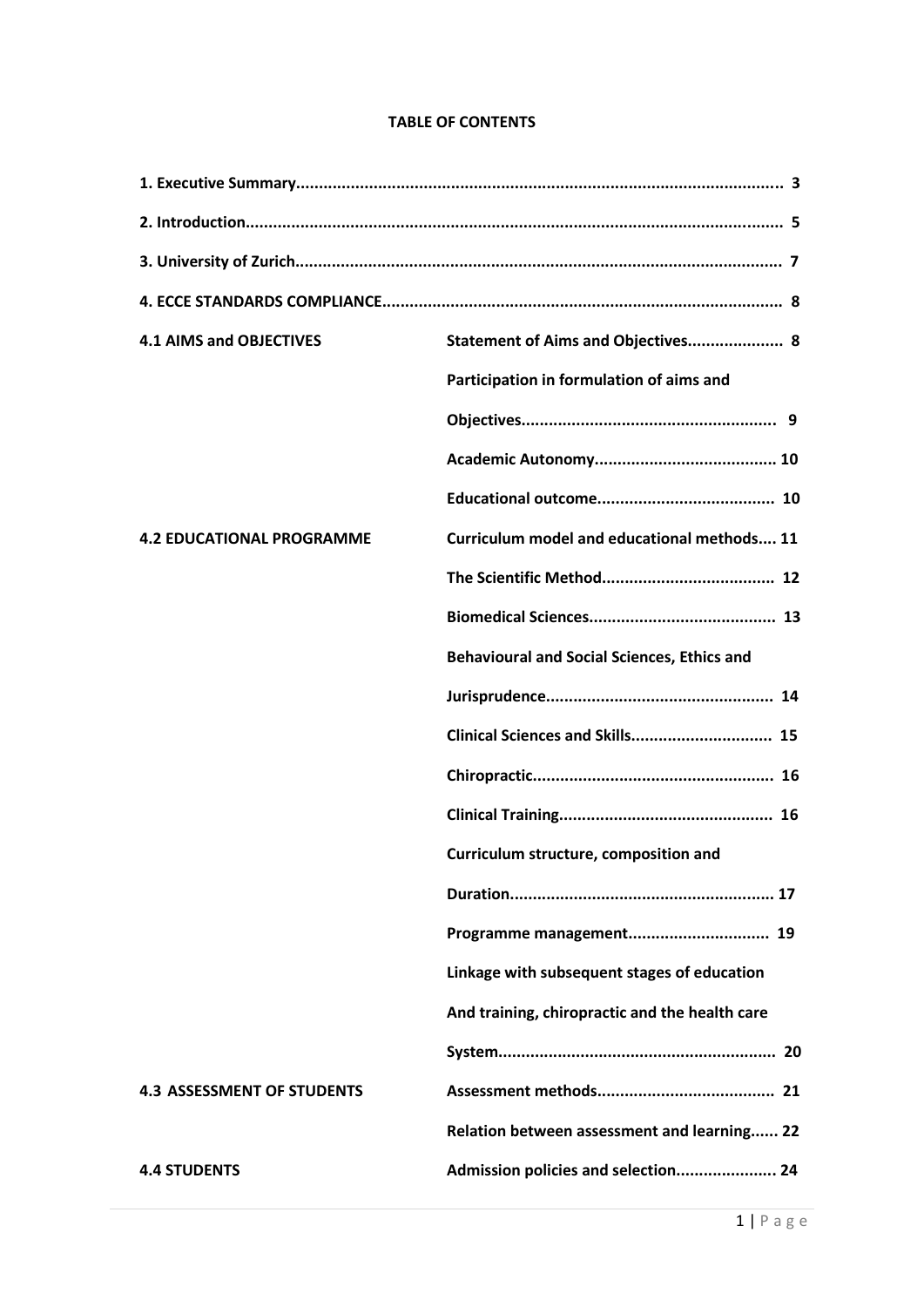# **TABLE OF CONTENTS**

| <b>4.1 AIMS and OBJECTIVES</b>    | Statement of Aims and Objectives 8                 |
|-----------------------------------|----------------------------------------------------|
|                                   | Participation in formulation of aims and           |
|                                   |                                                    |
|                                   |                                                    |
|                                   |                                                    |
| <b>4.2 EDUCATIONAL PROGRAMME</b>  | Curriculum model and educational methods 11        |
|                                   |                                                    |
|                                   |                                                    |
|                                   | <b>Behavioural and Social Sciences, Ethics and</b> |
|                                   |                                                    |
|                                   |                                                    |
|                                   |                                                    |
|                                   |                                                    |
|                                   | Curriculum structure, composition and              |
|                                   |                                                    |
|                                   |                                                    |
|                                   | Linkage with subsequent stages of education        |
|                                   | And training, chiropractic and the health care     |
|                                   |                                                    |
| <b>4.3 ASSESSMENT OF STUDENTS</b> |                                                    |
|                                   | Relation between assessment and learning 22        |
| <b>4.4 STUDENTS</b>               | Admission policies and selection 24                |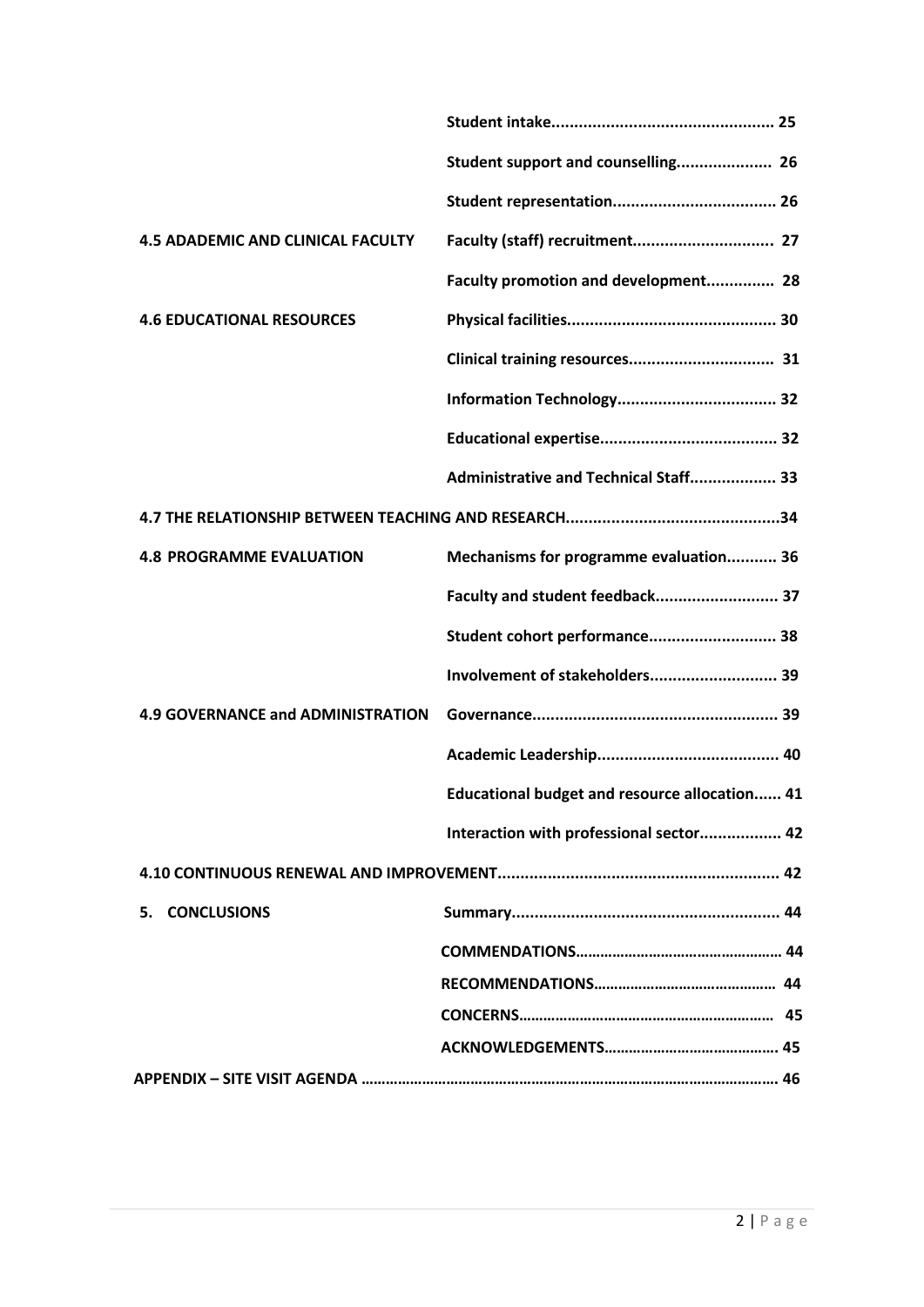|                                          | Student support and counselling 26                   |
|------------------------------------------|------------------------------------------------------|
|                                          |                                                      |
| <b>4.5 ADADEMIC AND CLINICAL FACULTY</b> |                                                      |
|                                          | Faculty promotion and development 28                 |
| <b>4.6 EDUCATIONAL RESOURCES</b>         |                                                      |
|                                          |                                                      |
|                                          |                                                      |
|                                          |                                                      |
|                                          | Administrative and Technical Staff 33                |
|                                          |                                                      |
| <b>4.8 PROGRAMME EVALUATION</b>          | Mechanisms for programme evaluation 36               |
|                                          | Faculty and student feedback 37                      |
|                                          | Student cohort performance 38                        |
|                                          | Involvement of stakeholders 39                       |
| <b>4.9 GOVERNANCE and ADMINISTRATION</b> |                                                      |
|                                          |                                                      |
|                                          | <b>Educational budget and resource allocation 41</b> |
|                                          | Interaction with professional sector 42              |
|                                          |                                                      |
| 5. CONCLUSIONS                           |                                                      |
|                                          |                                                      |
|                                          |                                                      |
|                                          |                                                      |
|                                          |                                                      |
|                                          |                                                      |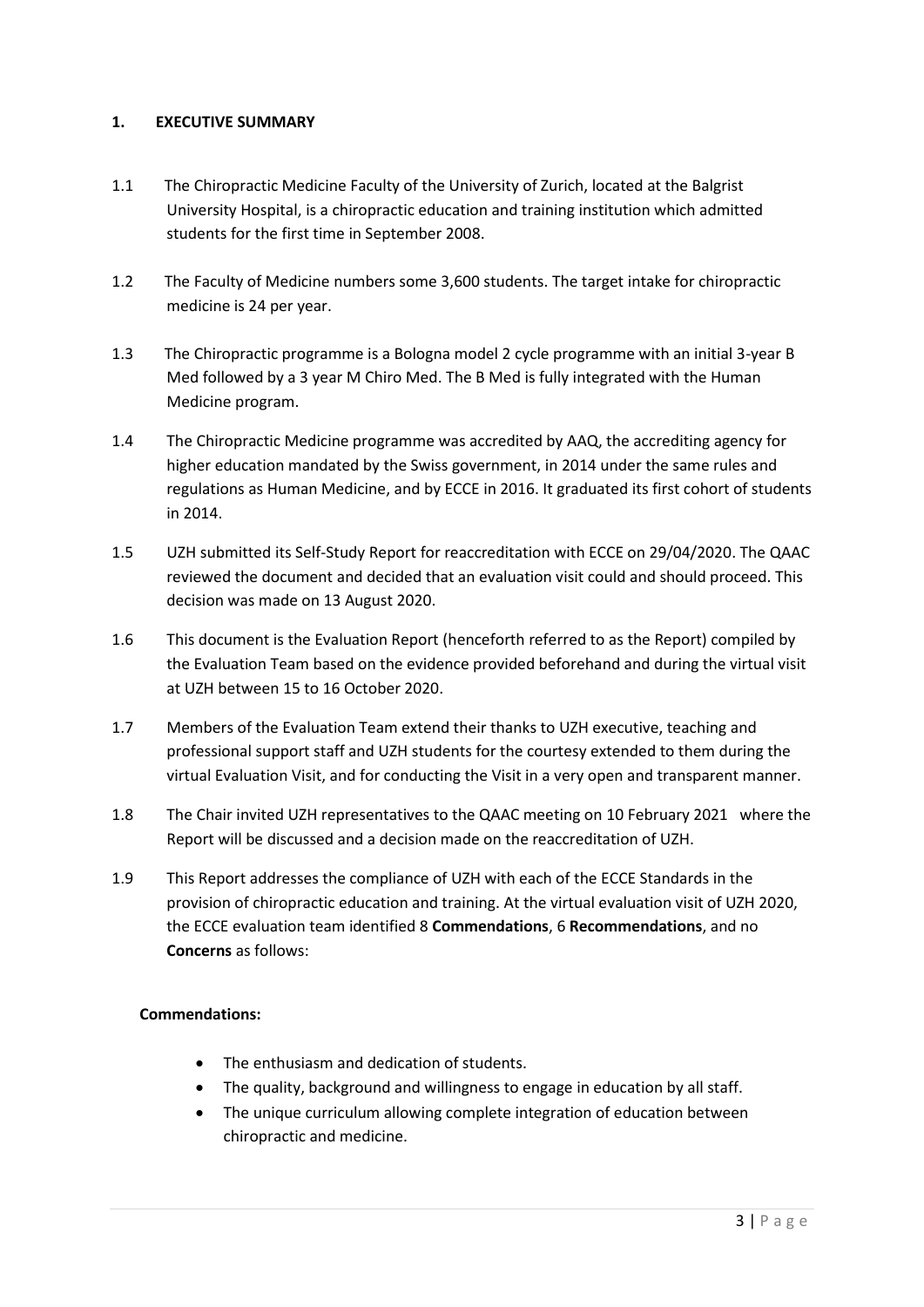# **1. EXECUTIVE SUMMARY**

- 1.1 The Chiropractic Medicine Faculty of the University of Zurich, located at the Balgrist University Hospital, is a chiropractic education and training institution which admitted students for the first time in September 2008.
- 1.2 The Faculty of Medicine numbers some 3,600 students. The target intake for chiropractic medicine is 24 per year.
- 1.3 The Chiropractic programme is a Bologna model 2 cycle programme with an initial 3-year B Med followed by a 3 year M Chiro Med. The B Med is fully integrated with the Human Medicine program.
- 1.4 The Chiropractic Medicine programme was accredited by AAQ, the accrediting agency for higher education mandated by the Swiss government, in 2014 under the same rules and regulations as Human Medicine, and by ECCE in 2016. It graduated its first cohort of students in 2014.
- 1.5 UZH submitted its Self-Study Report for reaccreditation with ECCE on 29/04/2020. The QAAC reviewed the document and decided that an evaluation visit could and should proceed. This decision was made on 13 August 2020.
- 1.6 This document is the Evaluation Report (henceforth referred to as the Report) compiled by the Evaluation Team based on the evidence provided beforehand and during the virtual visit at UZH between 15 to 16 October 2020.
- 1.7 Members of the Evaluation Team extend their thanks to UZH executive, teaching and professional support staff and UZH students for the courtesy extended to them during the virtual Evaluation Visit, and for conducting the Visit in a very open and transparent manner.
- 1.8 The Chair invited UZH representatives to the QAAC meeting on 10 February 2021 where the Report will be discussed and a decision made on the reaccreditation of UZH.
- 1.9 This Report addresses the compliance of UZH with each of the ECCE Standards in the provision of chiropractic education and training. At the virtual evaluation visit of UZH 2020, the ECCE evaluation team identified 8 **Commendations**, 6 **Recommendations**, and no **Concerns** as follows:

### **Commendations:**

- The enthusiasm and dedication of students.
- The quality, background and willingness to engage in education by all staff.
- The unique curriculum allowing complete integration of education between chiropractic and medicine.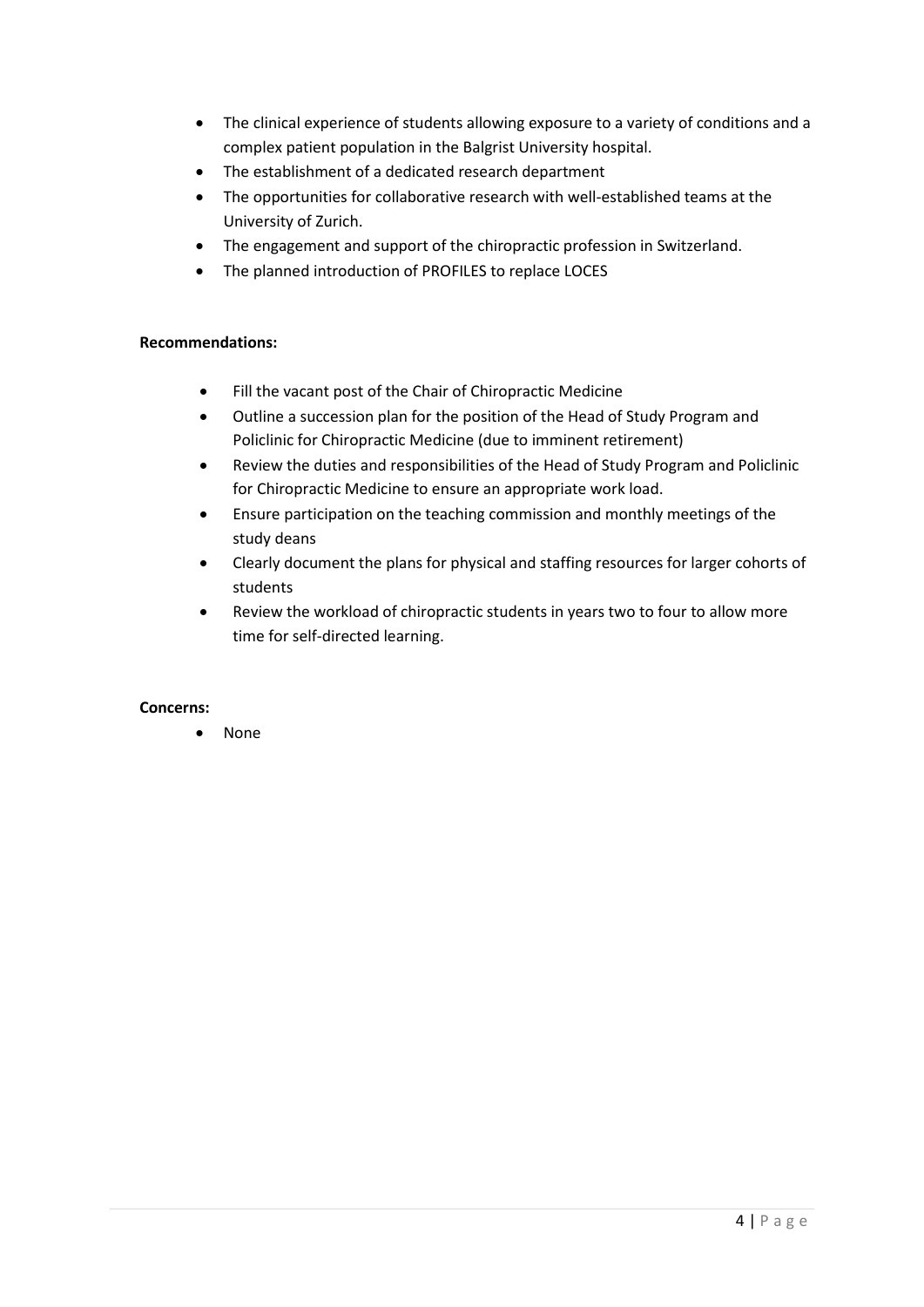- The clinical experience of students allowing exposure to a variety of conditions and a complex patient population in the Balgrist University hospital.
- The establishment of a dedicated research department
- The opportunities for collaborative research with well-established teams at the University of Zurich.
- The engagement and support of the chiropractic profession in Switzerland.
- The planned introduction of PROFILES to replace LOCES

# **Recommendations:**

- Fill the vacant post of the Chair of Chiropractic Medicine
- Outline a succession plan for the position of the Head of Study Program and Policlinic for Chiropractic Medicine (due to imminent retirement)
- Review the duties and responsibilities of the Head of Study Program and Policlinic for Chiropractic Medicine to ensure an appropriate work load.
- Ensure participation on the teaching commission and monthly meetings of the study deans
- Clearly document the plans for physical and staffing resources for larger cohorts of students
- Review the workload of chiropractic students in years two to four to allow more time for self-directed learning.

# **Concerns:**

• None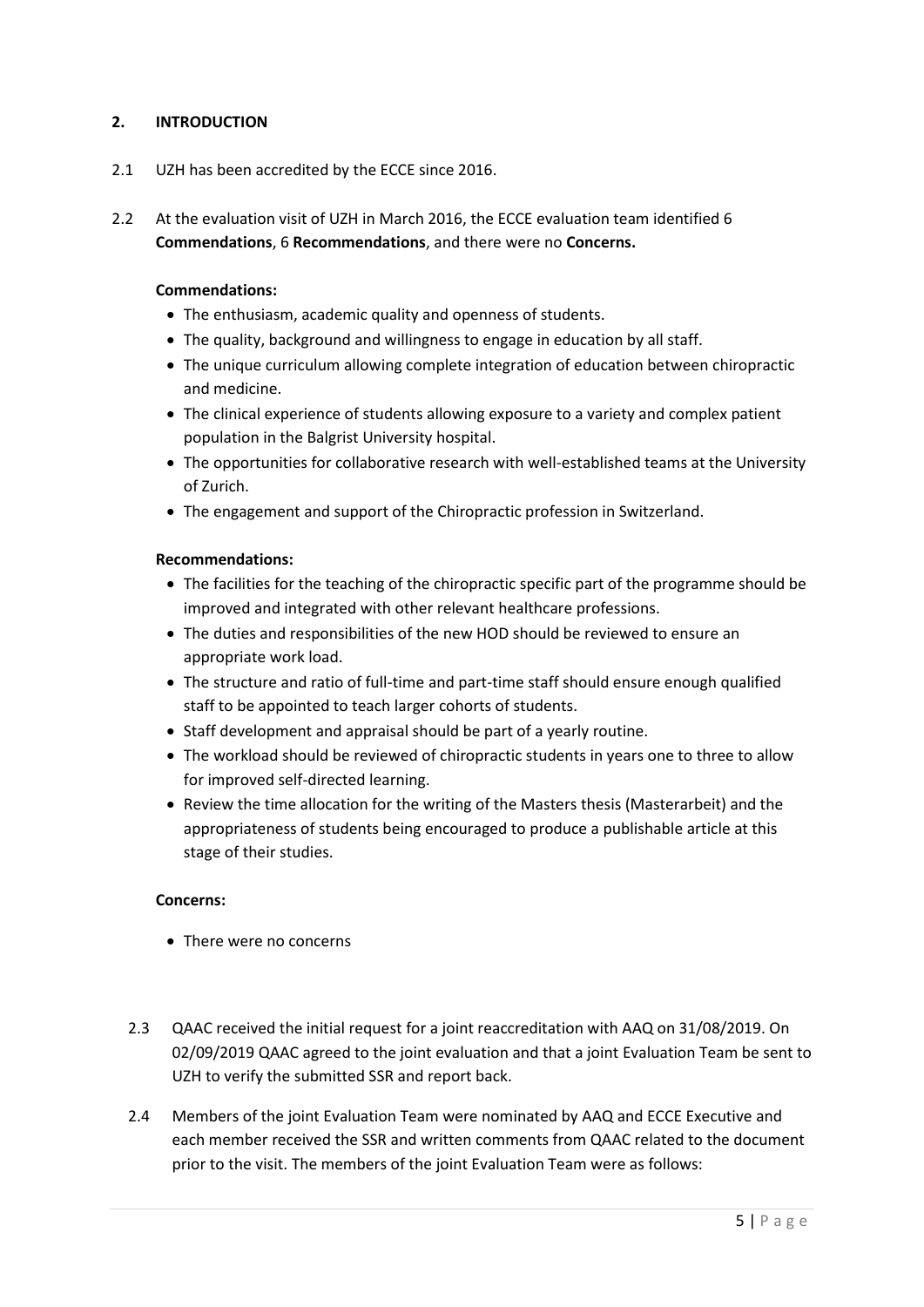# **2. INTRODUCTION**

- 2.1 UZH has been accredited by the ECCE since 2016.
- 2.2 At the evaluation visit of UZH in March 2016, the ECCE evaluation team identified 6 **Commendations**, 6 **Recommendations**, and there were no **Concerns.**

### **Commendations:**

- The enthusiasm, academic quality and openness of students.
- The quality, background and willingness to engage in education by all staff.
- The unique curriculum allowing complete integration of education between chiropractic and medicine.
- The clinical experience of students allowing exposure to a variety and complex patient population in the Balgrist University hospital.
- The opportunities for collaborative research with well-established teams at the University of Zurich.
- The engagement and support of the Chiropractic profession in Switzerland.

### **Recommendations:**

- The facilities for the teaching of the chiropractic specific part of the programme should be improved and integrated with other relevant healthcare professions.
- The duties and responsibilities of the new HOD should be reviewed to ensure an appropriate work load.
- The structure and ratio of full-time and part-time staff should ensure enough qualified staff to be appointed to teach larger cohorts of students.
- Staff development and appraisal should be part of a yearly routine.
- The workload should be reviewed of chiropractic students in years one to three to allow for improved self-directed learning.
- Review the time allocation for the writing of the Masters thesis (Masterarbeit) and the appropriateness of students being encouraged to produce a publishable article at this stage of their studies.

### **Concerns:**

- There were no concerns
- 2.3 QAAC received the initial request for a joint reaccreditation with AAQ on 31/08/2019. On 02/09/2019 QAAC agreed to the joint evaluation and that a joint Evaluation Team be sent to UZH to verify the submitted SSR and report back.
- 2.4 Members of the joint Evaluation Team were nominated by AAQ and ECCE Executive and each member received the SSR and written comments from QAAC related to the document prior to the visit. The members of the joint Evaluation Team were as follows: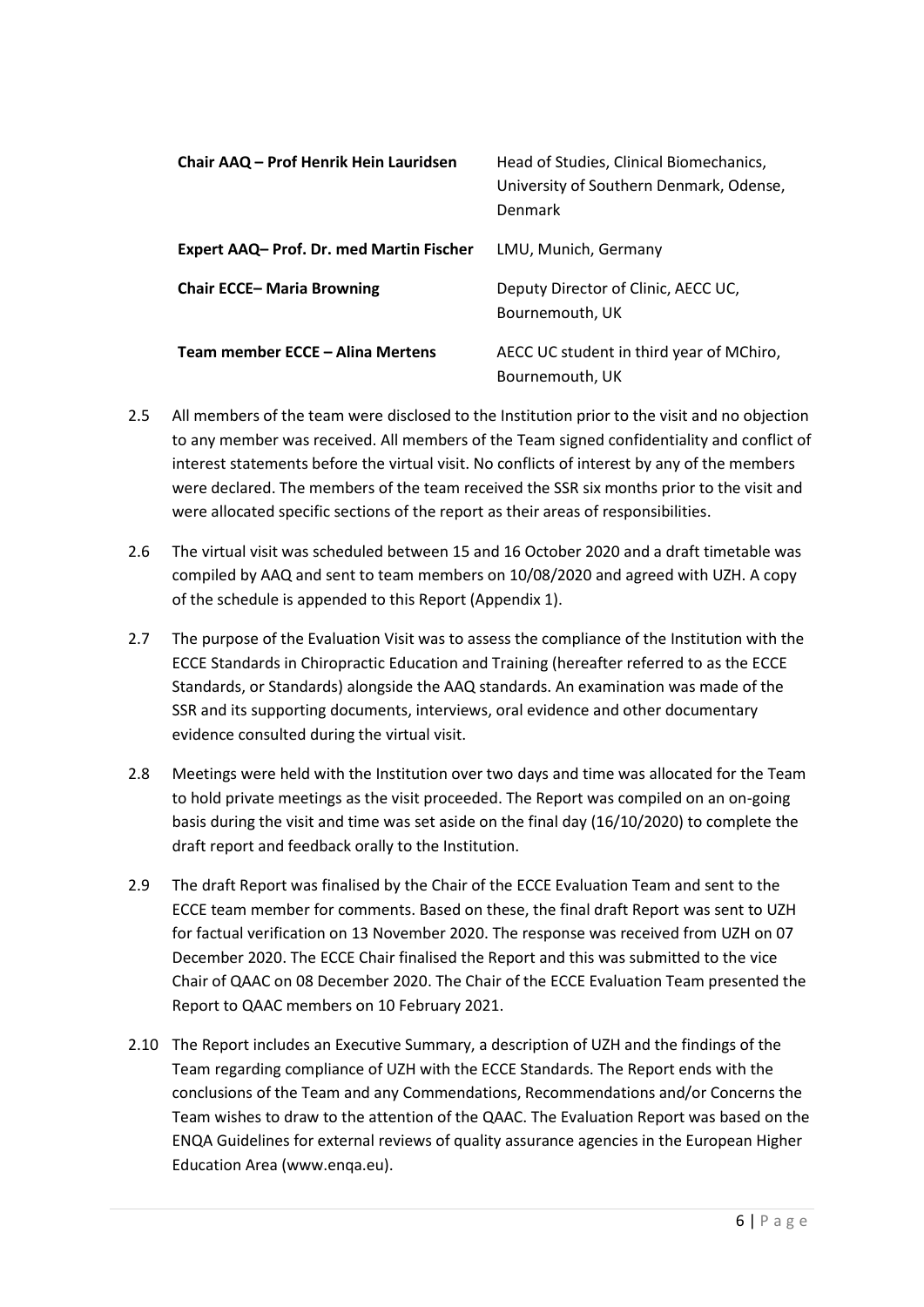| Chair AAQ – Prof Henrik Hein Lauridsen         | Head of Studies, Clinical Biomechanics,<br>University of Southern Denmark, Odense,<br>Denmark |
|------------------------------------------------|-----------------------------------------------------------------------------------------------|
| <b>Expert AAQ-Prof. Dr. med Martin Fischer</b> | LMU, Munich, Germany                                                                          |
| <b>Chair ECCE-Maria Browning</b>               | Deputy Director of Clinic, AECC UC,<br>Bournemouth, UK                                        |
| Team member ECCE – Alina Mertens               | AECC UC student in third year of MChiro,<br>Bournemouth, UK                                   |

- 2.5 All members of the team were disclosed to the Institution prior to the visit and no objection to any member was received. All members of the Team signed confidentiality and conflict of interest statements before the virtual visit. No conflicts of interest by any of the members were declared. The members of the team received the SSR six months prior to the visit and were allocated specific sections of the report as their areas of responsibilities.
- 2.6 The virtual visit was scheduled between 15 and 16 October 2020 and a draft timetable was compiled by AAQ and sent to team members on 10/08/2020 and agreed with UZH. A copy of the schedule is appended to this Report (Appendix 1).
- 2.7 The purpose of the Evaluation Visit was to assess the compliance of the Institution with the ECCE Standards in Chiropractic Education and Training (hereafter referred to as the ECCE Standards, or Standards) alongside the AAQ standards. An examination was made of the SSR and its supporting documents, interviews, oral evidence and other documentary evidence consulted during the virtual visit.
- 2.8 Meetings were held with the Institution over two days and time was allocated for the Team to hold private meetings as the visit proceeded. The Report was compiled on an on-going basis during the visit and time was set aside on the final day (16/10/2020) to complete the draft report and feedback orally to the Institution.
- 2.9 The draft Report was finalised by the Chair of the ECCE Evaluation Team and sent to the ECCE team member for comments. Based on these, the final draft Report was sent to UZH for factual verification on 13 November 2020. The response was received from UZH on 07 December 2020. The ECCE Chair finalised the Report and this was submitted to the vice Chair of QAAC on 08 December 2020. The Chair of the ECCE Evaluation Team presented the Report to QAAC members on 10 February 2021.
- 2.10 The Report includes an Executive Summary, a description of UZH and the findings of the Team regarding compliance of UZH with the ECCE Standards. The Report ends with the conclusions of the Team and any Commendations, Recommendations and/or Concerns the Team wishes to draw to the attention of the QAAC. The Evaluation Report was based on the ENQA Guidelines for external reviews of quality assurance agencies in the European Higher Education Area (www.enqa.eu).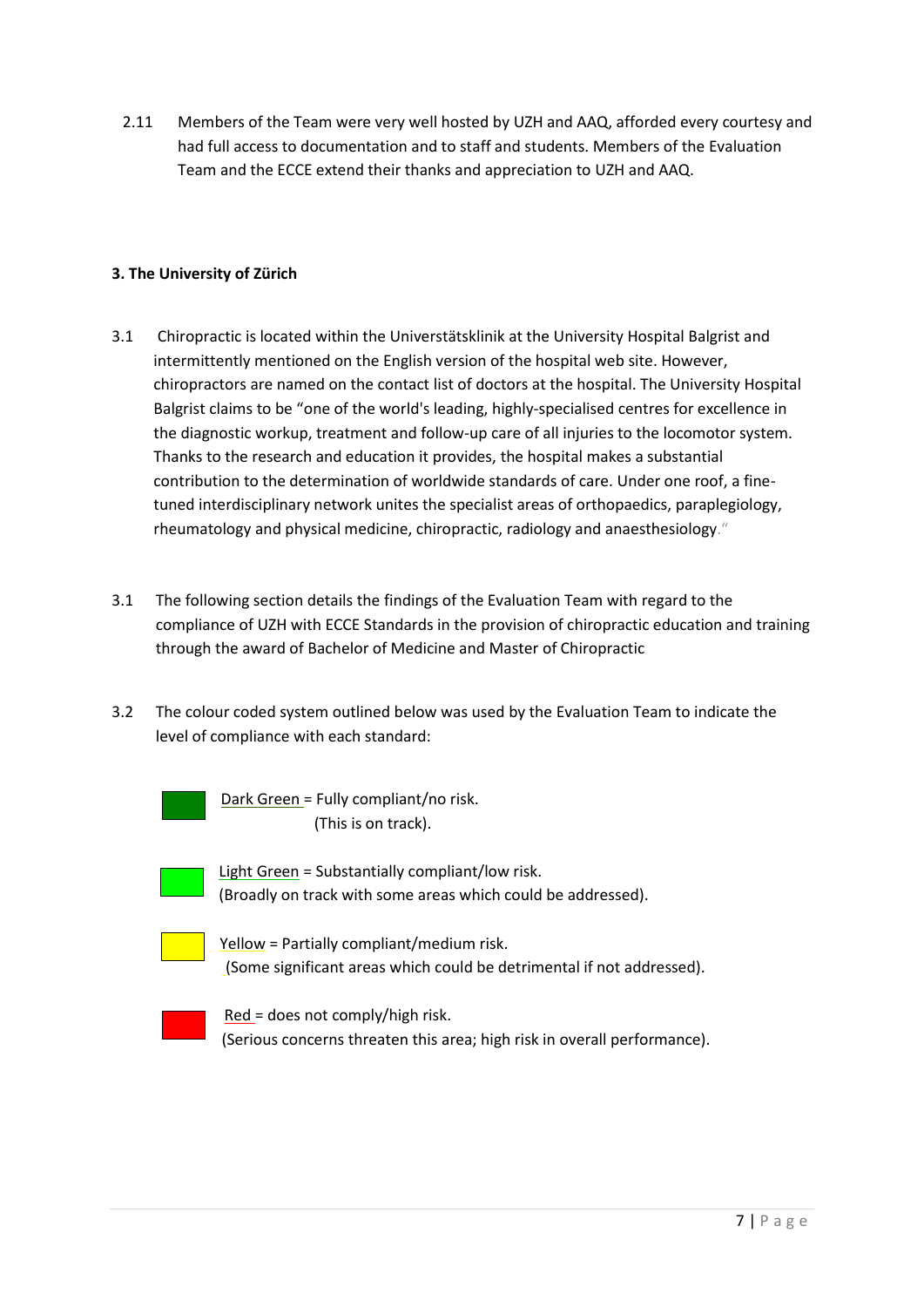2.11 Members of the Team were very well hosted by UZH and AAQ, afforded every courtesy and had full access to documentation and to staff and students. Members of the Evaluation Team and the ECCE extend their thanks and appreciation to UZH and AAQ.

# **3. The University of Zürich**

- 3.1 Chiropractic is located within the Universtätsklinik at the University Hospital Balgrist and intermittently mentioned on the English version of the hospital web site. However, chiropractors are named on the contact list of doctors at the hospital. The University Hospital Balgrist claims to be "one of the world's leading, highly-specialised centres for excellence in the diagnostic workup, treatment and follow-up care of all injuries to the locomotor system. Thanks to the research and education it provides, the hospital makes a substantial contribution to the determination of worldwide standards of care. Under one roof, a finetuned interdisciplinary network unites the specialist areas of orthopaedics, paraplegiology, rheumatology and physical medicine, chiropractic, radiology and anaesthesiology."
- 3.1 The following section details the findings of the Evaluation Team with regard to the compliance of UZH with ECCE Standards in the provision of chiropractic education and training through the award of Bachelor of Medicine and Master of Chiropractic
- 3.2 The colour coded system outlined below was used by the Evaluation Team to indicate the level of compliance with each standard:



 Dark Green = Fully compliant/no risk. (This is on track).

Light Green = Substantially compliant/low risk. (Broadly on track with some areas which could be addressed).

|  |  | - 1 |  |
|--|--|-----|--|
|  |  |     |  |

Yellow = Partially compliant/medium risk. (Some significant areas which could be detrimental if not addressed).



Red = does not comply/high risk. (Serious concerns threaten this area; high risk in overall performance).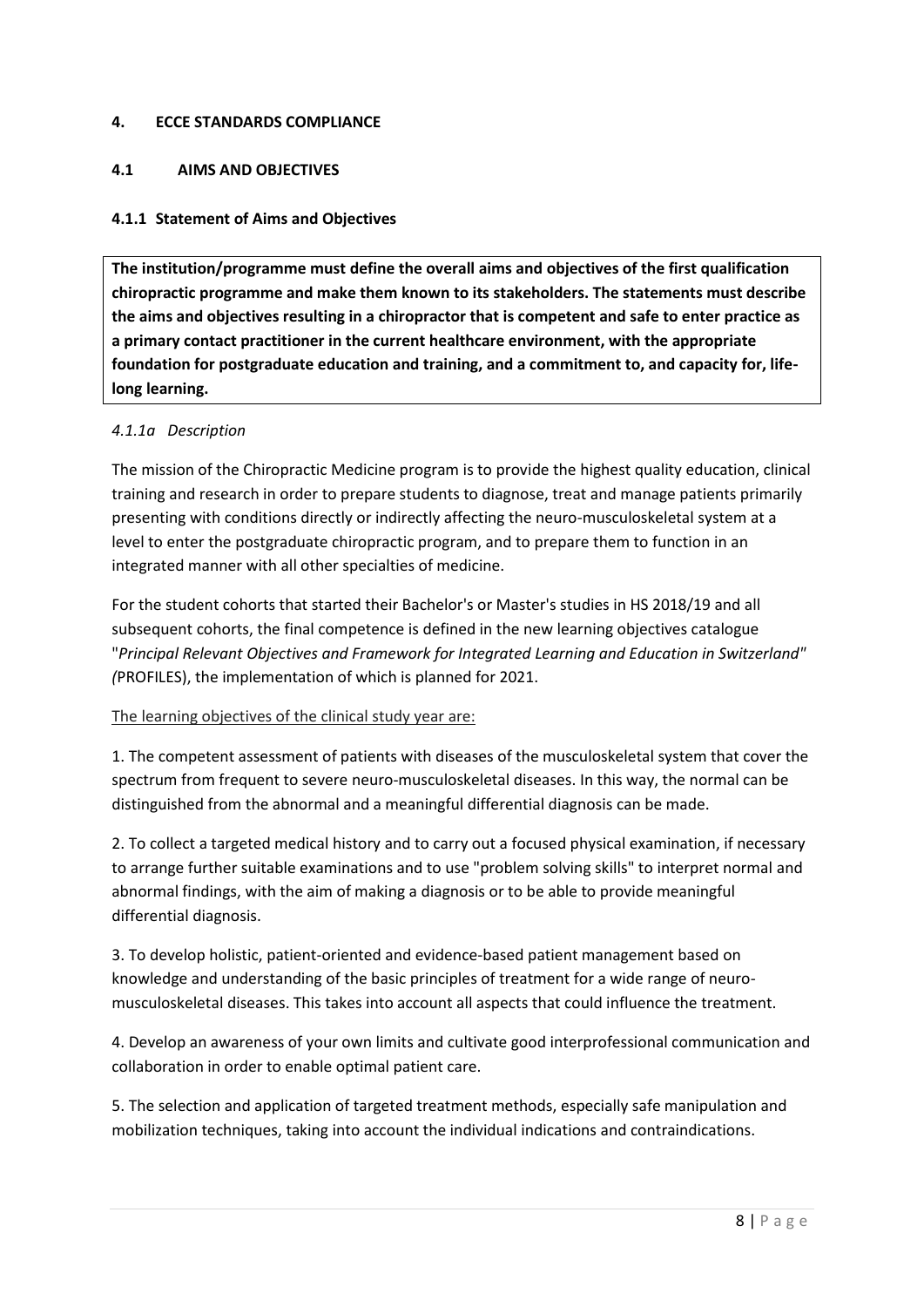### **4. ECCE STANDARDS COMPLIANCE**

# **4.1 AIMS AND OBJECTIVES**

## **4.1.1 Statement of Aims and Objectives**

**The institution/programme must define the overall aims and objectives of the first qualification chiropractic programme and make them known to its stakeholders. The statements must describe the aims and objectives resulting in a chiropractor that is competent and safe to enter practice as a primary contact practitioner in the current healthcare environment, with the appropriate foundation for postgraduate education and training, and a commitment to, and capacity for, lifelong learning.**

## *4.1.1a Description*

The mission of the Chiropractic Medicine program is to provide the highest quality education, clinical training and research in order to prepare students to diagnose, treat and manage patients primarily presenting with conditions directly or indirectly affecting the neuro-musculoskeletal system at a level to enter the postgraduate chiropractic program, and to prepare them to function in an integrated manner with all other specialties of medicine.

For the student cohorts that started their Bachelor's or Master's studies in HS 2018/19 and all subsequent cohorts, the final competence is defined in the new learning objectives catalogue "*Principal Relevant Objectives and Framework for Integrated Learning and Education in Switzerland" (*PROFILES), the implementation of which is planned for 2021.

### The learning objectives of the clinical study year are:

1. The competent assessment of patients with diseases of the musculoskeletal system that cover the spectrum from frequent to severe neuro-musculoskeletal diseases. In this way, the normal can be distinguished from the abnormal and a meaningful differential diagnosis can be made.

2. To collect a targeted medical history and to carry out a focused physical examination, if necessary to arrange further suitable examinations and to use "problem solving skills" to interpret normal and abnormal findings, with the aim of making a diagnosis or to be able to provide meaningful differential diagnosis.

3. To develop holistic, patient-oriented and evidence-based patient management based on knowledge and understanding of the basic principles of treatment for a wide range of neuromusculoskeletal diseases. This takes into account all aspects that could influence the treatment.

4. Develop an awareness of your own limits and cultivate good interprofessional communication and collaboration in order to enable optimal patient care.

5. The selection and application of targeted treatment methods, especially safe manipulation and mobilization techniques, taking into account the individual indications and contraindications.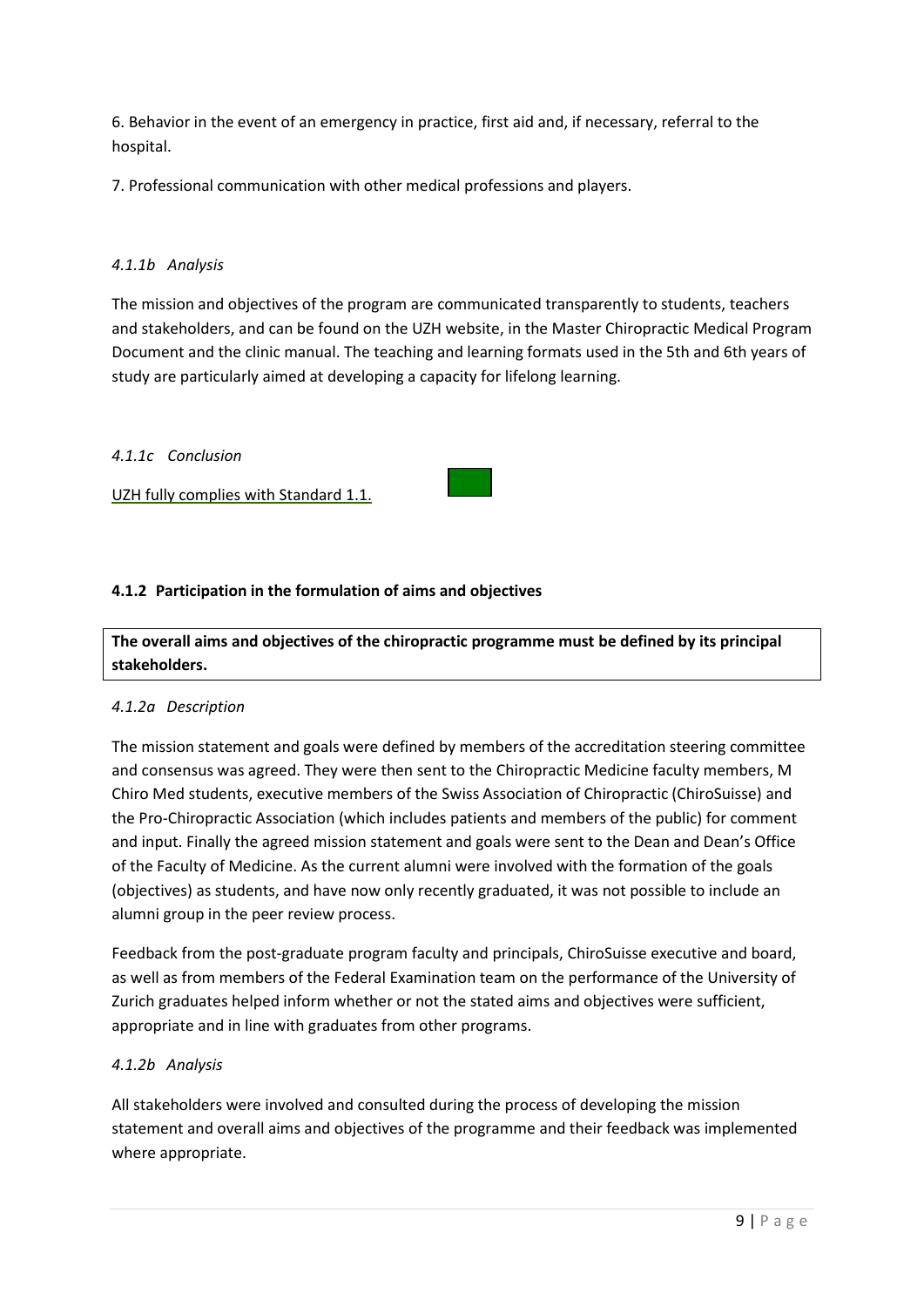6. Behavior in the event of an emergency in practice, first aid and, if necessary, referral to the hospital.

7. Professional communication with other medical professions and players.

## *4.1.1b Analysis*

The mission and objectives of the program are communicated transparently to students, teachers and stakeholders, and can be found on the UZH website, in the Master Chiropractic Medical Program Document and the clinic manual. The teaching and learning formats used in the 5th and 6th years of study are particularly aimed at developing a capacity for lifelong learning.

### *4.1.1c Conclusion*

UZH fully complies with Standard 1.1.

## **4.1.2 Participation in the formulation of aims and objectives**

**The overall aims and objectives of the chiropractic programme must be defined by its principal stakeholders.**

### *4.1.2a Description*

The mission statement and goals were defined by members of the accreditation steering committee and consensus was agreed. They were then sent to the Chiropractic Medicine faculty members, M Chiro Med students, executive members of the Swiss Association of Chiropractic (ChiroSuisse) and the Pro-Chiropractic Association (which includes patients and members of the public) for comment and input. Finally the agreed mission statement and goals were sent to the Dean and Dean's Office of the Faculty of Medicine. As the current alumni were involved with the formation of the goals (objectives) as students, and have now only recently graduated, it was not possible to include an alumni group in the peer review process.

Feedback from the post-graduate program faculty and principals, ChiroSuisse executive and board, as well as from members of the Federal Examination team on the performance of the University of Zurich graduates helped inform whether or not the stated aims and objectives were sufficient, appropriate and in line with graduates from other programs.

### *4.1.2b Analysis*

All stakeholders were involved and consulted during the process of developing the mission statement and overall aims and objectives of the programme and their feedback was implemented where appropriate.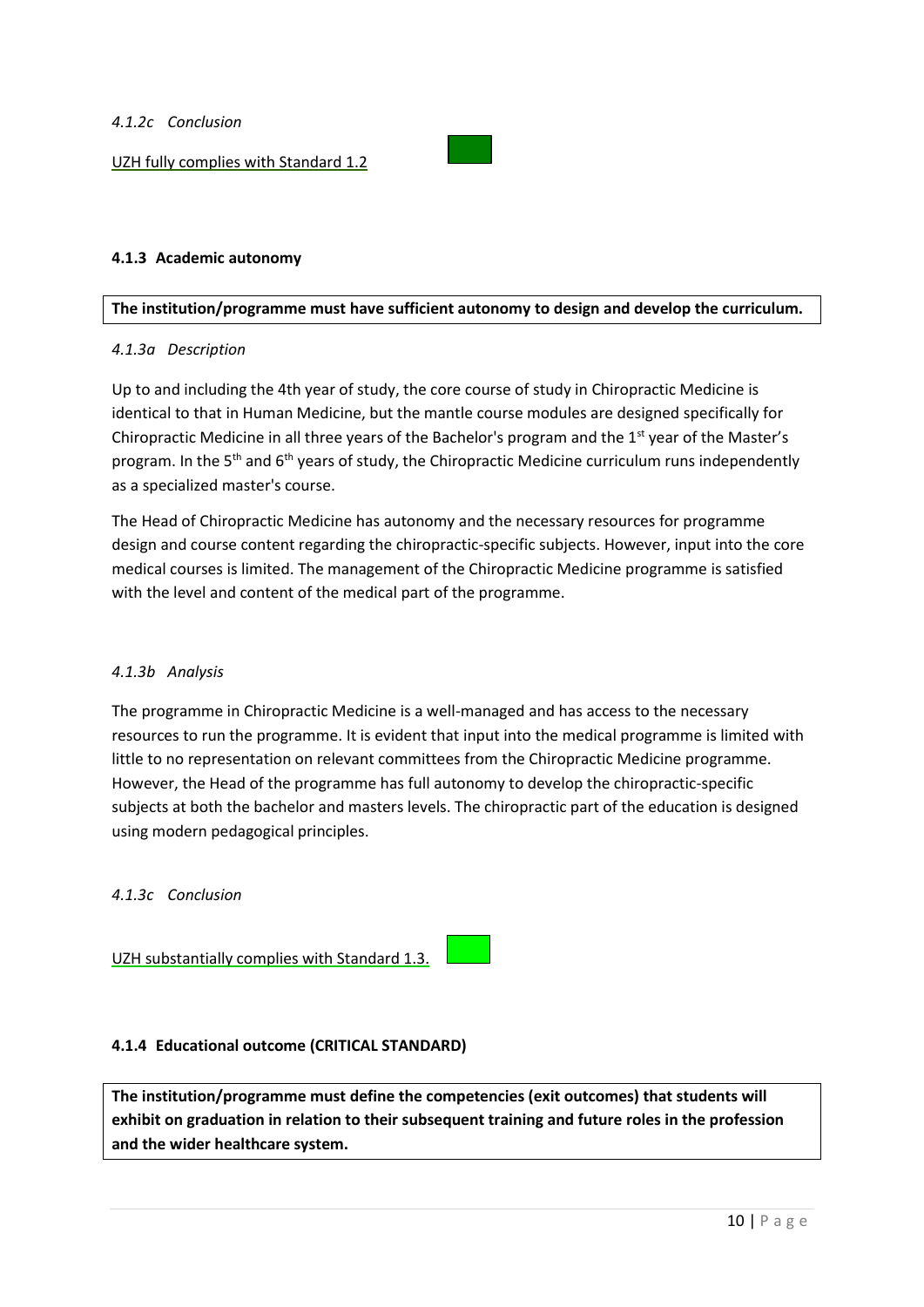UZH fully complies with Standard 1.2



## **4.1.3 Academic autonomy**

### **The institution/programme must have sufficient autonomy to design and develop the curriculum.**

### *4.1.3a Description*

Up to and including the 4th year of study, the core course of study in Chiropractic Medicine is identical to that in Human Medicine, but the mantle course modules are designed specifically for Chiropractic Medicine in all three years of the Bachelor's program and the  $1<sup>st</sup>$  year of the Master's program. In the 5<sup>th</sup> and 6<sup>th</sup> years of study, the Chiropractic Medicine curriculum runs independently as a specialized master's course.

The Head of Chiropractic Medicine has autonomy and the necessary resources for programme design and course content regarding the chiropractic-specific subjects. However, input into the core medical courses is limited. The management of the Chiropractic Medicine programme is satisfied with the level and content of the medical part of the programme.

### *4.1.3b Analysis*

The programme in Chiropractic Medicine is a well-managed and has access to the necessary resources to run the programme. It is evident that input into the medical programme is limited with little to no representation on relevant committees from the Chiropractic Medicine programme. However, the Head of the programme has full autonomy to develop the chiropractic-specific subjects at both the bachelor and masters levels. The chiropractic part of the education is designed using modern pedagogical principles.

*4.1.3c Conclusion*

UZH substantially complies with Standard 1.3.

### **4.1.4 Educational outcome (CRITICAL STANDARD)**

**The institution/programme must define the competencies (exit outcomes) that students will exhibit on graduation in relation to their subsequent training and future roles in the profession and the wider healthcare system.**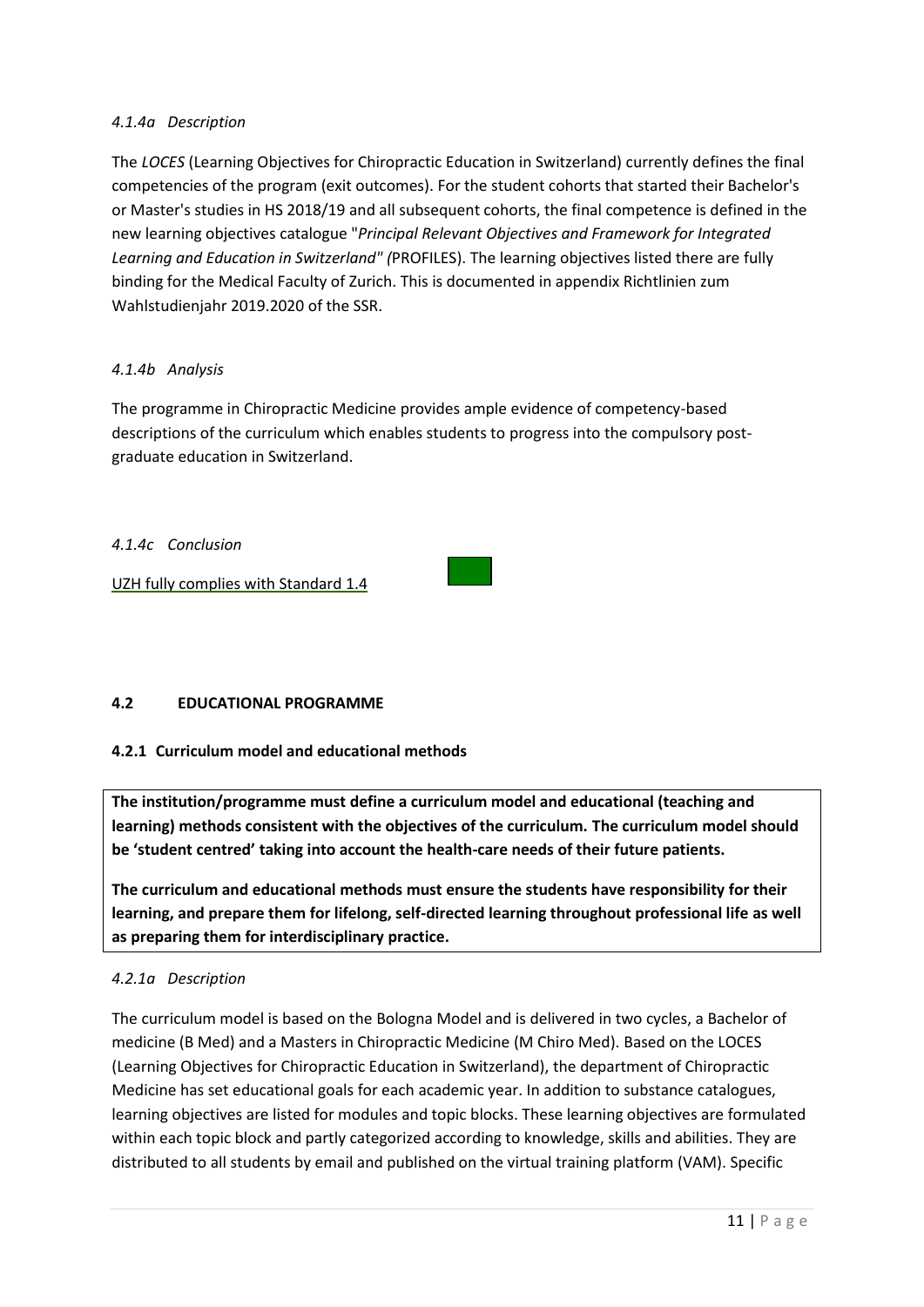# *4.1.4a Description*

The *LOCES* (Learning Objectives for Chiropractic Education in Switzerland) currently defines the final competencies of the program (exit outcomes). For the student cohorts that started their Bachelor's or Master's studies in HS 2018/19 and all subsequent cohorts, the final competence is defined in the new learning objectives catalogue "*Principal Relevant Objectives and Framework for Integrated Learning and Education in Switzerland" (*PROFILES). The learning objectives listed there are fully binding for the Medical Faculty of Zurich. This is documented in appendix Richtlinien zum Wahlstudienjahr 2019.2020 of the SSR.

## *4.1.4b Analysis*

The programme in Chiropractic Medicine provides ample evidence of competency-based descriptions of the curriculum which enables students to progress into the compulsory postgraduate education in Switzerland.

## *4.1.4c Conclusion*

UZH fully complies with Standard 1.4

# **4.2 EDUCATIONAL PROGRAMME**

### **4.2.1 Curriculum model and educational methods**

**The institution/programme must define a curriculum model and educational (teaching and learning) methods consistent with the objectives of the curriculum. The curriculum model should be 'student centred' taking into account the health-care needs of their future patients.**

**The curriculum and educational methods must ensure the students have responsibility for their learning, and prepare them for lifelong, self-directed learning throughout professional life as well as preparing them for interdisciplinary practice.**

### *4.2.1a Description*

The curriculum model is based on the Bologna Model and is delivered in two cycles, a Bachelor of medicine (B Med) and a Masters in Chiropractic Medicine (M Chiro Med). Based on the LOCES (Learning Objectives for Chiropractic Education in Switzerland), the department of Chiropractic Medicine has set educational goals for each academic year. In addition to substance catalogues, learning objectives are listed for modules and topic blocks. These learning objectives are formulated within each topic block and partly categorized according to knowledge, skills and abilities. They are distributed to all students by email and published on the virtual training platform (VAM). Specific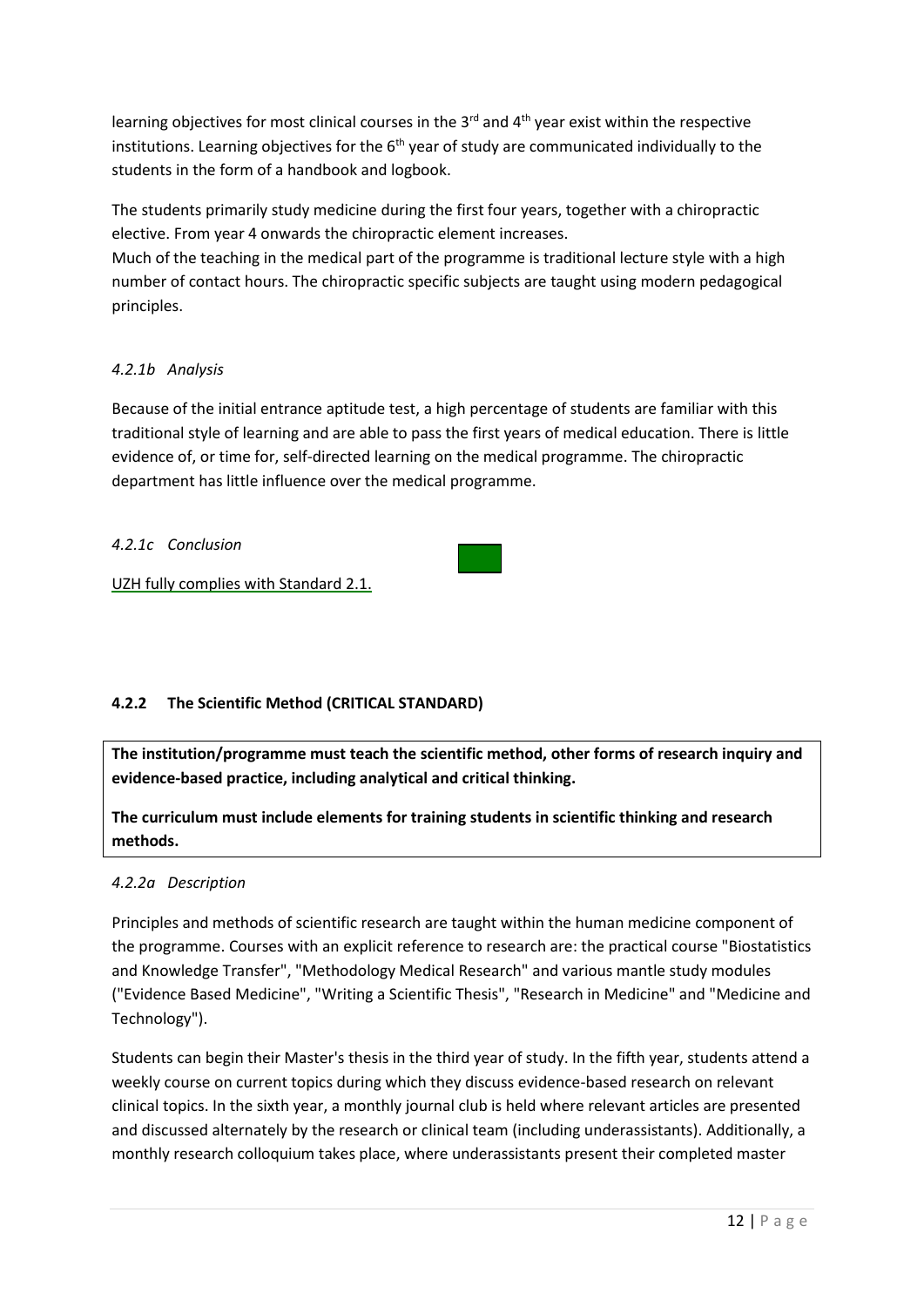learning objectives for most clinical courses in the 3 $^{\text{rd}}$  and 4<sup>th</sup> year exist within the respective institutions. Learning objectives for the 6<sup>th</sup> year of study are communicated individually to the students in the form of a handbook and logbook.

The students primarily study medicine during the first four years, together with a chiropractic elective. From year 4 onwards the chiropractic element increases.

Much of the teaching in the medical part of the programme is traditional lecture style with a high number of contact hours. The chiropractic specific subjects are taught using modern pedagogical principles.

# *4.2.1b Analysis*

Because of the initial entrance aptitude test, a high percentage of students are familiar with this traditional style of learning and are able to pass the first years of medical education. There is little evidence of, or time for, self-directed learning on the medical programme. The chiropractic department has little influence over the medical programme.

*4.2.1c Conclusion*

UZH fully complies with Standard 2.1.

# **4.2.2 The Scientific Method (CRITICAL STANDARD)**

**The institution/programme must teach the scientific method, other forms of research inquiry and evidence-based practice, including analytical and critical thinking.**

**The curriculum must include elements for training students in scientific thinking and research methods.**

# *4.2.2a Description*

Principles and methods of scientific research are taught within the human medicine component of the programme. Courses with an explicit reference to research are: the practical course "Biostatistics and Knowledge Transfer", "Methodology Medical Research" and various mantle study modules ("Evidence Based Medicine", "Writing a Scientific Thesis", "Research in Medicine" and "Medicine and Technology").

Students can begin their Master's thesis in the third year of study. In the fifth year, students attend a weekly course on current topics during which they discuss evidence-based research on relevant clinical topics. In the sixth year, a monthly journal club is held where relevant articles are presented and discussed alternately by the research or clinical team (including underassistants). Additionally, a monthly research colloquium takes place, where underassistants present their completed master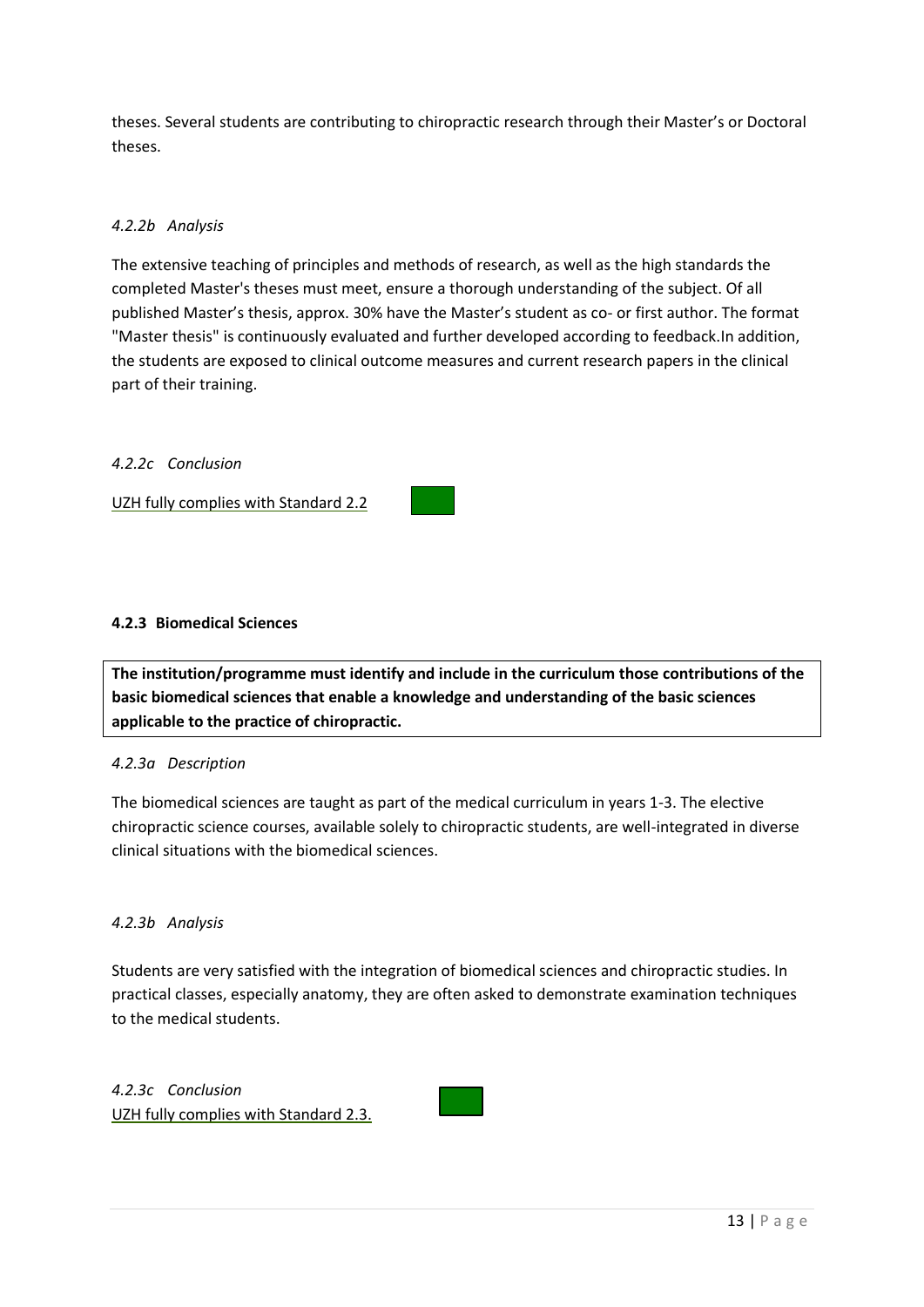theses. Several students are contributing to chiropractic research through their Master's or Doctoral theses.

# *4.2.2b Analysis*

The extensive teaching of principles and methods of research, as well as the high standards the completed Master's theses must meet, ensure a thorough understanding of the subject. Of all published Master's thesis, approx. 30% have the Master's student as co- or first author. The format "Master thesis" is continuously evaluated and further developed according to feedback.In addition, the students are exposed to clinical outcome measures and current research papers in the clinical part of their training.

### *4.2.2c Conclusion*

UZH fully complies with Standard 2.2

### **4.2.3 Biomedical Sciences**

**The institution/programme must identify and include in the curriculum those contributions of the basic biomedical sciences that enable a knowledge and understanding of the basic sciences applicable to the practice of chiropractic.**

### *4.2.3a Description*

The biomedical sciences are taught as part of the medical curriculum in years 1-3. The elective chiropractic science courses, available solely to chiropractic students, are well-integrated in diverse clinical situations with the biomedical sciences.

### *4.2.3b Analysis*

Students are very satisfied with the integration of biomedical sciences and chiropractic studies. In practical classes, especially anatomy, they are often asked to demonstrate examination techniques to the medical students.

*4.2.3c Conclusion* UZH fully complies with Standard 2.3.

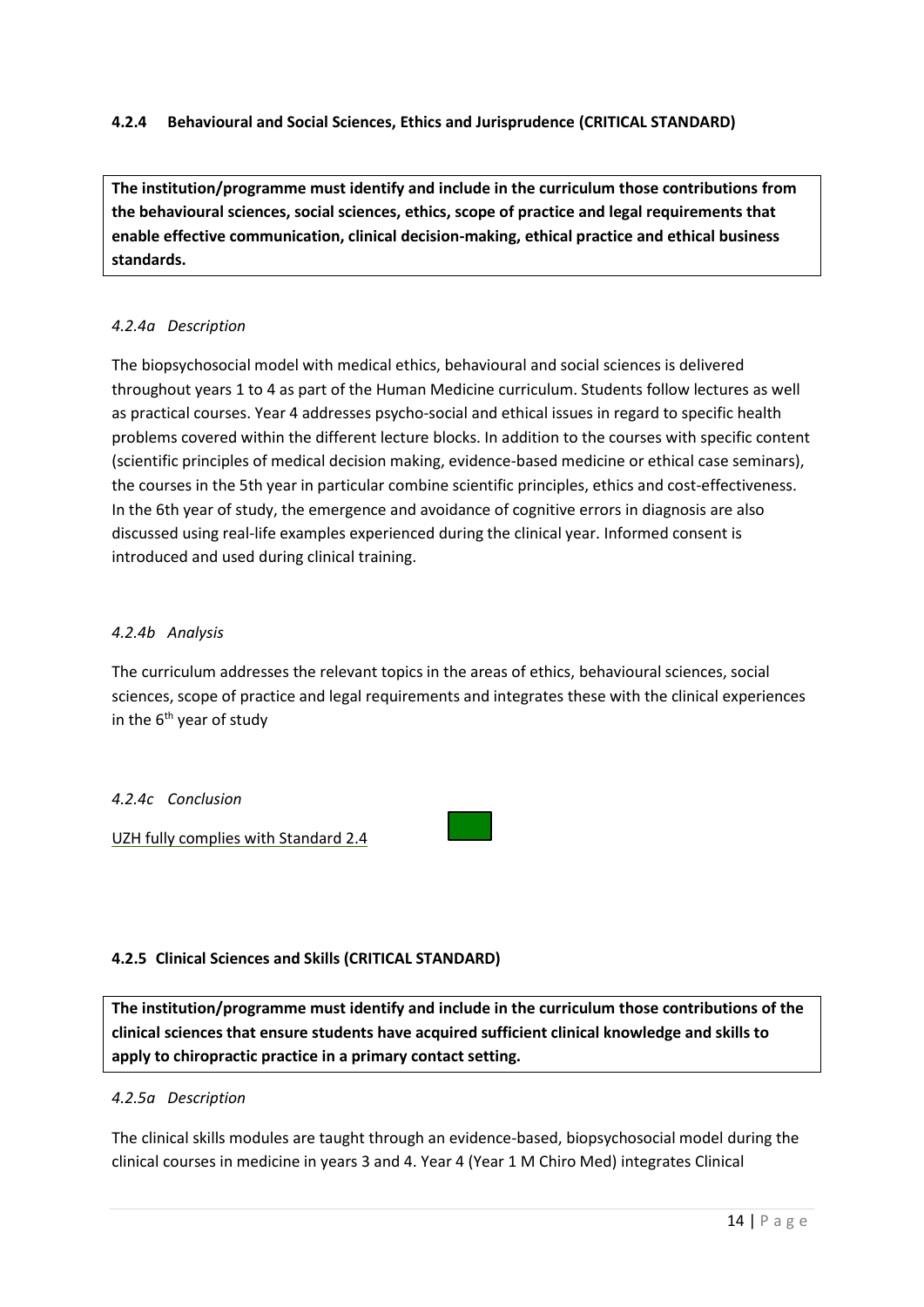# **4.2.4 Behavioural and Social Sciences, Ethics and Jurisprudence (CRITICAL STANDARD)**

**The institution/programme must identify and include in the curriculum those contributions from the behavioural sciences, social sciences, ethics, scope of practice and legal requirements that enable effective communication, clinical decision-making, ethical practice and ethical business standards.**

### *4.2.4a Description*

The biopsychosocial model with medical ethics, behavioural and social sciences is delivered throughout years 1 to 4 as part of the Human Medicine curriculum. Students follow lectures as well as practical courses. Year 4 addresses psycho-social and ethical issues in regard to specific health problems covered within the different lecture blocks. In addition to the courses with specific content (scientific principles of medical decision making, evidence-based medicine or ethical case seminars), the courses in the 5th year in particular combine scientific principles, ethics and cost-effectiveness. In the 6th year of study, the emergence and avoidance of cognitive errors in diagnosis are also discussed using real-life examples experienced during the clinical year. Informed consent is introduced and used during clinical training.

### *4.2.4b Analysis*

The curriculum addresses the relevant topics in the areas of ethics, behavioural sciences, social sciences, scope of practice and legal requirements and integrates these with the clinical experiences in the  $6<sup>th</sup>$  year of study

### *4.2.4c Conclusion*

UZH fully complies with Standard 2.4

### **4.2.5 Clinical Sciences and Skills (CRITICAL STANDARD)**

**The institution/programme must identify and include in the curriculum those contributions of the clinical sciences that ensure students have acquired sufficient clinical knowledge and skills to apply to chiropractic practice in a primary contact setting.**

### *4.2.5a Description*

The clinical skills modules are taught through an evidence-based, biopsychosocial model during the clinical courses in medicine in years 3 and 4. Year 4 (Year 1 M Chiro Med) integrates Clinical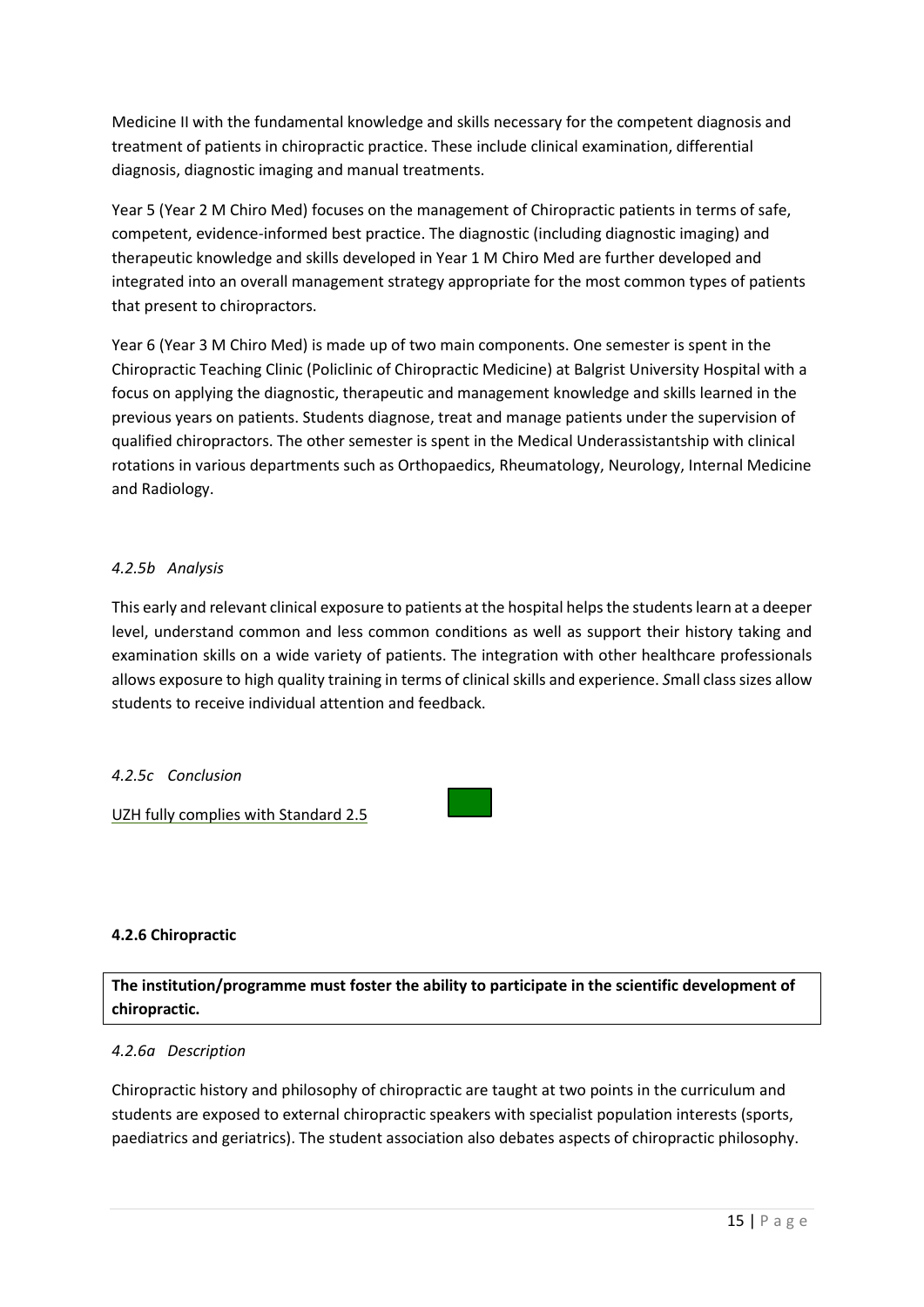Medicine II with the fundamental knowledge and skills necessary for the competent diagnosis and treatment of patients in chiropractic practice. These include clinical examination, differential diagnosis, diagnostic imaging and manual treatments.

Year 5 (Year 2 M Chiro Med) focuses on the management of Chiropractic patients in terms of safe, competent, evidence-informed best practice. The diagnostic (including diagnostic imaging) and therapeutic knowledge and skills developed in Year 1 M Chiro Med are further developed and integrated into an overall management strategy appropriate for the most common types of patients that present to chiropractors.

Year 6 (Year 3 M Chiro Med) is made up of two main components. One semester is spent in the Chiropractic Teaching Clinic (Policlinic of Chiropractic Medicine) at Balgrist University Hospital with a focus on applying the diagnostic, therapeutic and management knowledge and skills learned in the previous years on patients. Students diagnose, treat and manage patients under the supervision of qualified chiropractors. The other semester is spent in the Medical Underassistantship with clinical rotations in various departments such as Orthopaedics, Rheumatology, Neurology, Internal Medicine and Radiology.

## *4.2.5b Analysis*

This early and relevant clinical exposure to patients at the hospital helps the students learn at a deeper level, understand common and less common conditions as well as support their history taking and examination skills on a wide variety of patients. The integration with other healthcare professionals allows exposure to high quality training in terms of clinical skills and experience. *S*mall class sizes allow students to receive individual attention and feedback.

### *4.2.5c Conclusion*

UZH fully complies with Standard 2.5

### **4.2.6 Chiropractic**

**The institution/programme must foster the ability to participate in the scientific development of chiropractic.**

### *4.2.6a Description*

Chiropractic history and philosophy of chiropractic are taught at two points in the curriculum and students are exposed to external chiropractic speakers with specialist population interests (sports, paediatrics and geriatrics). The student association also debates aspects of chiropractic philosophy.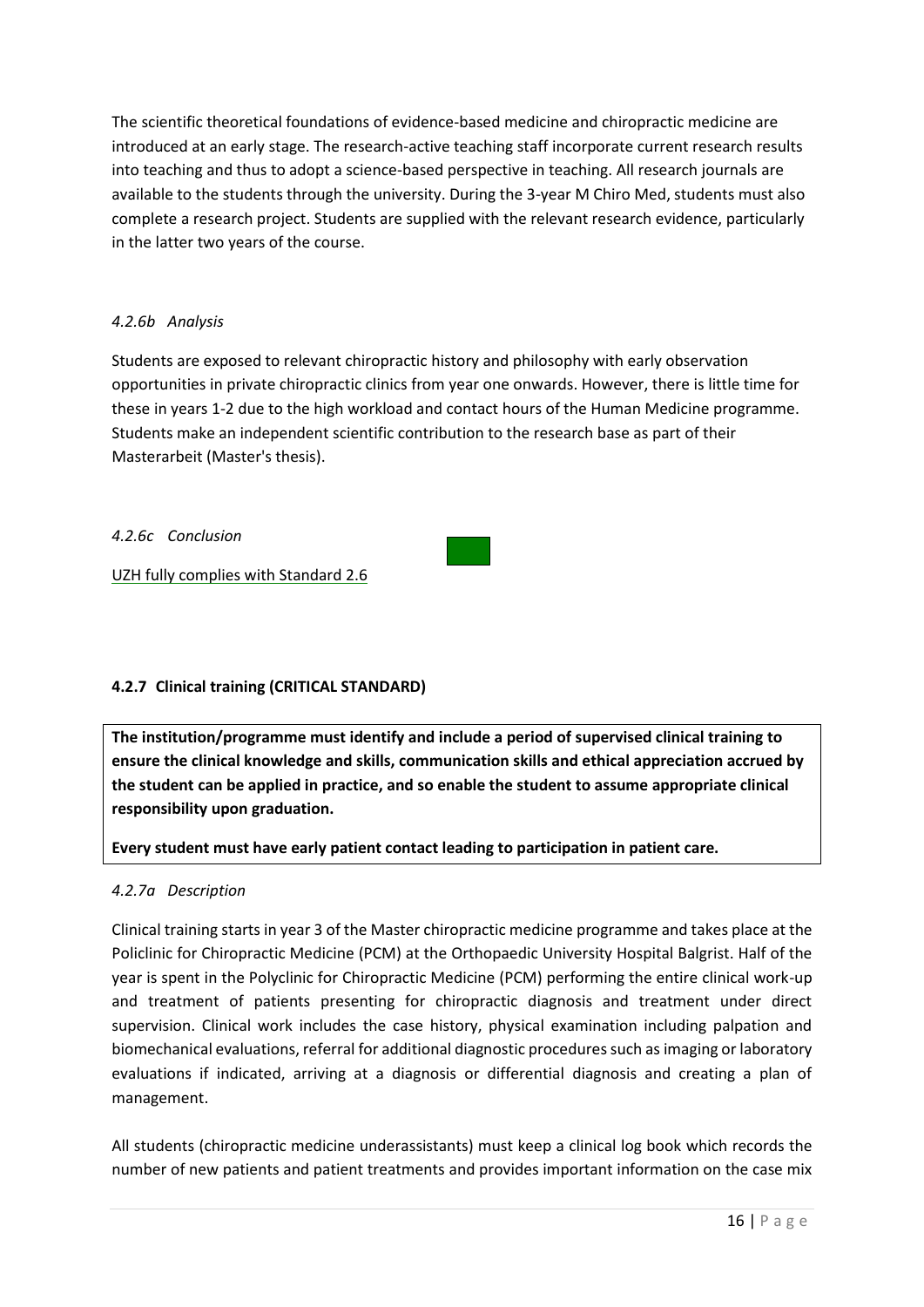The scientific theoretical foundations of evidence-based medicine and chiropractic medicine are introduced at an early stage. The research-active teaching staff incorporate current research results into teaching and thus to adopt a science-based perspective in teaching. All research journals are available to the students through the university. During the 3-year M Chiro Med, students must also complete a research project. Students are supplied with the relevant research evidence, particularly in the latter two years of the course.

# *4.2.6b Analysis*

Students are exposed to relevant chiropractic history and philosophy with early observation opportunities in private chiropractic clinics from year one onwards. However, there is little time for these in years 1-2 due to the high workload and contact hours of the Human Medicine programme. Students make an independent scientific contribution to the research base as part of their Masterarbeit (Master's thesis).

*4.2.6c Conclusion*

UZH fully complies with Standard 2.6

# **4.2.7 Clinical training (CRITICAL STANDARD)**

**The institution/programme must identify and include a period of supervised clinical training to ensure the clinical knowledge and skills, communication skills and ethical appreciation accrued by the student can be applied in practice, and so enable the student to assume appropriate clinical responsibility upon graduation.** 

# **Every student must have early patient contact leading to participation in patient care.**

# *4.2.7a Description*

Clinical training starts in year 3 of the Master chiropractic medicine programme and takes place at the Policlinic for Chiropractic Medicine (PCM) at the Orthopaedic University Hospital Balgrist. Half of the year is spent in the Polyclinic for Chiropractic Medicine (PCM) performing the entire clinical work-up and treatment of patients presenting for chiropractic diagnosis and treatment under direct supervision. Clinical work includes the case history, physical examination including palpation and biomechanical evaluations, referral for additional diagnostic procedures such as imaging or laboratory evaluations if indicated, arriving at a diagnosis or differential diagnosis and creating a plan of management.

All students (chiropractic medicine underassistants) must keep a clinical log book which records the number of new patients and patient treatments and provides important information on the case mix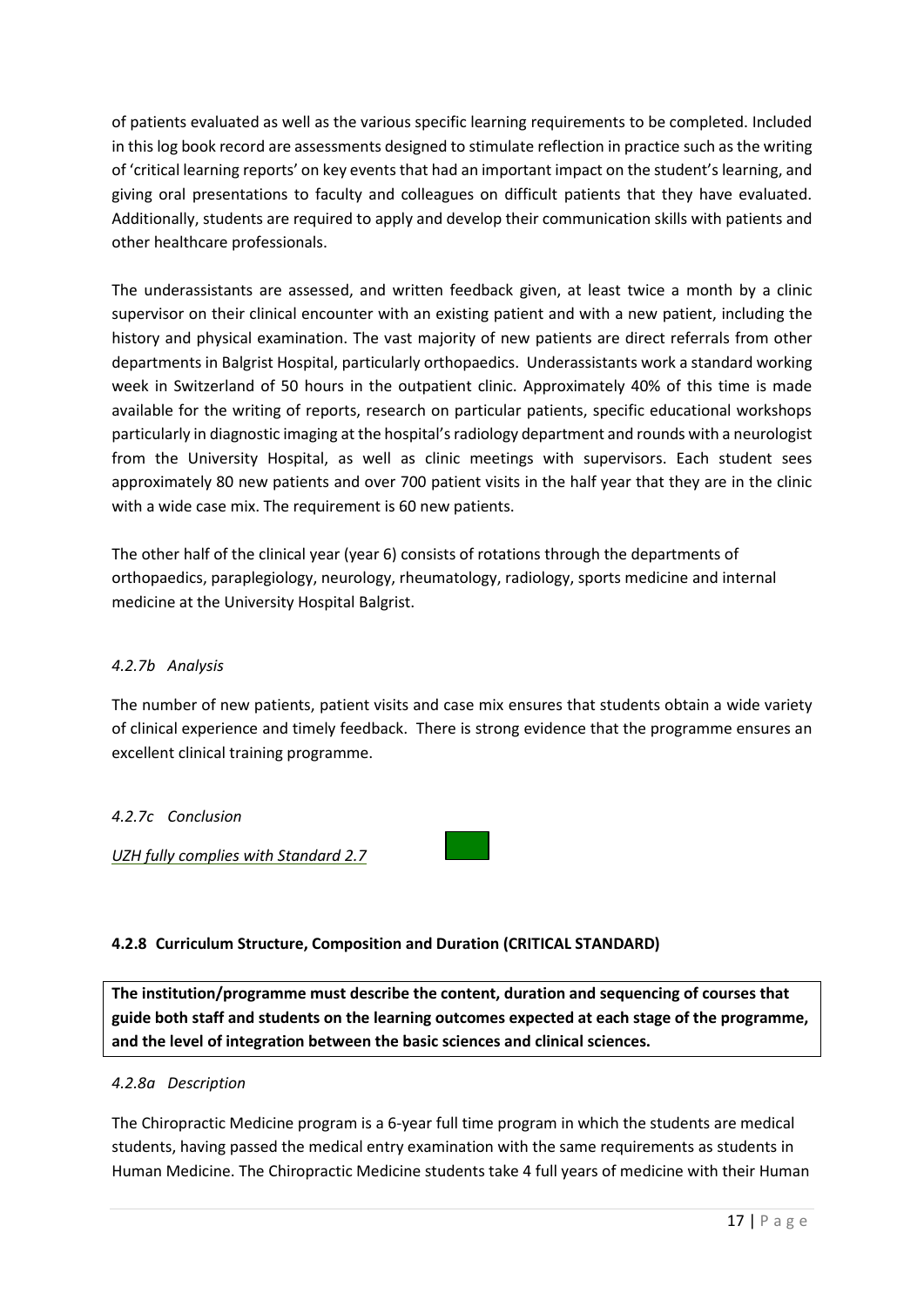of patients evaluated as well as the various specific learning requirements to be completed. Included in this log book record are assessments designed to stimulate reflection in practice such as the writing of 'critical learning reports' on key events that had an important impact on the student's learning, and giving oral presentations to faculty and colleagues on difficult patients that they have evaluated. Additionally, students are required to apply and develop their communication skills with patients and other healthcare professionals.

The underassistants are assessed, and written feedback given, at least twice a month by a clinic supervisor on their clinical encounter with an existing patient and with a new patient, including the history and physical examination. The vast majority of new patients are direct referrals from other departments in Balgrist Hospital, particularly orthopaedics. Underassistants work a standard working week in Switzerland of 50 hours in the outpatient clinic. Approximately 40% of this time is made available for the writing of reports, research on particular patients, specific educational workshops particularly in diagnostic imaging at the hospital's radiology department and rounds with a neurologist from the University Hospital, as well as clinic meetings with supervisors. Each student sees approximately 80 new patients and over 700 patient visits in the half year that they are in the clinic with a wide case mix. The requirement is 60 new patients.

The other half of the clinical year (year 6) consists of rotations through the departments of orthopaedics, paraplegiology, neurology, rheumatology, radiology, sports medicine and internal medicine at the University Hospital Balgrist.

# *4.2.7b Analysis*

The number of new patients, patient visits and case mix ensures that students obtain a wide variety of clinical experience and timely feedback. There is strong evidence that the programme ensures an excellent clinical training programme.

# *4.2.7c Conclusion*

*UZH fully complies with Standard 2.7* 



# **4.2.8 Curriculum Structure, Composition and Duration (CRITICAL STANDARD)**

**The institution/programme must describe the content, duration and sequencing of courses that guide both staff and students on the learning outcomes expected at each stage of the programme, and the level of integration between the basic sciences and clinical sciences.**

# *4.2.8a Description*

The Chiropractic Medicine program is a 6-year full time program in which the students are medical students, having passed the medical entry examination with the same requirements as students in Human Medicine. The Chiropractic Medicine students take 4 full years of medicine with their Human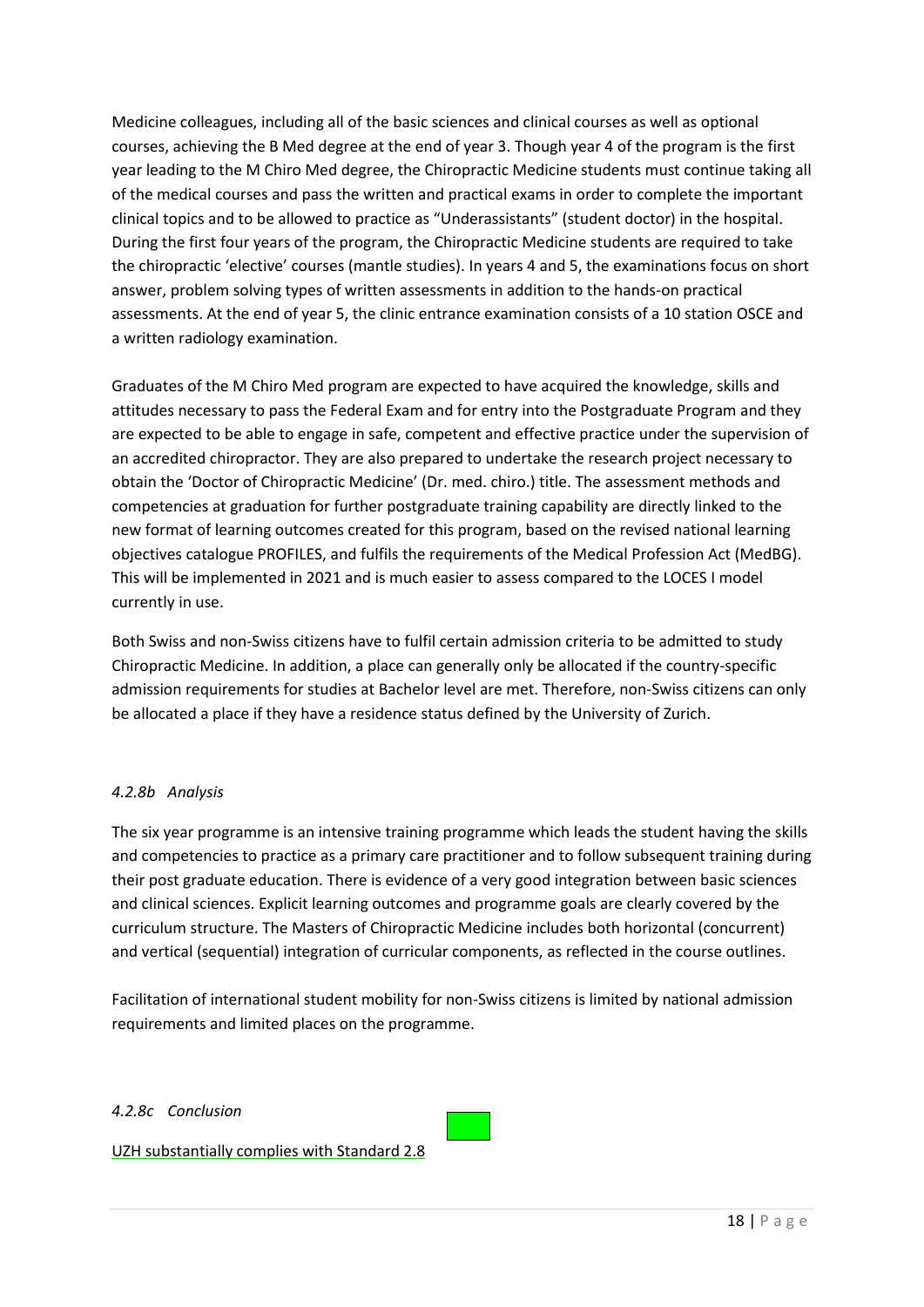Medicine colleagues, including all of the basic sciences and clinical courses as well as optional courses, achieving the B Med degree at the end of year 3. Though year 4 of the program is the first year leading to the M Chiro Med degree, the Chiropractic Medicine students must continue taking all of the medical courses and pass the written and practical exams in order to complete the important clinical topics and to be allowed to practice as "Underassistants" (student doctor) in the hospital. During the first four years of the program, the Chiropractic Medicine students are required to take the chiropractic 'elective' courses (mantle studies). In years 4 and 5, the examinations focus on short answer, problem solving types of written assessments in addition to the hands-on practical assessments. At the end of year 5, the clinic entrance examination consists of a 10 station OSCE and a written radiology examination.

Graduates of the M Chiro Med program are expected to have acquired the knowledge, skills and attitudes necessary to pass the Federal Exam and for entry into the Postgraduate Program and they are expected to be able to engage in safe, competent and effective practice under the supervision of an accredited chiropractor. They are also prepared to undertake the research project necessary to obtain the 'Doctor of Chiropractic Medicine' (Dr. med. chiro.) title. The assessment methods and competencies at graduation for further postgraduate training capability are directly linked to the new format of learning outcomes created for this program, based on the revised national learning objectives catalogue PROFILES, and fulfils the requirements of the Medical Profession Act (MedBG). This will be implemented in 2021 and is much easier to assess compared to the LOCES I model currently in use.

Both Swiss and non-Swiss citizens have to fulfil certain admission criteria to be admitted to study Chiropractic Medicine. In addition, a place can generally only be allocated if the country-specific admission requirements for studies at Bachelor level are met. Therefore, non-Swiss citizens can only be allocated a place if they have a residence status defined by the University of Zurich.

# *4.2.8b Analysis*

The six year programme is an intensive training programme which leads the student having the skills and competencies to practice as a primary care practitioner and to follow subsequent training during their post graduate education. There is evidence of a very good integration between basic sciences and clinical sciences. Explicit learning outcomes and programme goals are clearly covered by the curriculum structure. The Masters of Chiropractic Medicine includes both horizontal (concurrent) and vertical (sequential) integration of curricular components, as reflected in the course outlines.

Facilitation of international student mobility for non-Swiss citizens is limited by national admission requirements and limited places on the programme.

### *4.2.8c Conclusion*

UZH substantially complies with Standard 2.8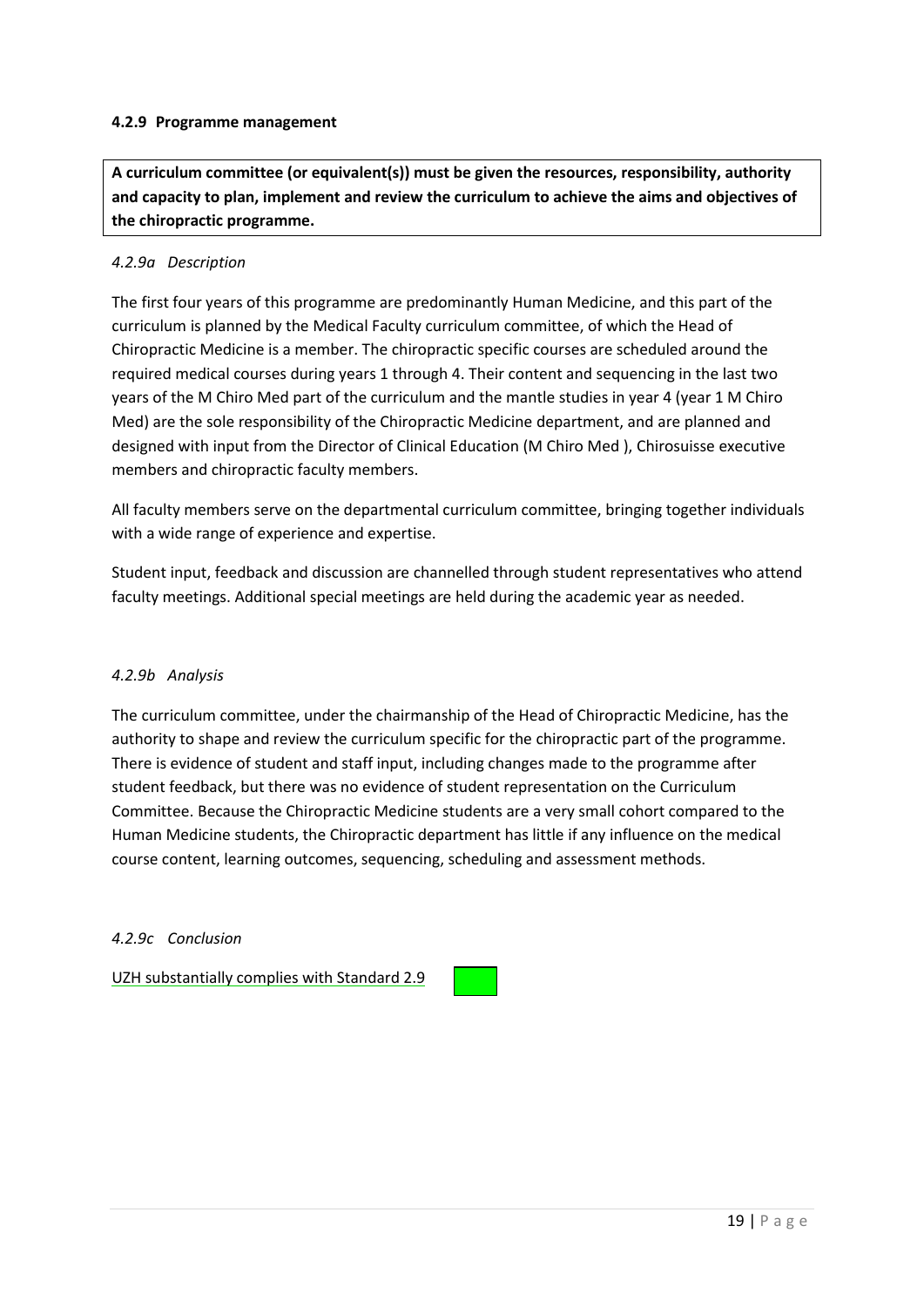### **4.2.9 Programme management**

**A curriculum committee (or equivalent(s)) must be given the resources, responsibility, authority and capacity to plan, implement and review the curriculum to achieve the aims and objectives of the chiropractic programme.** 

## *4.2.9a Description*

The first four years of this programme are predominantly Human Medicine, and this part of the curriculum is planned by the Medical Faculty curriculum committee, of which the Head of Chiropractic Medicine is a member. The chiropractic specific courses are scheduled around the required medical courses during years 1 through 4. Their content and sequencing in the last two years of the M Chiro Med part of the curriculum and the mantle studies in year 4 (year 1 M Chiro Med) are the sole responsibility of the Chiropractic Medicine department, and are planned and designed with input from the Director of Clinical Education (M Chiro Med ), Chirosuisse executive members and chiropractic faculty members.

All faculty members serve on the departmental curriculum committee, bringing together individuals with a wide range of experience and expertise.

Student input, feedback and discussion are channelled through student representatives who attend faculty meetings. Additional special meetings are held during the academic year as needed.

### *4.2.9b Analysis*

The curriculum committee, under the chairmanship of the Head of Chiropractic Medicine, has the authority to shape and review the curriculum specific for the chiropractic part of the programme. There is evidence of student and staff input, including changes made to the programme after student feedback, but there was no evidence of student representation on the Curriculum Committee. Because the Chiropractic Medicine students are a very small cohort compared to the Human Medicine students, the Chiropractic department has little if any influence on the medical course content, learning outcomes, sequencing, scheduling and assessment methods.

### *4.2.9c Conclusion*

UZH substantially complies with Standard 2.9

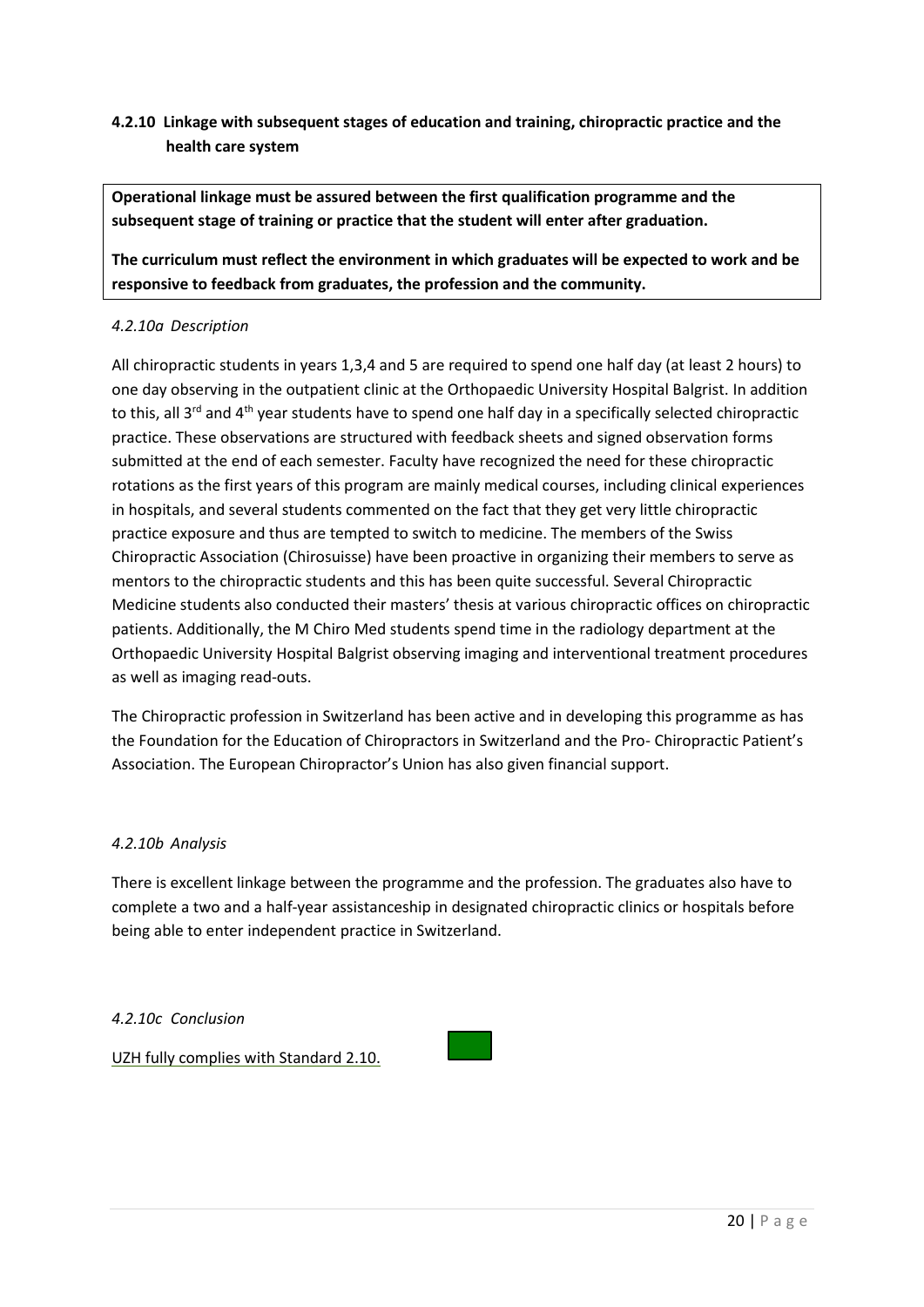# **4.2.10 Linkage with subsequent stages of education and training, chiropractic practice and the health care system**

**Operational linkage must be assured between the first qualification programme and the subsequent stage of training or practice that the student will enter after graduation.**

**The curriculum must reflect the environment in which graduates will be expected to work and be responsive to feedback from graduates, the profession and the community.**

# *4.2.10a Description*

All chiropractic students in years 1,3,4 and 5 are required to spend one half day (at least 2 hours) to one day observing in the outpatient clinic at the Orthopaedic University Hospital Balgrist. In addition to this, all 3<sup>rd</sup> and 4<sup>th</sup> year students have to spend one half day in a specifically selected chiropractic practice. These observations are structured with feedback sheets and signed observation forms submitted at the end of each semester. Faculty have recognized the need for these chiropractic rotations as the first years of this program are mainly medical courses, including clinical experiences in hospitals, and several students commented on the fact that they get very little chiropractic practice exposure and thus are tempted to switch to medicine. The members of the Swiss Chiropractic Association (Chirosuisse) have been proactive in organizing their members to serve as mentors to the chiropractic students and this has been quite successful. Several Chiropractic Medicine students also conducted their masters' thesis at various chiropractic offices on chiropractic patients. Additionally, the M Chiro Med students spend time in the radiology department at the Orthopaedic University Hospital Balgrist observing imaging and interventional treatment procedures as well as imaging read-outs.

The Chiropractic profession in Switzerland has been active and in developing this programme as has the Foundation for the Education of Chiropractors in Switzerland and the Pro- Chiropractic Patient's Association. The European Chiropractor's Union has also given financial support.

### *4.2.10b Analysis*

There is excellent linkage between the programme and the profession. The graduates also have to complete a two and a half-year assistanceship in designated chiropractic clinics or hospitals before being able to enter independent practice in Switzerland.

# *4.2.10c Conclusion*

UZH fully complies with Standard 2.10.

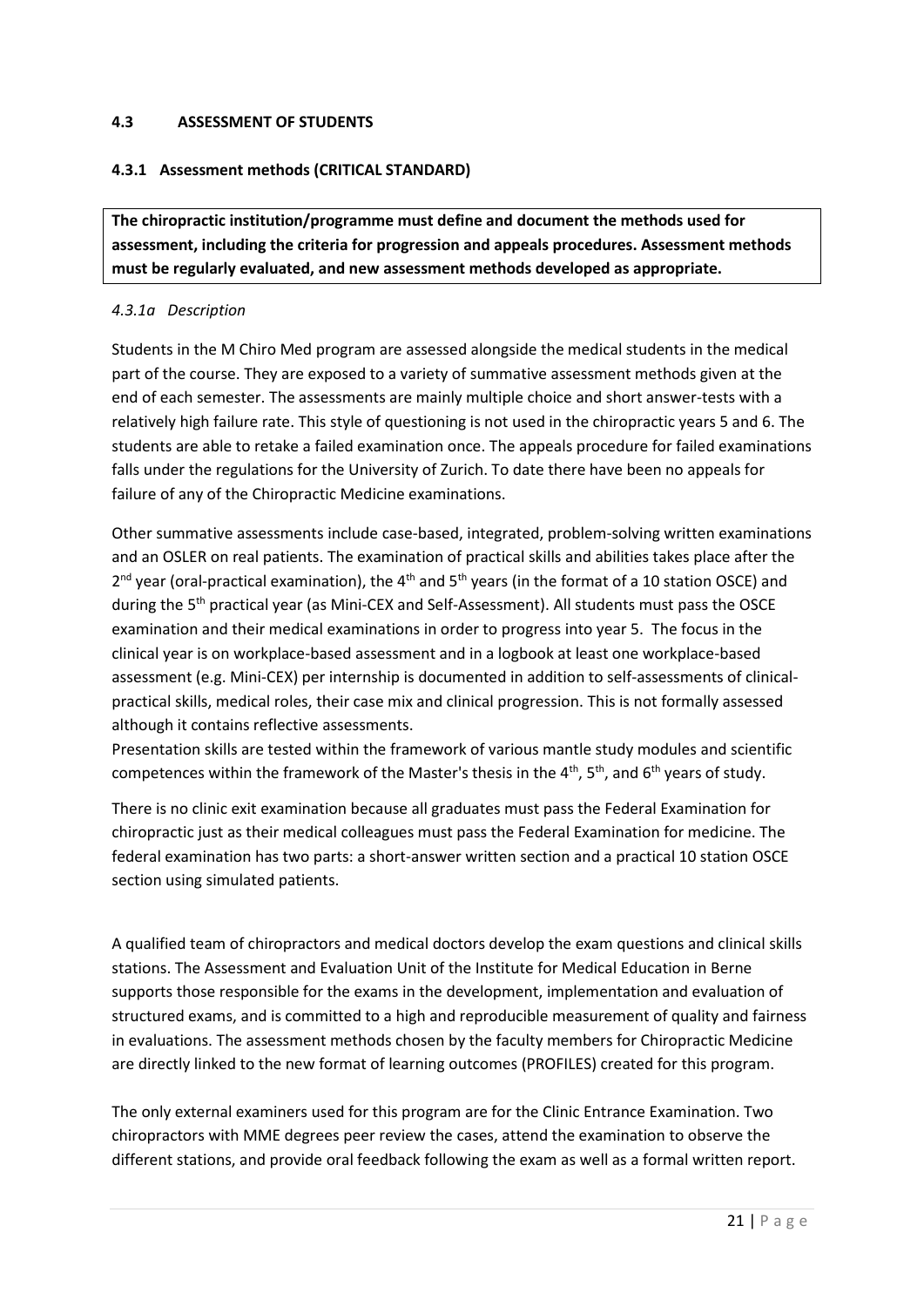## **4.3 ASSESSMENT OF STUDENTS**

# **4.3.1 Assessment methods (CRITICAL STANDARD)**

**The chiropractic institution/programme must define and document the methods used for assessment, including the criteria for progression and appeals procedures. Assessment methods must be regularly evaluated, and new assessment methods developed as appropriate.**

### *4.3.1a Description*

Students in the M Chiro Med program are assessed alongside the medical students in the medical part of the course. They are exposed to a variety of summative assessment methods given at the end of each semester. The assessments are mainly multiple choice and short answer-tests with a relatively high failure rate. This style of questioning is not used in the chiropractic years 5 and 6. The students are able to retake a failed examination once. The appeals procedure for failed examinations falls under the regulations for the University of Zurich. To date there have been no appeals for failure of any of the Chiropractic Medicine examinations.

Other summative assessments include case-based, integrated, problem-solving written examinations and an OSLER on real patients. The examination of practical skills and abilities takes place after the 2<sup>nd</sup> year (oral-practical examination), the 4<sup>th</sup> and 5<sup>th</sup> years (in the format of a 10 station OSCE) and during the 5<sup>th</sup> practical year (as Mini-CEX and Self-Assessment). All students must pass the OSCE examination and their medical examinations in order to progress into year 5. The focus in the clinical year is on workplace-based assessment and in a logbook at least one workplace-based assessment (e.g. Mini-CEX) per internship is documented in addition to self-assessments of clinicalpractical skills, medical roles, their case mix and clinical progression. This is not formally assessed although it contains reflective assessments.

Presentation skills are tested within the framework of various mantle study modules and scientific competences within the framework of the Master's thesis in the  $4^{th}$ ,  $5^{th}$ , and  $6^{th}$  years of study.

There is no clinic exit examination because all graduates must pass the Federal Examination for chiropractic just as their medical colleagues must pass the Federal Examination for medicine. The federal examination has two parts: a short-answer written section and a practical 10 station OSCE section using simulated patients.

A qualified team of chiropractors and medical doctors develop the exam questions and clinical skills stations. The Assessment and Evaluation Unit of the Institute for Medical Education in Berne supports those responsible for the exams in the development, implementation and evaluation of structured exams, and is committed to a high and reproducible measurement of quality and fairness in evaluations. The assessment methods chosen by the faculty members for Chiropractic Medicine are directly linked to the new format of learning outcomes (PROFILES) created for this program.

The only external examiners used for this program are for the Clinic Entrance Examination. Two chiropractors with MME degrees peer review the cases, attend the examination to observe the different stations, and provide oral feedback following the exam as well as a formal written report.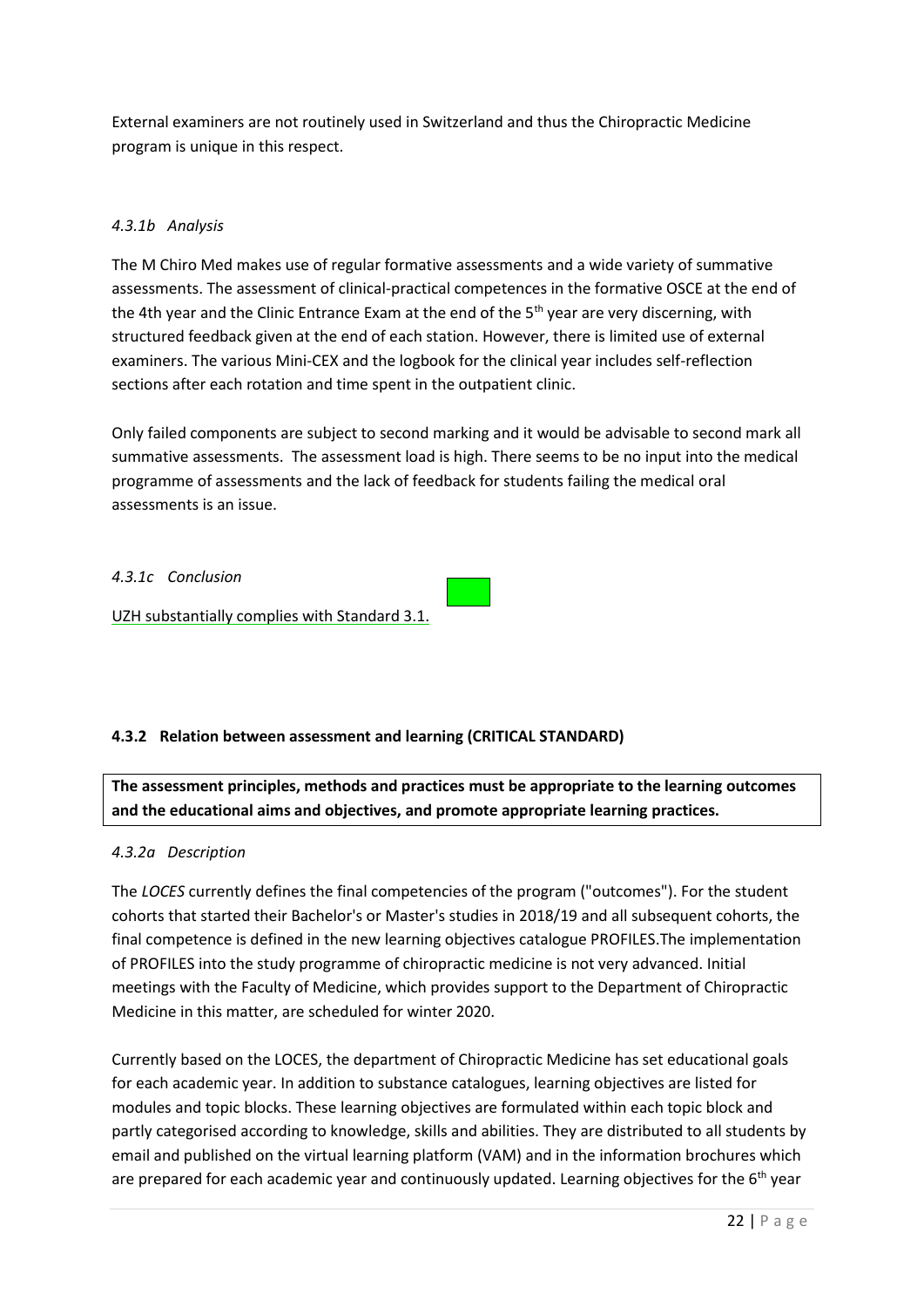External examiners are not routinely used in Switzerland and thus the Chiropractic Medicine program is unique in this respect.

# *4.3.1b Analysis*

The M Chiro Med makes use of regular formative assessments and a wide variety of summative assessments. The assessment of clinical-practical competences in the formative OSCE at the end of the 4th year and the Clinic Entrance Exam at the end of the  $5<sup>th</sup>$  year are very discerning, with structured feedback given at the end of each station. However, there is limited use of external examiners. The various Mini-CEX and the logbook for the clinical year includes self-reflection sections after each rotation and time spent in the outpatient clinic.

Only failed components are subject to second marking and it would be advisable to second mark all summative assessments. The assessment load is high. There seems to be no input into the medical programme of assessments and the lack of feedback for students failing the medical oral assessments is an issue.

### *4.3.1c Conclusion*

UZH substantially complies with Standard 3.1.

# **4.3.2 Relation between assessment and learning (CRITICAL STANDARD)**

**The assessment principles, methods and practices must be appropriate to the learning outcomes and the educational aims and objectives, and promote appropriate learning practices.**

### *4.3.2a Description*

The *LOCES* currently defines the final competencies of the program ("outcomes"). For the student cohorts that started their Bachelor's or Master's studies in 2018/19 and all subsequent cohorts, the final competence is defined in the new learning objectives catalogue PROFILES.The implementation of PROFILES into the study programme of chiropractic medicine is not very advanced. Initial meetings with the Faculty of Medicine, which provides support to the Department of Chiropractic Medicine in this matter, are scheduled for winter 2020.

Currently based on the LOCES, the department of Chiropractic Medicine has set educational goals for each academic year. In addition to substance catalogues, learning objectives are listed for modules and topic blocks. These learning objectives are formulated within each topic block and partly categorised according to knowledge, skills and abilities. They are distributed to all students by email and published on the virtual learning platform (VAM) and in the information brochures which are prepared for each academic year and continuously updated. Learning objectives for the  $6<sup>th</sup>$  year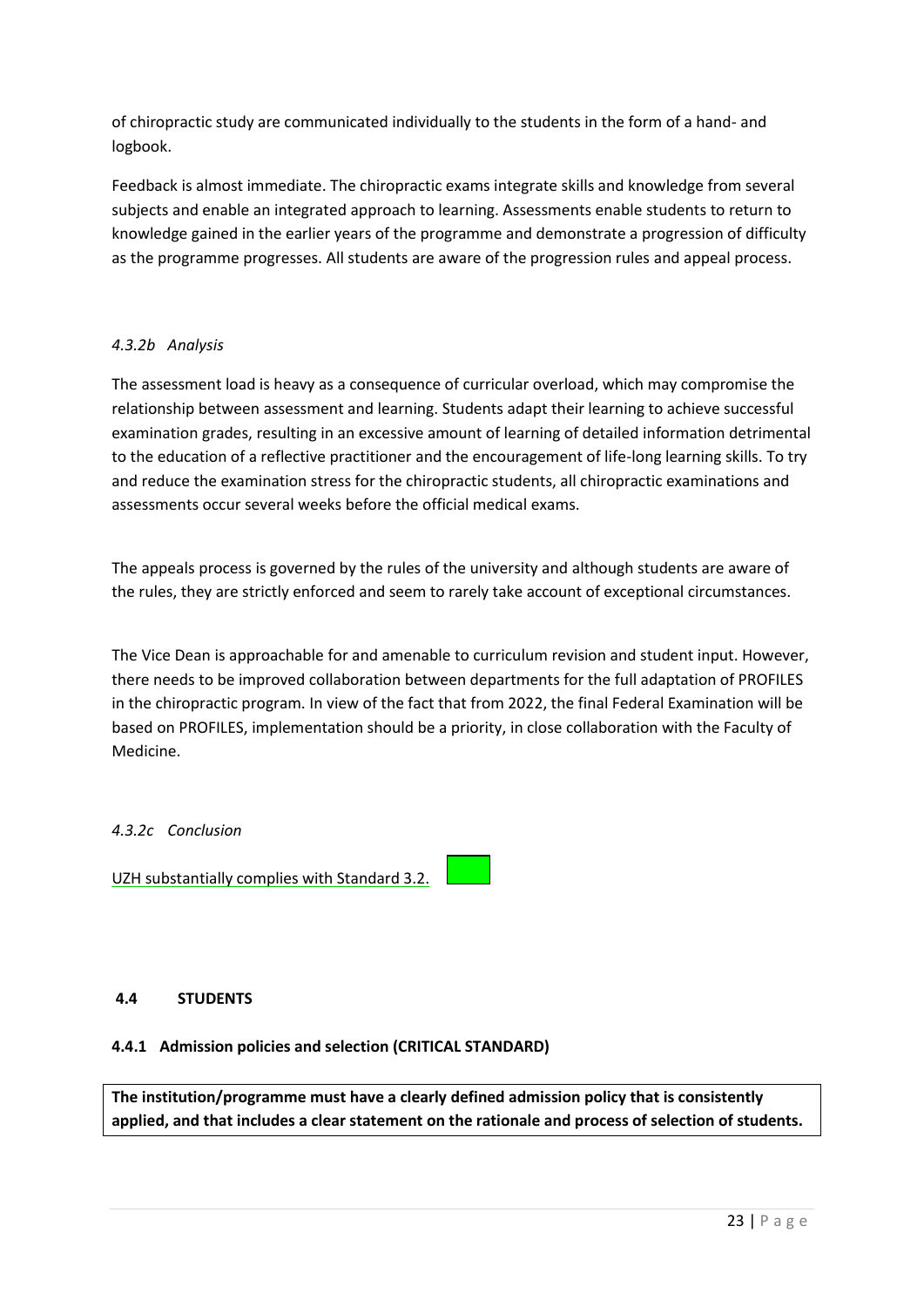of chiropractic study are communicated individually to the students in the form of a hand- and logbook.

Feedback is almost immediate. The chiropractic exams integrate skills and knowledge from several subjects and enable an integrated approach to learning. Assessments enable students to return to knowledge gained in the earlier years of the programme and demonstrate a progression of difficulty as the programme progresses. All students are aware of the progression rules and appeal process.

# *4.3.2b Analysis*

The assessment load is heavy as a consequence of curricular overload, which may compromise the relationship between assessment and learning. Students adapt their learning to achieve successful examination grades, resulting in an excessive amount of learning of detailed information detrimental to the education of a reflective practitioner and the encouragement of life-long learning skills. To try and reduce the examination stress for the chiropractic students, all chiropractic examinations and assessments occur several weeks before the official medical exams.

The appeals process is governed by the rules of the university and although students are aware of the rules, they are strictly enforced and seem to rarely take account of exceptional circumstances.

The Vice Dean is approachable for and amenable to curriculum revision and student input. However, there needs to be improved collaboration between departments for the full adaptation of PROFILES in the chiropractic program. In view of the fact that from 2022, the final Federal Examination will be based on PROFILES, implementation should be a priority, in close collaboration with the Faculty of Medicine.

# *4.3.2c Conclusion*

UZH substantially complies with Standard 3.2.

### **4.4 STUDENTS**

# **4.4.1 Admission policies and selection (CRITICAL STANDARD)**

**The institution/programme must have a clearly defined admission policy that is consistently applied, and that includes a clear statement on the rationale and process of selection of students.**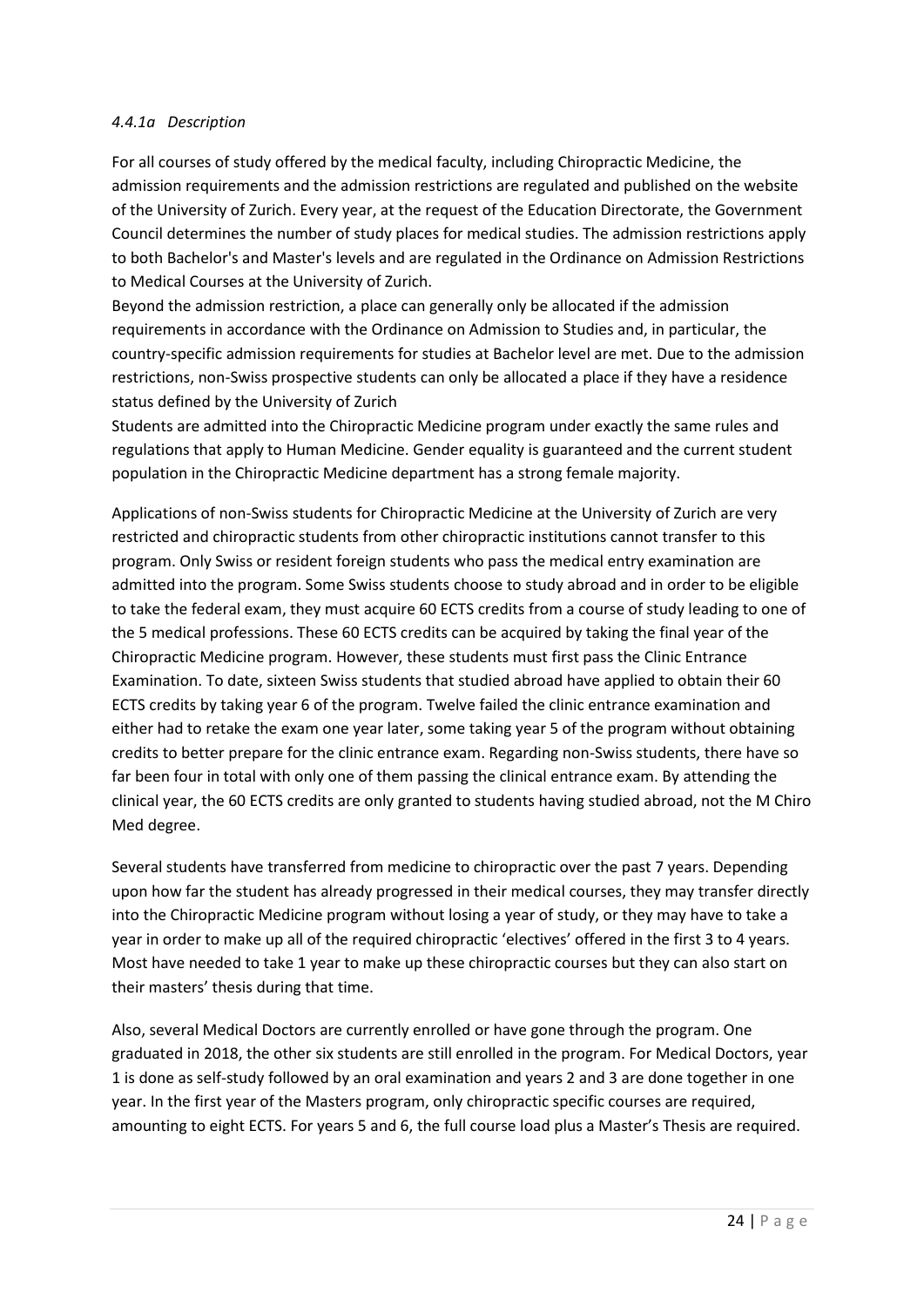### *4.4.1a Description*

For all courses of study offered by the medical faculty, including Chiropractic Medicine, the admission requirements and the admission restrictions are regulated and published on the website of the University of Zurich. Every year, at the request of the Education Directorate, the Government Council determines the number of study places for medical studies. The admission restrictions apply to both Bachelor's and Master's levels and are regulated in the Ordinance on Admission Restrictions to Medical Courses at the University of Zurich.

Beyond the admission restriction, a place can generally only be allocated if the admission requirements in accordance with the Ordinance on Admission to Studies and, in particular, the country-specific admission requirements for studies at Bachelor level are met. Due to the admission restrictions, non-Swiss prospective students can only be allocated a place if they have a residence status defined by the University of Zurich

Students are admitted into the Chiropractic Medicine program under exactly the same rules and regulations that apply to Human Medicine. Gender equality is guaranteed and the current student population in the Chiropractic Medicine department has a strong female majority.

Applications of non-Swiss students for Chiropractic Medicine at the University of Zurich are very restricted and chiropractic students from other chiropractic institutions cannot transfer to this program. Only Swiss or resident foreign students who pass the medical entry examination are admitted into the program. Some Swiss students choose to study abroad and in order to be eligible to take the federal exam, they must acquire 60 ECTS credits from a course of study leading to one of the 5 medical professions. These 60 ECTS credits can be acquired by taking the final year of the Chiropractic Medicine program. However, these students must first pass the Clinic Entrance Examination. To date, sixteen Swiss students that studied abroad have applied to obtain their 60 ECTS credits by taking year 6 of the program. Twelve failed the clinic entrance examination and either had to retake the exam one year later, some taking year 5 of the program without obtaining credits to better prepare for the clinic entrance exam. Regarding non-Swiss students, there have so far been four in total with only one of them passing the clinical entrance exam. By attending the clinical year, the 60 ECTS credits are only granted to students having studied abroad, not the M Chiro Med degree.

Several students have transferred from medicine to chiropractic over the past 7 years. Depending upon how far the student has already progressed in their medical courses, they may transfer directly into the Chiropractic Medicine program without losing a year of study, or they may have to take a year in order to make up all of the required chiropractic 'electives' offered in the first 3 to 4 years. Most have needed to take 1 year to make up these chiropractic courses but they can also start on their masters' thesis during that time.

Also, several Medical Doctors are currently enrolled or have gone through the program. One graduated in 2018, the other six students are still enrolled in the program. For Medical Doctors, year 1 is done as self-study followed by an oral examination and years 2 and 3 are done together in one year. In the first year of the Masters program, only chiropractic specific courses are required, amounting to eight ECTS. For years 5 and 6, the full course load plus a Master's Thesis are required.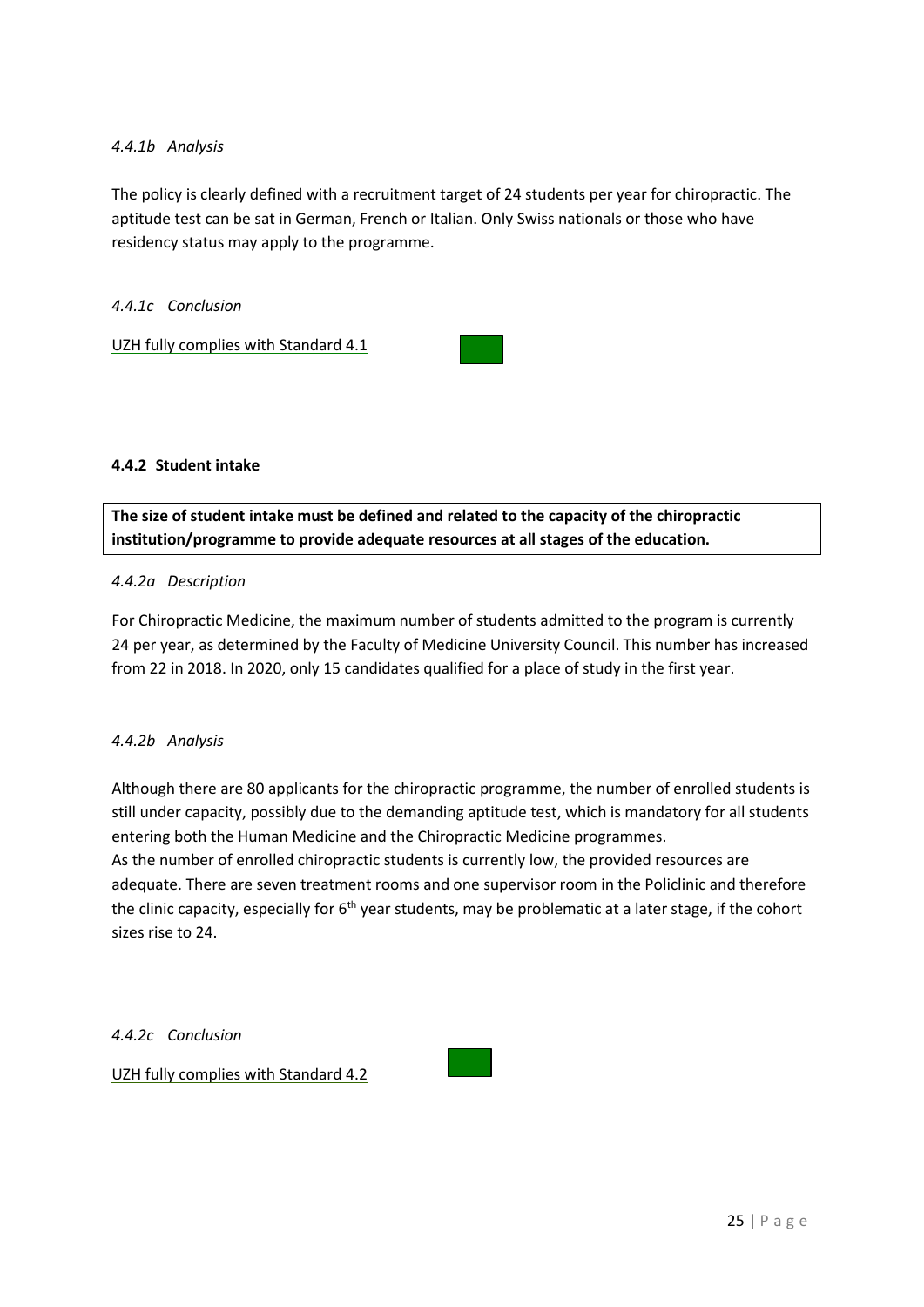# *4.4.1b Analysis*

The policy is clearly defined with a recruitment target of 24 students per year for chiropractic. The aptitude test can be sat in German, French or Italian. Only Swiss nationals or those who have residency status may apply to the programme.

*4.4.1c Conclusion*

UZH fully complies with Standard 4.1



### **4.4.2 Student intake**

**The size of student intake must be defined and related to the capacity of the chiropractic institution/programme to provide adequate resources at all stages of the education.**

### *4.4.2a Description*

For Chiropractic Medicine, the maximum number of students admitted to the program is currently 24 per year, as determined by the Faculty of Medicine University Council. This number has increased from 22 in 2018. In 2020, only 15 candidates qualified for a place of study in the first year.

### *4.4.2b Analysis*

Although there are 80 applicants for the chiropractic programme, the number of enrolled students is still under capacity, possibly due to the demanding aptitude test, which is mandatory for all students entering both the Human Medicine and the Chiropractic Medicine programmes.

As the number of enrolled chiropractic students is currently low, the provided resources are adequate. There are seven treatment rooms and one supervisor room in the Policlinic and therefore the clinic capacity, especially for  $6<sup>th</sup>$  year students, may be problematic at a later stage, if the cohort sizes rise to 24.

*4.4.2c Conclusion*

UZH fully complies with Standard 4.2

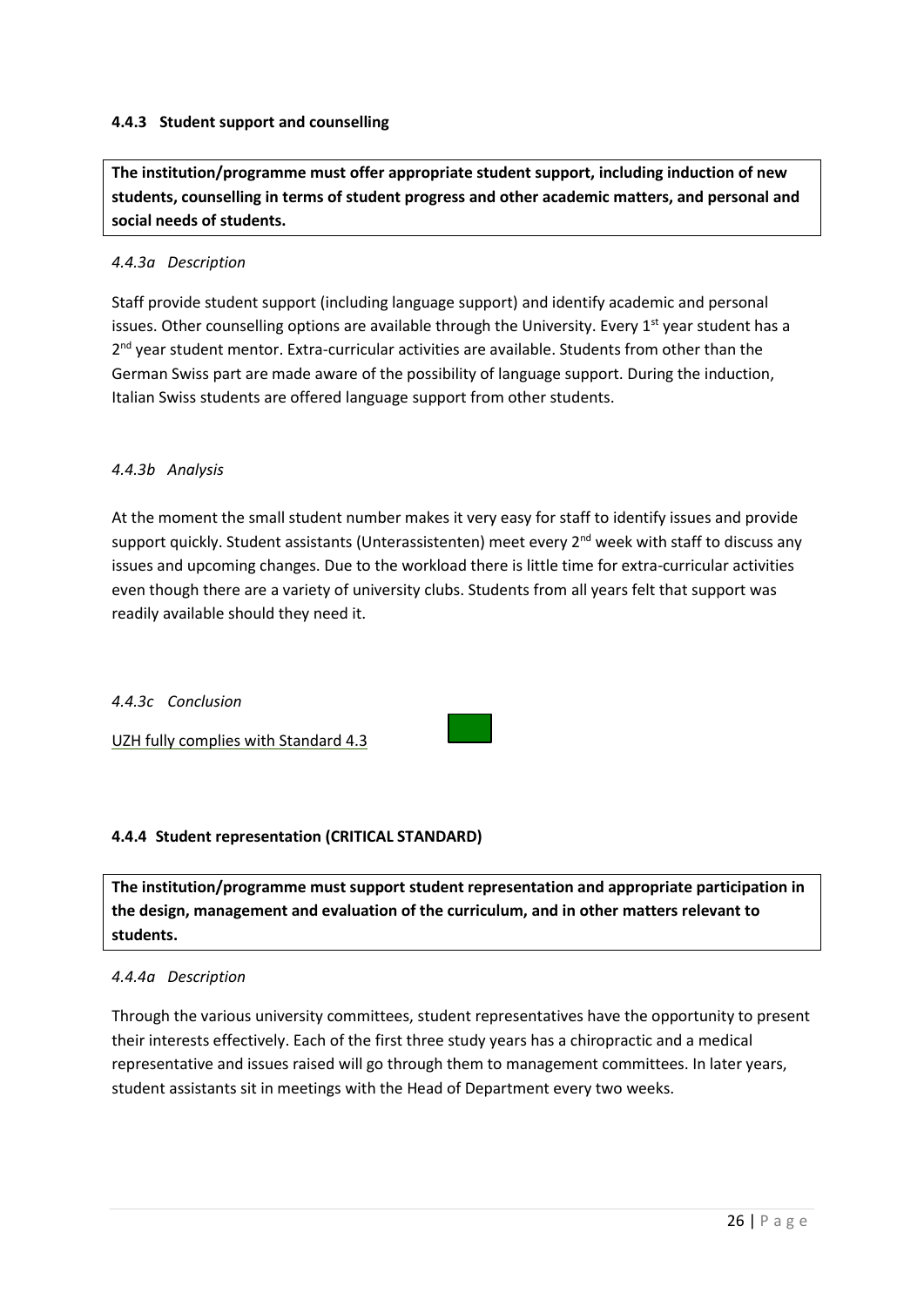# **4.4.3 Student support and counselling**

**The institution/programme must offer appropriate student support, including induction of new students, counselling in terms of student progress and other academic matters, and personal and social needs of students.**

### *4.4.3a Description*

Staff provide student support (including language support) and identify academic and personal issues. Other counselling options are available through the University. Every 1<sup>st</sup> year student has a 2<sup>nd</sup> year student mentor. Extra-curricular activities are available. Students from other than the German Swiss part are made aware of the possibility of language support. During the induction, Italian Swiss students are offered language support from other students.

## *4.4.3b Analysis*

At the moment the small student number makes it very easy for staff to identify issues and provide support quickly. Student assistants (Unterassistenten) meet every 2<sup>nd</sup> week with staff to discuss any issues and upcoming changes. Due to the workload there is little time for extra-curricular activities even though there are a variety of university clubs. Students from all years felt that support was readily available should they need it.

### *4.4.3c Conclusion*

UZH fully complies with Standard 4.3

# **4.4.4 Student representation (CRITICAL STANDARD)**

**The institution/programme must support student representation and appropriate participation in the design, management and evaluation of the curriculum, and in other matters relevant to students.**

### *4.4.4a Description*

Through the various university committees, student representatives have the opportunity to present their interests effectively. Each of the first three study years has a chiropractic and a medical representative and issues raised will go through them to management committees. In later years, student assistants sit in meetings with the Head of Department every two weeks.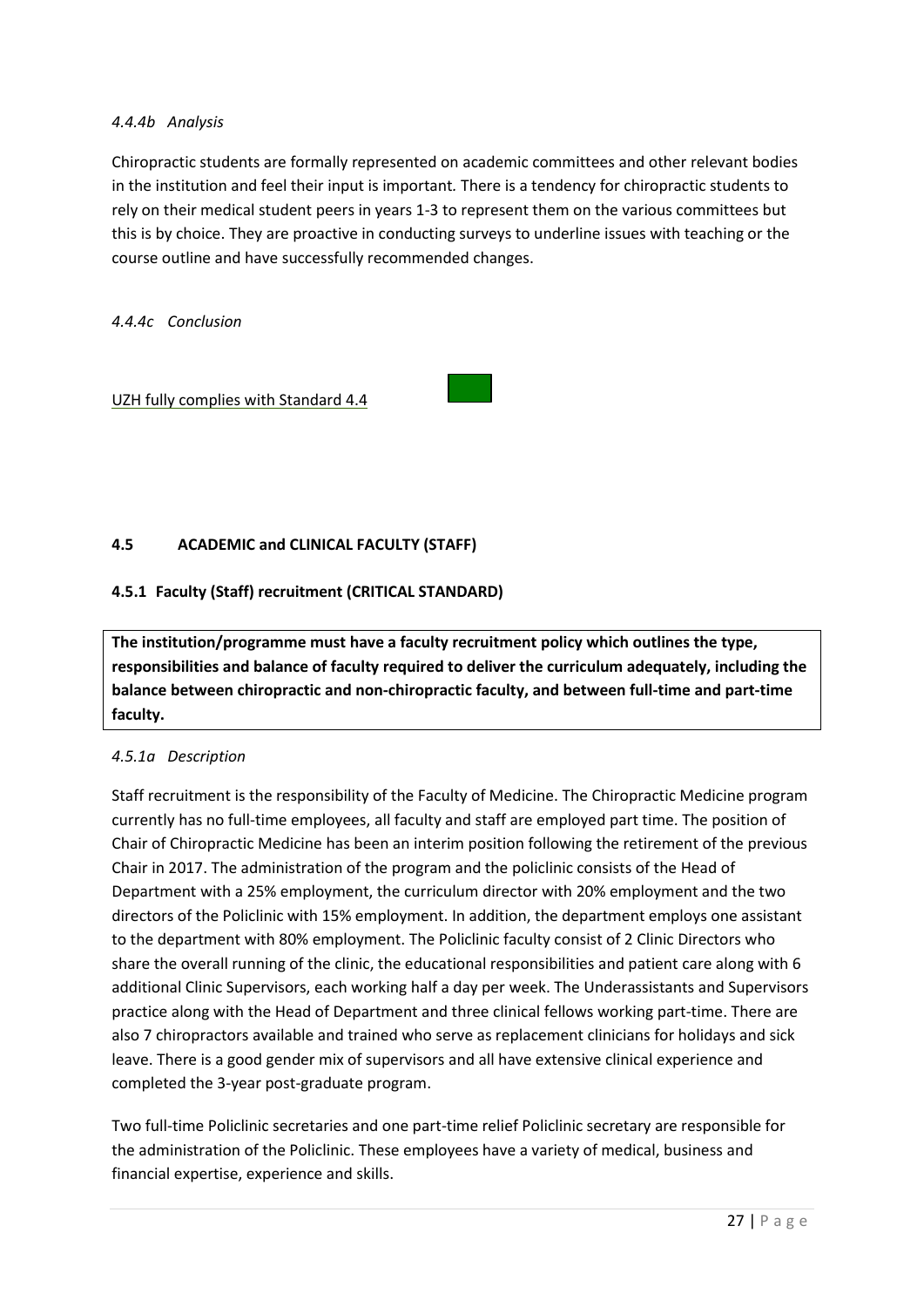## *4.4.4b Analysis*

Chiropractic students are formally represented on academic committees and other relevant bodies in the institution and feel their input is important*.* There is a tendency for chiropractic students to rely on their medical student peers in years 1-3 to represent them on the various committees but this is by choice. They are proactive in conducting surveys to underline issues with teaching or the course outline and have successfully recommended changes.

*4.4.4c Conclusion*

UZH fully complies with Standard 4.4

# **4.5 ACADEMIC and CLINICAL FACULTY (STAFF)**

# **4.5.1 Faculty (Staff) recruitment (CRITICAL STANDARD)**

**The institution/programme must have a faculty recruitment policy which outlines the type, responsibilities and balance of faculty required to deliver the curriculum adequately, including the balance between chiropractic and non-chiropractic faculty, and between full-time and part-time faculty.**

### *4.5.1a Description*

Staff recruitment is the responsibility of the Faculty of Medicine. The Chiropractic Medicine program currently has no full-time employees, all faculty and staff are employed part time. The position of Chair of Chiropractic Medicine has been an interim position following the retirement of the previous Chair in 2017. The administration of the program and the policlinic consists of the Head of Department with a 25% employment, the curriculum director with 20% employment and the two directors of the Policlinic with 15% employment. In addition, the department employs one assistant to the department with 80% employment. The Policlinic faculty consist of 2 Clinic Directors who share the overall running of the clinic, the educational responsibilities and patient care along with 6 additional Clinic Supervisors, each working half a day per week. The Underassistants and Supervisors practice along with the Head of Department and three clinical fellows working part-time. There are also 7 chiropractors available and trained who serve as replacement clinicians for holidays and sick leave. There is a good gender mix of supervisors and all have extensive clinical experience and completed the 3-year post-graduate program.

Two full-time Policlinic secretaries and one part-time relief Policlinic secretary are responsible for the administration of the Policlinic. These employees have a variety of medical, business and financial expertise, experience and skills.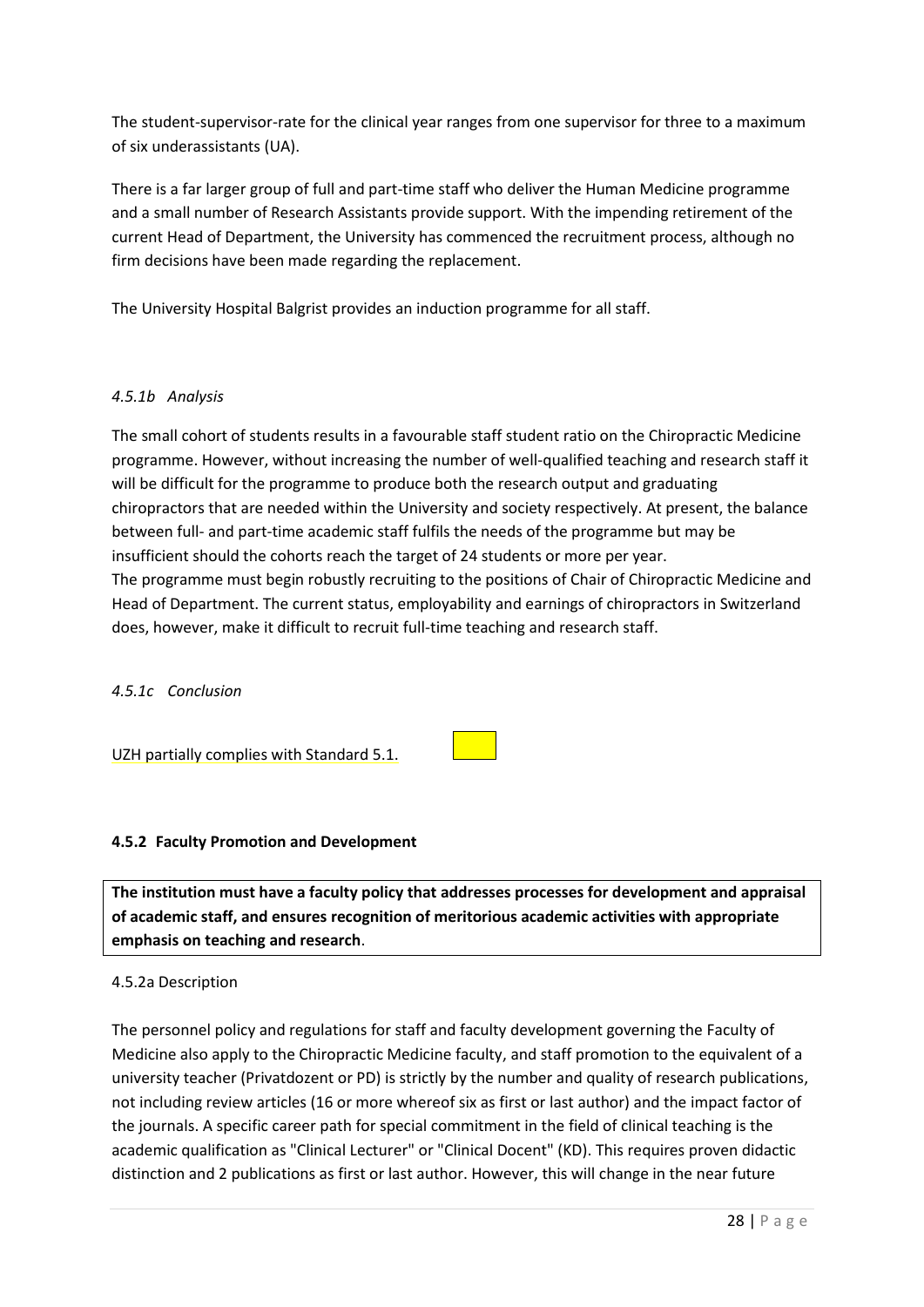The student-supervisor-rate for the clinical year ranges from one supervisor for three to a maximum of six underassistants (UA).

There is a far larger group of full and part-time staff who deliver the Human Medicine programme and a small number of Research Assistants provide support. With the impending retirement of the current Head of Department, the University has commenced the recruitment process, although no firm decisions have been made regarding the replacement.

The University Hospital Balgrist provides an induction programme for all staff.

# *4.5.1b Analysis*

The small cohort of students results in a favourable staff student ratio on the Chiropractic Medicine programme. However, without increasing the number of well-qualified teaching and research staff it will be difficult for the programme to produce both the research output and graduating chiropractors that are needed within the University and society respectively. At present, the balance between full- and part-time academic staff fulfils the needs of the programme but may be insufficient should the cohorts reach the target of 24 students or more per year. The programme must begin robustly recruiting to the positions of Chair of Chiropractic Medicine and Head of Department. The current status, employability and earnings of chiropractors in Switzerland does, however, make it difficult to recruit full-time teaching and research staff.

### *4.5.1c Conclusion*

UZH partially complies with Standard 5.1.

### **4.5.2 Faculty Promotion and Development**

**The institution must have a faculty policy that addresses processes for development and appraisal of academic staff, and ensures recognition of meritorious academic activities with appropriate emphasis on teaching and research**.

### 4.5.2a Description

The personnel policy and regulations for staff and faculty development governing the Faculty of Medicine also apply to the Chiropractic Medicine faculty, and staff promotion to the equivalent of a university teacher (Privatdozent or PD) is strictly by the number and quality of research publications, not including review articles (16 or more whereof six as first or last author) and the impact factor of the journals. A specific career path for special commitment in the field of clinical teaching is the academic qualification as "Clinical Lecturer" or "Clinical Docent" (KD). This requires proven didactic distinction and 2 publications as first or last author. However, this will change in the near future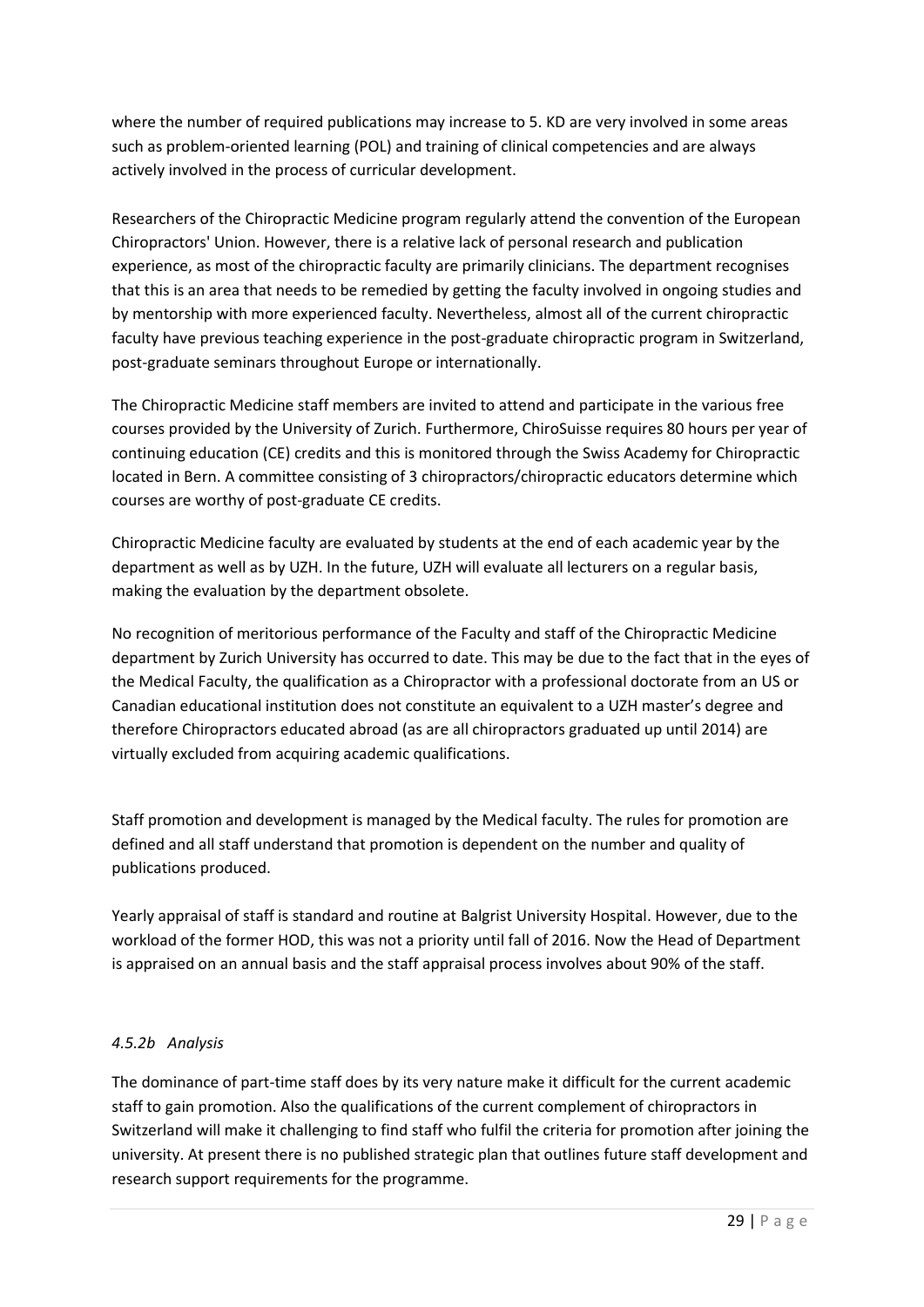where the number of required publications may increase to 5. KD are very involved in some areas such as problem-oriented learning (POL) and training of clinical competencies and are always actively involved in the process of curricular development.

Researchers of the Chiropractic Medicine program regularly attend the convention of the European Chiropractors' Union. However, there is a relative lack of personal research and publication experience, as most of the chiropractic faculty are primarily clinicians. The department recognises that this is an area that needs to be remedied by getting the faculty involved in ongoing studies and by mentorship with more experienced faculty. Nevertheless, almost all of the current chiropractic faculty have previous teaching experience in the post-graduate chiropractic program in Switzerland, post-graduate seminars throughout Europe or internationally.

The Chiropractic Medicine staff members are invited to attend and participate in the various free courses provided by the University of Zurich. Furthermore, ChiroSuisse requires 80 hours per year of continuing education (CE) credits and this is monitored through the Swiss Academy for Chiropractic located in Bern. A committee consisting of 3 chiropractors/chiropractic educators determine which courses are worthy of post-graduate CE credits.

Chiropractic Medicine faculty are evaluated by students at the end of each academic year by the department as well as by UZH. In the future, UZH will evaluate all lecturers on a regular basis, making the evaluation by the department obsolete.

No recognition of meritorious performance of the Faculty and staff of the Chiropractic Medicine department by Zurich University has occurred to date. This may be due to the fact that in the eyes of the Medical Faculty, the qualification as a Chiropractor with a professional doctorate from an US or Canadian educational institution does not constitute an equivalent to a UZH master's degree and therefore Chiropractors educated abroad (as are all chiropractors graduated up until 2014) are virtually excluded from acquiring academic qualifications.

Staff promotion and development is managed by the Medical faculty. The rules for promotion are defined and all staff understand that promotion is dependent on the number and quality of publications produced.

Yearly appraisal of staff is standard and routine at Balgrist University Hospital. However, due to the workload of the former HOD, this was not a priority until fall of 2016. Now the Head of Department is appraised on an annual basis and the staff appraisal process involves about 90% of the staff.

# *4.5.2b Analysis*

The dominance of part-time staff does by its very nature make it difficult for the current academic staff to gain promotion. Also the qualifications of the current complement of chiropractors in Switzerland will make it challenging to find staff who fulfil the criteria for promotion after joining the university. At present there is no published strategic plan that outlines future staff development and research support requirements for the programme.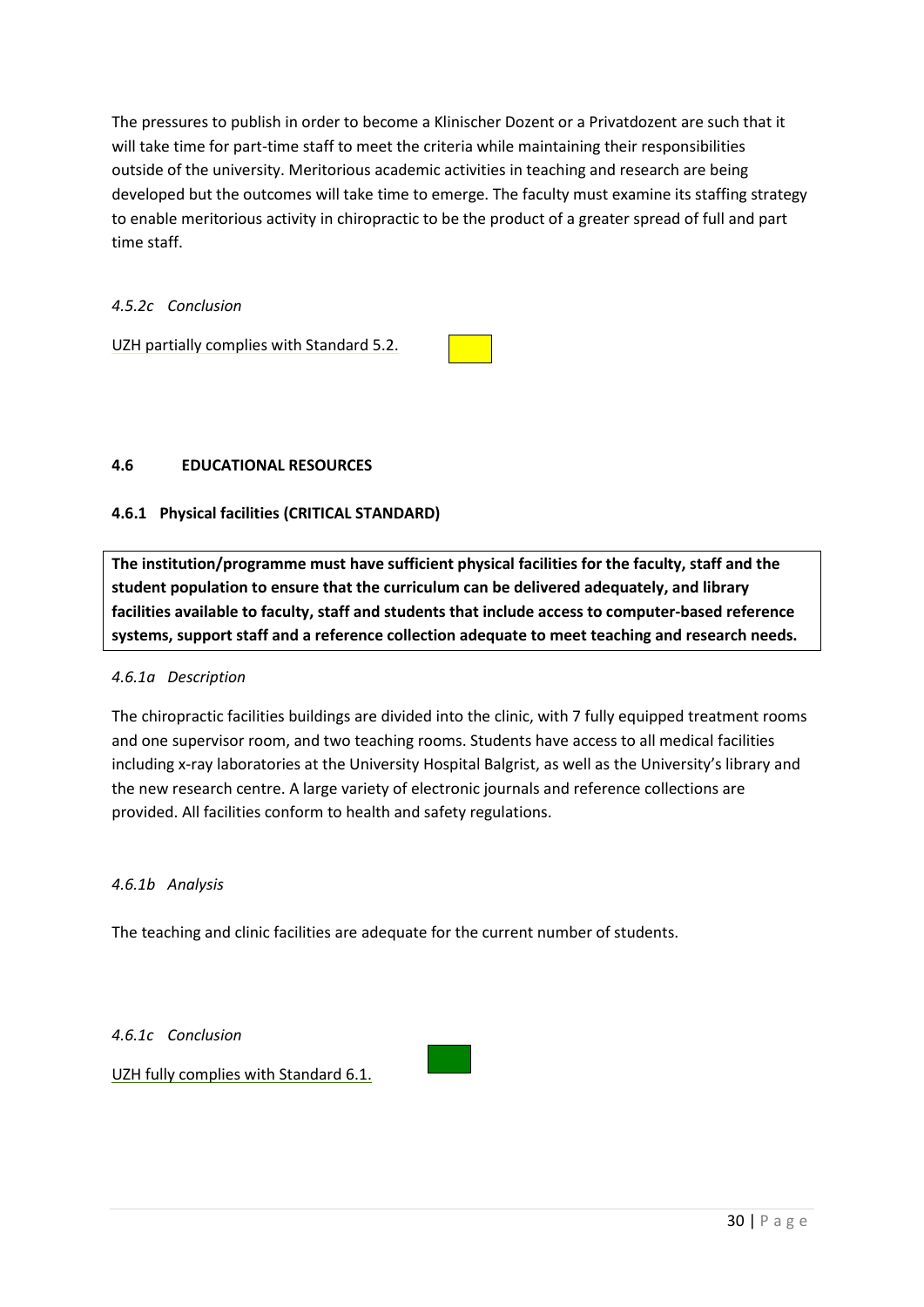The pressures to publish in order to become a Klinischer Dozent or a Privatdozent are such that it will take time for part-time staff to meet the criteria while maintaining their responsibilities outside of the university. Meritorious academic activities in teaching and research are being developed but the outcomes will take time to emerge. The faculty must examine its staffing strategy to enable meritorious activity in chiropractic to be the product of a greater spread of full and part time staff.

*4.5.2c Conclusion*

UZH partially complies with Standard 5.2.

### **4.6 EDUCATIONAL RESOURCES**

### **4.6.1 Physical facilities (CRITICAL STANDARD)**

**The institution/programme must have sufficient physical facilities for the faculty, staff and the student population to ensure that the curriculum can be delivered adequately, and library facilities available to faculty, staff and students that include access to computer-based reference systems, support staff and a reference collection adequate to meet teaching and research needs.** 

### *4.6.1a Description*

The chiropractic facilities buildings are divided into the clinic, with 7 fully equipped treatment rooms and one supervisor room, and two teaching rooms. Students have access to all medical facilities including x-ray laboratories at the University Hospital Balgrist, as well as the University's library and the new research centre. A large variety of electronic journals and reference collections are provided. All facilities conform to health and safety regulations.

### *4.6.1b Analysis*

The teaching and clinic facilities are adequate for the current number of students.

*4.6.1c Conclusion*

UZH fully complies with Standard 6.1.

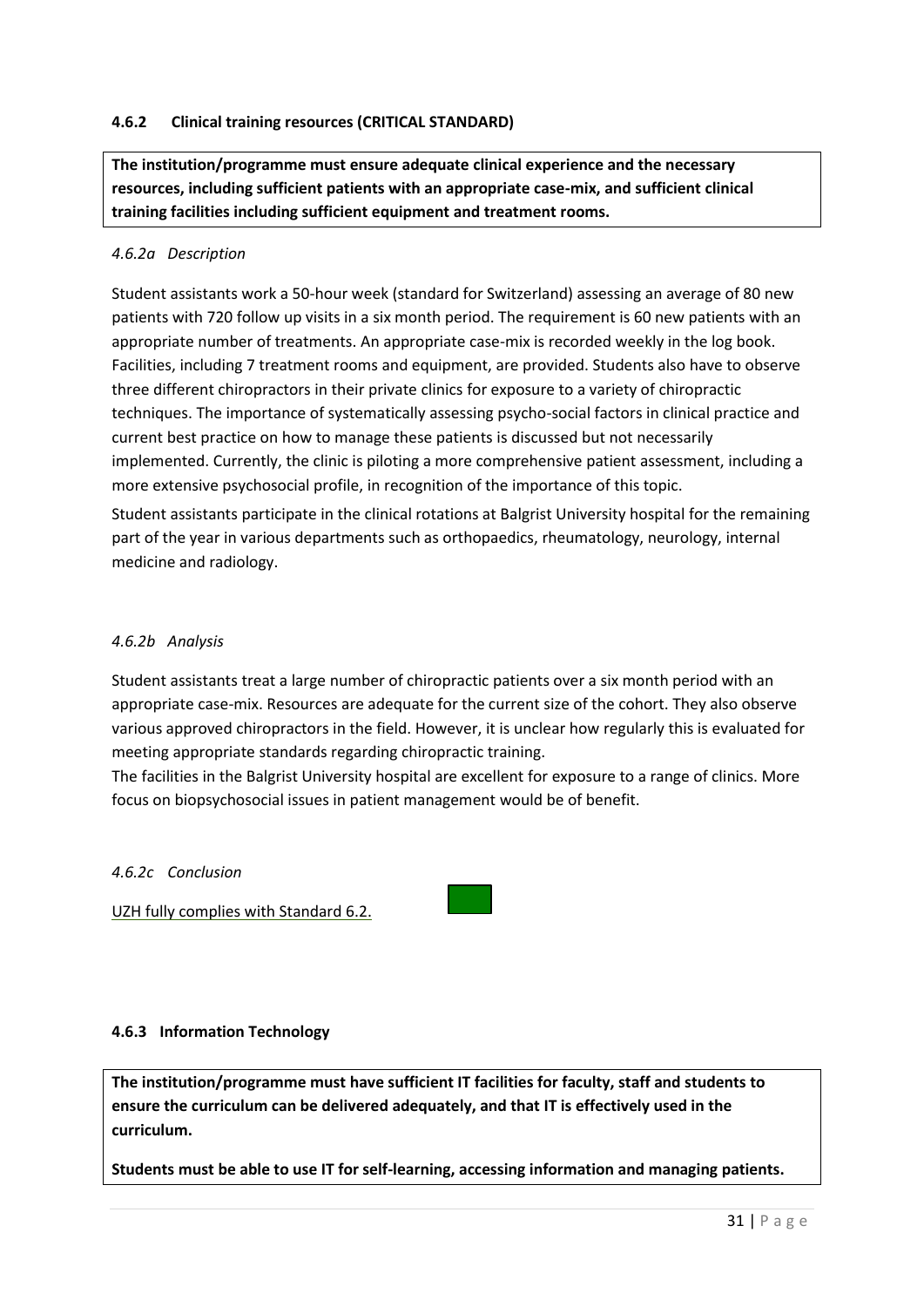# **4.6.2 Clinical training resources (CRITICAL STANDARD)**

**The institution/programme must ensure adequate clinical experience and the necessary resources, including sufficient patients with an appropriate case-mix, and sufficient clinical training facilities including sufficient equipment and treatment rooms.**

### *4.6.2a Description*

Student assistants work a 50-hour week (standard for Switzerland) assessing an average of 80 new patients with 720 follow up visits in a six month period. The requirement is 60 new patients with an appropriate number of treatments. An appropriate case-mix is recorded weekly in the log book. Facilities, including 7 treatment rooms and equipment, are provided. Students also have to observe three different chiropractors in their private clinics for exposure to a variety of chiropractic techniques. The importance of systematically assessing psycho-social factors in clinical practice and current best practice on how to manage these patients is discussed but not necessarily implemented. Currently, the clinic is piloting a more comprehensive patient assessment, including a more extensive psychosocial profile, in recognition of the importance of this topic. Student assistants participate in the clinical rotations at Balgrist University hospital for the remaining part of the year in various departments such as orthopaedics, rheumatology, neurology, internal medicine and radiology.

### *4.6.2b Analysis*

Student assistants treat a large number of chiropractic patients over a six month period with an appropriate case-mix. Resources are adequate for the current size of the cohort. They also observe various approved chiropractors in the field. However, it is unclear how regularly this is evaluated for meeting appropriate standards regarding chiropractic training.

The facilities in the Balgrist University hospital are excellent for exposure to a range of clinics. More focus on biopsychosocial issues in patient management would be of benefit.

### *4.6.2c Conclusion*

UZH fully complies with Standard 6.2.

### **4.6.3 Information Technology**

**The institution/programme must have sufficient IT facilities for faculty, staff and students to ensure the curriculum can be delivered adequately, and that IT is effectively used in the curriculum.** 

**Students must be able to use IT for self-learning, accessing information and managing patients.**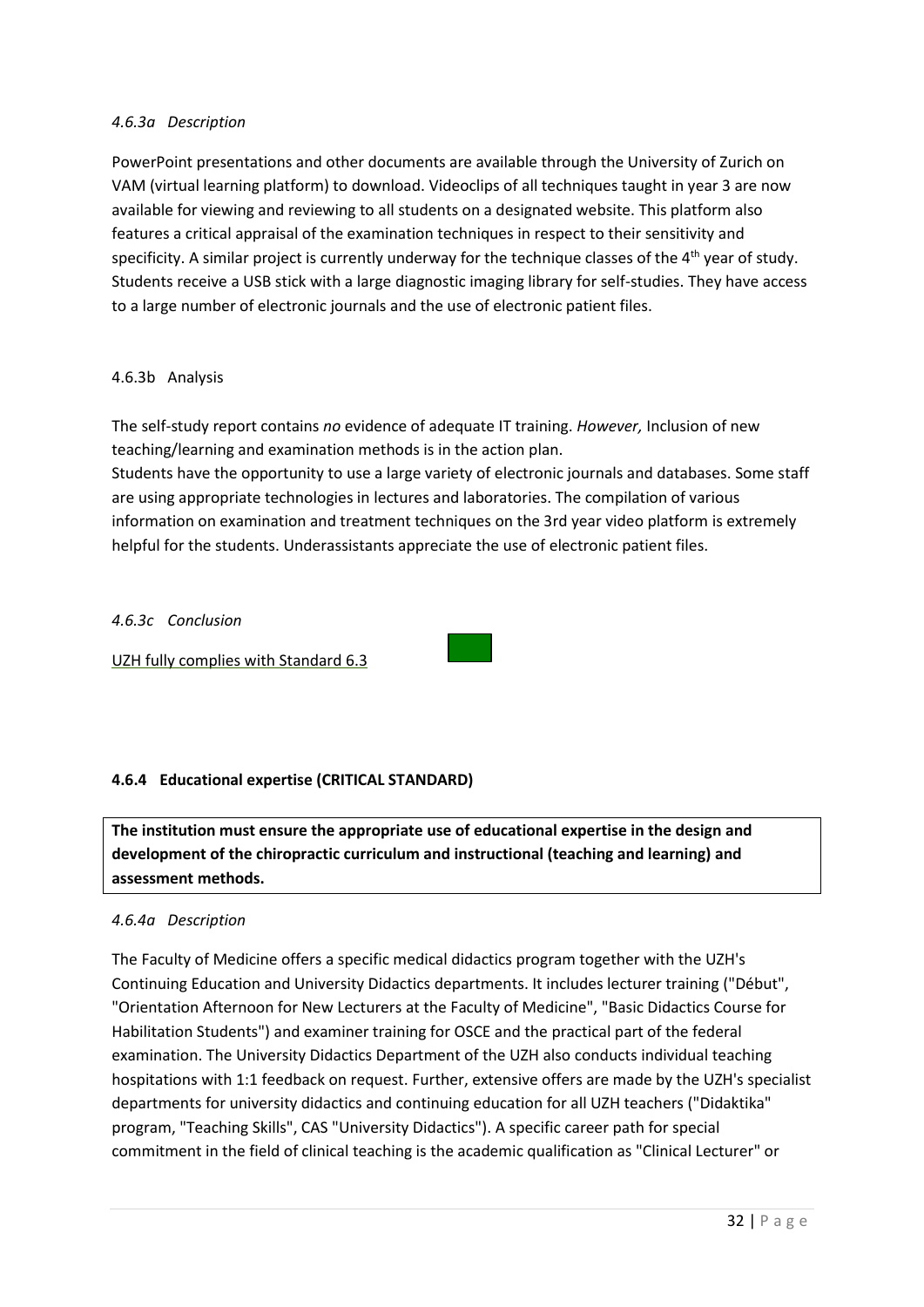### *4.6.3a Description*

PowerPoint presentations and other documents are available through the University of Zurich on VAM (virtual learning platform) to download. Videoclips of all techniques taught in year 3 are now available for viewing and reviewing to all students on a designated website. This platform also features a critical appraisal of the examination techniques in respect to their sensitivity and specificity. A similar project is currently underway for the technique classes of the  $4<sup>th</sup>$  year of study. Students receive a USB stick with a large diagnostic imaging library for self-studies. They have access to a large number of electronic journals and the use of electronic patient files.

### 4.6.3b Analysis

The self-study report contains *no* evidence of adequate IT training. *However,* Inclusion of new teaching/learning and examination methods is in the action plan.

Students have the opportunity to use a large variety of electronic journals and databases. Some staff are using appropriate technologies in lectures and laboratories. The compilation of various information on examination and treatment techniques on the 3rd year video platform is extremely helpful for the students. Underassistants appreciate the use of electronic patient files.

### *4.6.3c Conclusion*

UZH fully complies with Standard 6.3



**The institution must ensure the appropriate use of educational expertise in the design and development of the chiropractic curriculum and instructional (teaching and learning) and assessment methods.**

### *4.6.4a Description*

The Faculty of Medicine offers a specific medical didactics program together with the UZH's Continuing Education and University Didactics departments. It includes lecturer training ("Début", "Orientation Afternoon for New Lecturers at the Faculty of Medicine", "Basic Didactics Course for Habilitation Students") and examiner training for OSCE and the practical part of the federal examination. The University Didactics Department of the UZH also conducts individual teaching hospitations with 1:1 feedback on request. Further, extensive offers are made by the UZH's specialist departments for university didactics and continuing education for all UZH teachers ("Didaktika" program, "Teaching Skills", CAS "University Didactics"). A specific career path for special commitment in the field of clinical teaching is the academic qualification as "Clinical Lecturer" or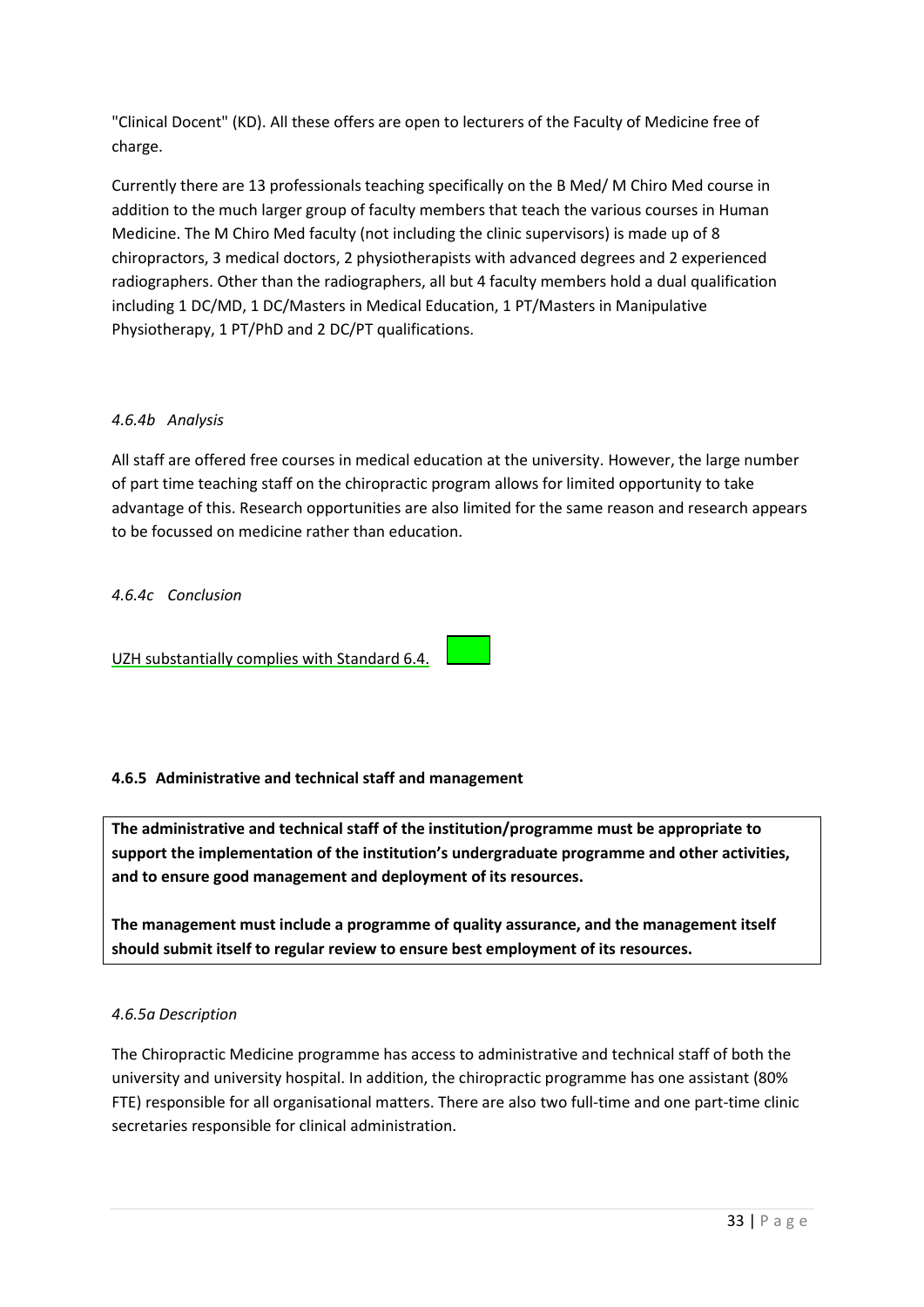"Clinical Docent" (KD). All these offers are open to lecturers of the Faculty of Medicine free of charge.

Currently there are 13 professionals teaching specifically on the B Med/ M Chiro Med course in addition to the much larger group of faculty members that teach the various courses in Human Medicine. The M Chiro Med faculty (not including the clinic supervisors) is made up of 8 chiropractors, 3 medical doctors, 2 physiotherapists with advanced degrees and 2 experienced radiographers. Other than the radiographers, all but 4 faculty members hold a dual qualification including 1 DC/MD, 1 DC/Masters in Medical Education, 1 PT/Masters in Manipulative Physiotherapy, 1 PT/PhD and 2 DC/PT qualifications.

# *4.6.4b Analysis*

All staff are offered free courses in medical education at the university. However, the large number of part time teaching staff on the chiropractic program allows for limited opportunity to take advantage of this. Research opportunities are also limited for the same reason and research appears to be focussed on medicine rather than education.

## *4.6.4c Conclusion*

UZH substantially complies with Standard 6.4.

# **4.6.5 Administrative and technical staff and management**

**The administrative and technical staff of the institution/programme must be appropriate to support the implementation of the institution's undergraduate programme and other activities, and to ensure good management and deployment of its resources.** 

**The management must include a programme of quality assurance, and the management itself should submit itself to regular review to ensure best employment of its resources.**

# *4.6.5a Description*

The Chiropractic Medicine programme has access to administrative and technical staff of both the university and university hospital. In addition, the chiropractic programme has one assistant (80% FTE) responsible for all organisational matters. There are also two full-time and one part-time clinic secretaries responsible for clinical administration.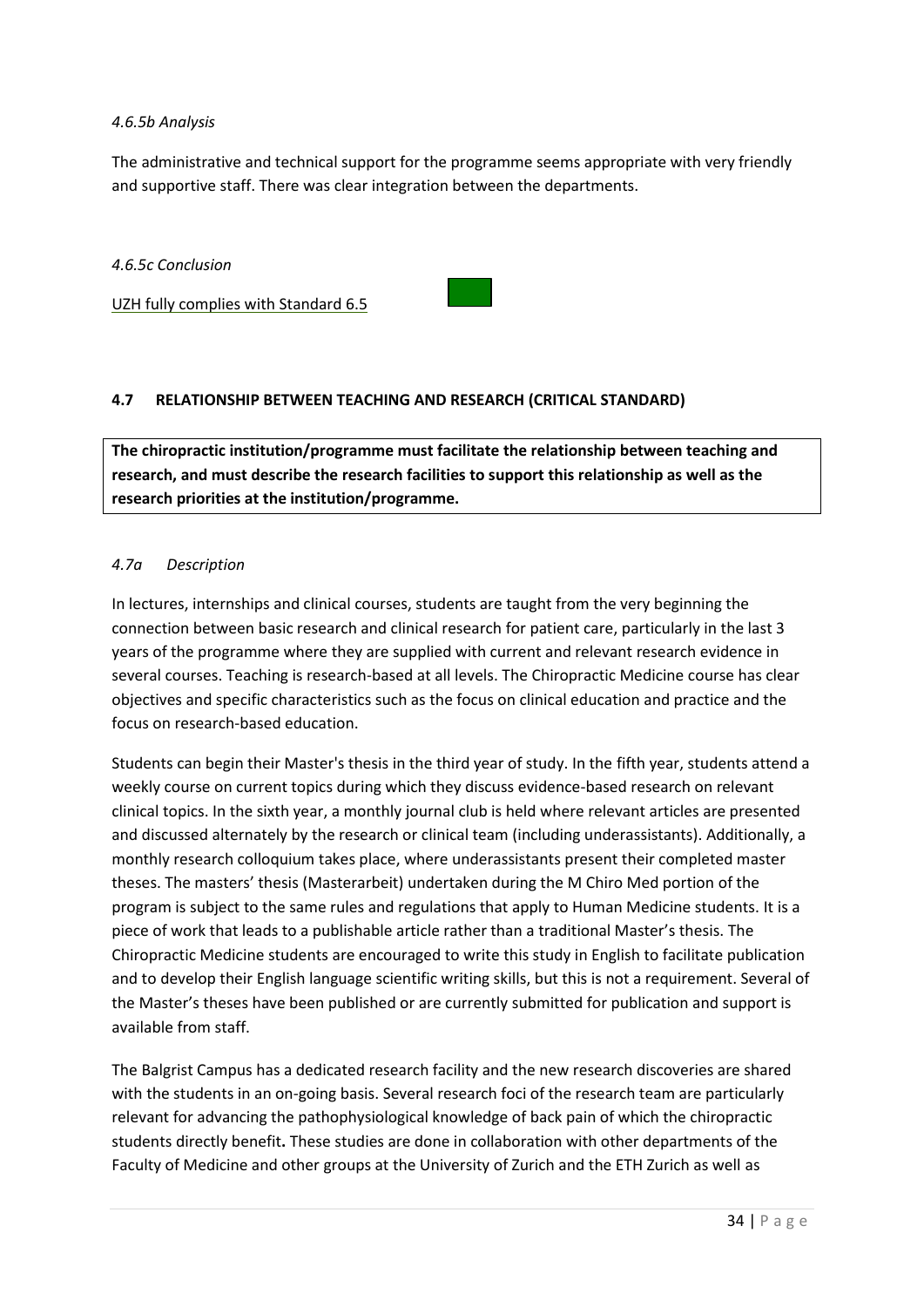### *4.6.5b Analysis*

The administrative and technical support for the programme seems appropriate with very friendly and supportive staff. There was clear integration between the departments.

### *4.6.5c Conclusion*

UZH fully complies with Standard 6.5



# **4.7 RELATIONSHIP BETWEEN TEACHING AND RESEARCH (CRITICAL STANDARD)**

**The chiropractic institution/programme must facilitate the relationship between teaching and research, and must describe the research facilities to support this relationship as well as the research priorities at the institution/programme.**

## *4.7a Description*

In lectures, internships and clinical courses, students are taught from the very beginning the connection between basic research and clinical research for patient care, particularly in the last 3 years of the programme where they are supplied with current and relevant research evidence in several courses. Teaching is research-based at all levels. The Chiropractic Medicine course has clear objectives and specific characteristics such as the focus on clinical education and practice and the focus on research-based education.

Students can begin their Master's thesis in the third year of study. In the fifth year, students attend a weekly course on current topics during which they discuss evidence-based research on relevant clinical topics. In the sixth year, a monthly journal club is held where relevant articles are presented and discussed alternately by the research or clinical team (including underassistants). Additionally, a monthly research colloquium takes place, where underassistants present their completed master theses. The masters' thesis (Masterarbeit) undertaken during the M Chiro Med portion of the program is subject to the same rules and regulations that apply to Human Medicine students. It is a piece of work that leads to a publishable article rather than a traditional Master's thesis. The Chiropractic Medicine students are encouraged to write this study in English to facilitate publication and to develop their English language scientific writing skills, but this is not a requirement. Several of the Master's theses have been published or are currently submitted for publication and support is available from staff.

The Balgrist Campus has a dedicated research facility and the new research discoveries are shared with the students in an on-going basis. Several research foci of the research team are particularly relevant for advancing the pathophysiological knowledge of back pain of which the chiropractic students directly benefit**.** These studies are done in collaboration with other departments of the Faculty of Medicine and other groups at the University of Zurich and the ETH Zurich as well as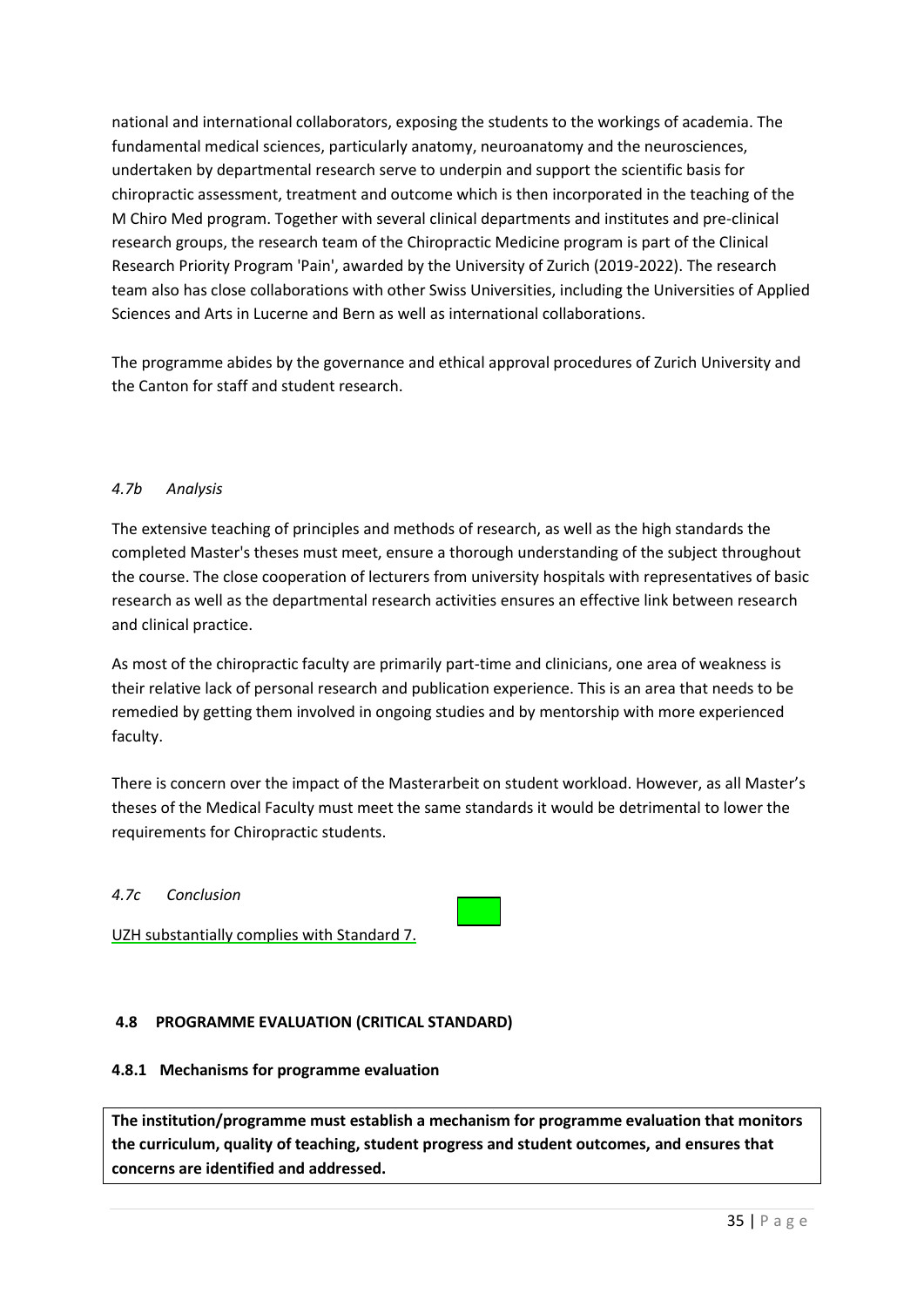national and international collaborators, exposing the students to the workings of academia. The fundamental medical sciences, particularly anatomy, neuroanatomy and the neurosciences, undertaken by departmental research serve to underpin and support the scientific basis for chiropractic assessment, treatment and outcome which is then incorporated in the teaching of the M Chiro Med program. Together with several clinical departments and institutes and pre-clinical research groups, the research team of the Chiropractic Medicine program is part of the Clinical Research Priority Program 'Pain', awarded by the University of Zurich (2019-2022). The research team also has close collaborations with other Swiss Universities, including the Universities of Applied Sciences and Arts in Lucerne and Bern as well as international collaborations.

The programme abides by the governance and ethical approval procedures of Zurich University and the Canton for staff and student research.

# *4.7b Analysis*

The extensive teaching of principles and methods of research, as well as the high standards the completed Master's theses must meet, ensure a thorough understanding of the subject throughout the course. The close cooperation of lecturers from university hospitals with representatives of basic research as well as the departmental research activities ensures an effective link between research and clinical practice.

As most of the chiropractic faculty are primarily part-time and clinicians, one area of weakness is their relative lack of personal research and publication experience. This is an area that needs to be remedied by getting them involved in ongoing studies and by mentorship with more experienced faculty.

There is concern over the impact of the Masterarbeit on student workload. However, as all Master's theses of the Medical Faculty must meet the same standards it would be detrimental to lower the requirements for Chiropractic students.

### *4.7c Conclusion*

UZH substantially complies with Standard 7.

# **4.8 PROGRAMME EVALUATION (CRITICAL STANDARD)**

### **4.8.1 Mechanisms for programme evaluation**

**The institution/programme must establish a mechanism for programme evaluation that monitors the curriculum, quality of teaching, student progress and student outcomes, and ensures that concerns are identified and addressed.**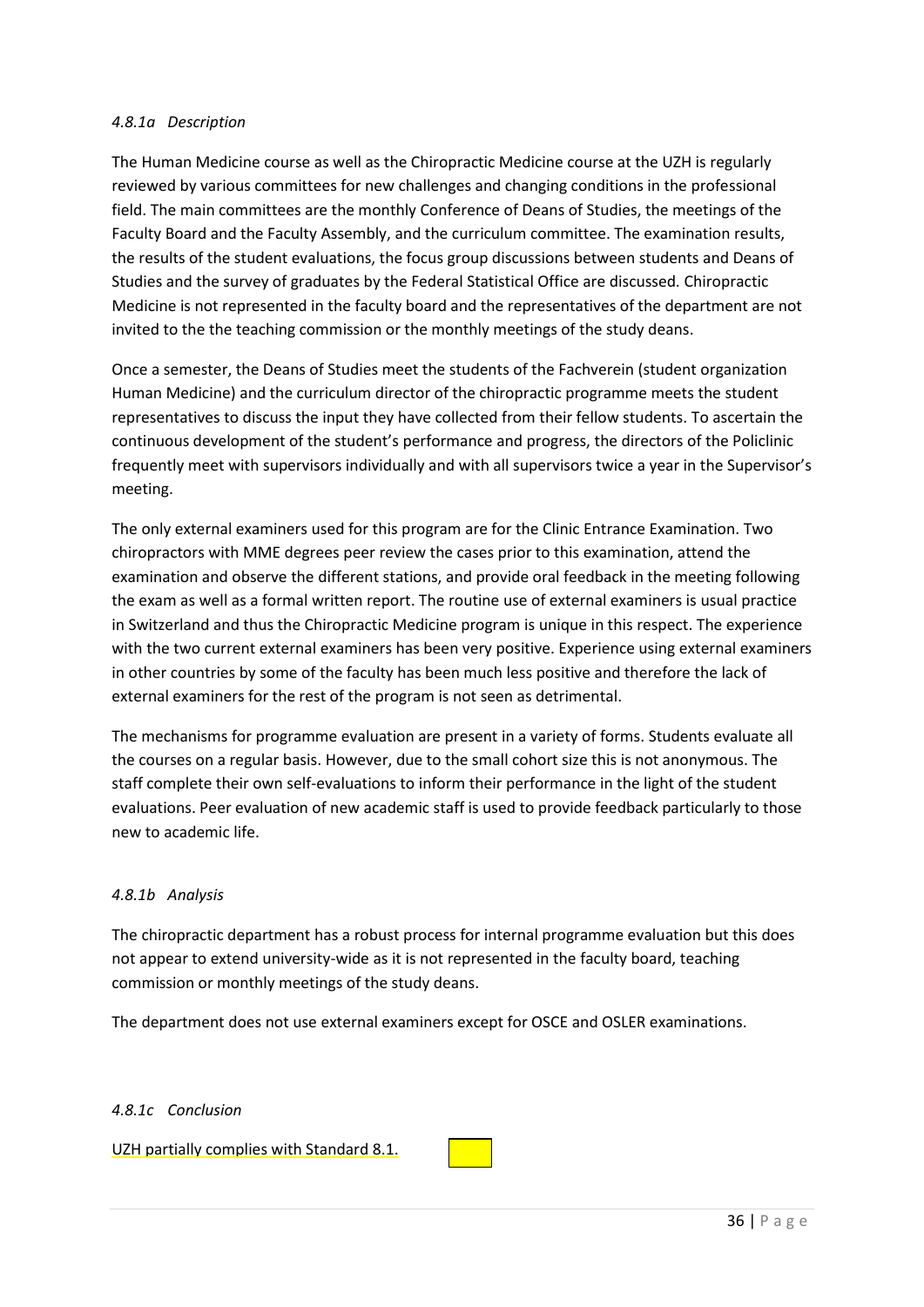### *4.8.1a Description*

The Human Medicine course as well as the Chiropractic Medicine course at the UZH is regularly reviewed by various committees for new challenges and changing conditions in the professional field. The main committees are the monthly Conference of Deans of Studies, the meetings of the Faculty Board and the Faculty Assembly, and the curriculum committee. The examination results, the results of the student evaluations, the focus group discussions between students and Deans of Studies and the survey of graduates by the Federal Statistical Office are discussed. Chiropractic Medicine is not represented in the faculty board and the representatives of the department are not invited to the the teaching commission or the monthly meetings of the study deans.

Once a semester, the Deans of Studies meet the students of the Fachverein (student organization Human Medicine) and the curriculum director of the chiropractic programme meets the student representatives to discuss the input they have collected from their fellow students. To ascertain the continuous development of the student's performance and progress, the directors of the Policlinic frequently meet with supervisors individually and with all supervisors twice a year in the Supervisor's meeting.

The only external examiners used for this program are for the Clinic Entrance Examination. Two chiropractors with MME degrees peer review the cases prior to this examination, attend the examination and observe the different stations, and provide oral feedback in the meeting following the exam as well as a formal written report. The routine use of external examiners is usual practice in Switzerland and thus the Chiropractic Medicine program is unique in this respect. The experience with the two current external examiners has been very positive. Experience using external examiners in other countries by some of the faculty has been much less positive and therefore the lack of external examiners for the rest of the program is not seen as detrimental.

The mechanisms for programme evaluation are present in a variety of forms. Students evaluate all the courses on a regular basis. However, due to the small cohort size this is not anonymous. The staff complete their own self-evaluations to inform their performance in the light of the student evaluations. Peer evaluation of new academic staff is used to provide feedback particularly to those new to academic life.

### *4.8.1b Analysis*

The chiropractic department has a robust process for internal programme evaluation but this does not appear to extend university-wide as it is not represented in the faculty board, teaching commission or monthly meetings of the study deans.

The department does not use external examiners except for OSCE and OSLER examinations.

### *4.8.1c Conclusion*

UZH partially complies with Standard 8.1.

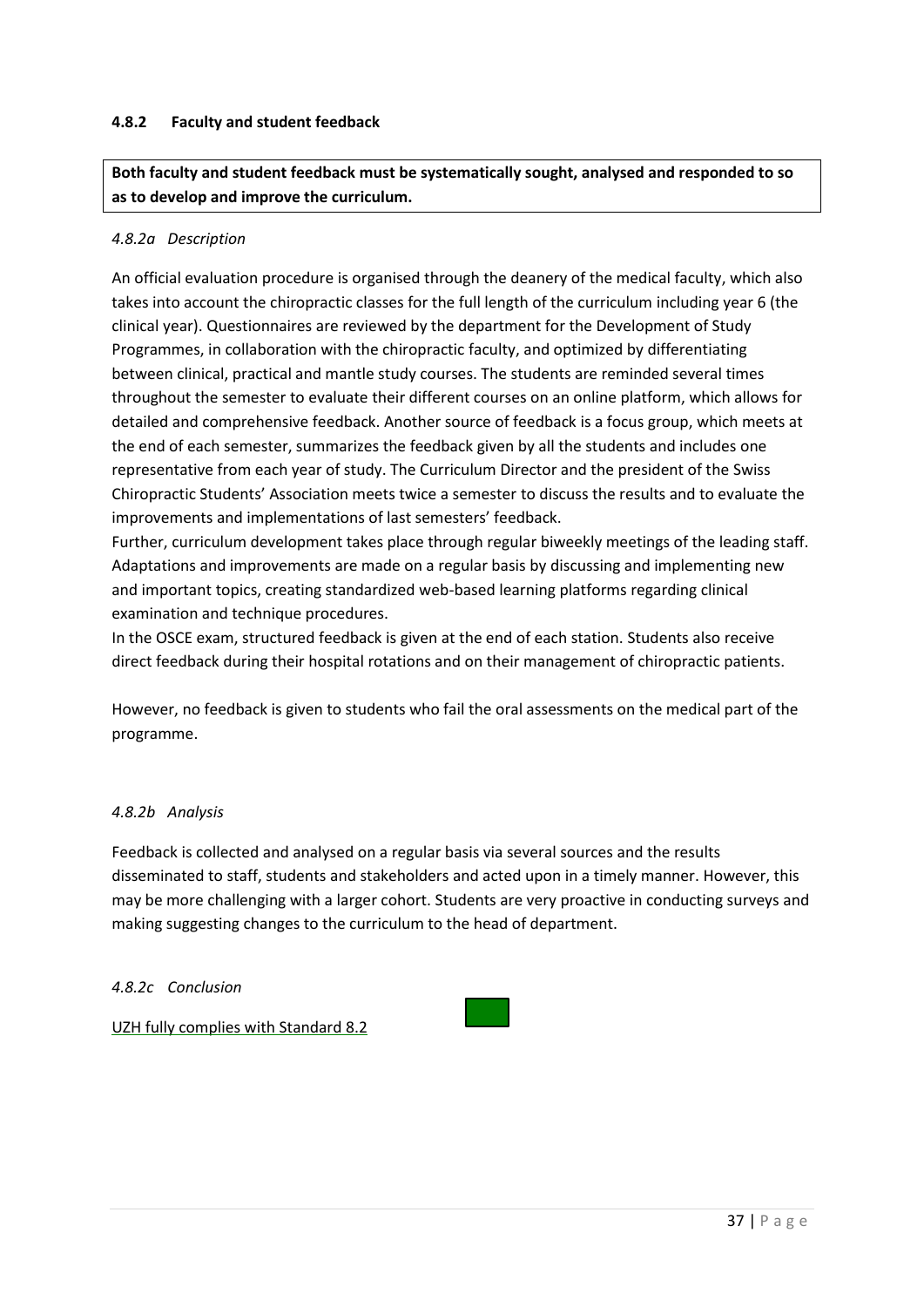# **4.8.2 Faculty and student feedback**

**Both faculty and student feedback must be systematically sought, analysed and responded to so as to develop and improve the curriculum.**

### *4.8.2a Description*

An official evaluation procedure is organised through the deanery of the medical faculty, which also takes into account the chiropractic classes for the full length of the curriculum including year 6 (the clinical year). Questionnaires are reviewed by the department for the Development of Study Programmes, in collaboration with the chiropractic faculty, and optimized by differentiating between clinical, practical and mantle study courses. The students are reminded several times throughout the semester to evaluate their different courses on an online platform, which allows for detailed and comprehensive feedback. Another source of feedback is a focus group, which meets at the end of each semester, summarizes the feedback given by all the students and includes one representative from each year of study. The Curriculum Director and the president of the Swiss Chiropractic Students' Association meets twice a semester to discuss the results and to evaluate the improvements and implementations of last semesters' feedback.

Further, curriculum development takes place through regular biweekly meetings of the leading staff. Adaptations and improvements are made on a regular basis by discussing and implementing new and important topics, creating standardized web-based learning platforms regarding clinical examination and technique procedures.

In the OSCE exam, structured feedback is given at the end of each station. Students also receive direct feedback during their hospital rotations and on their management of chiropractic patients.

However, no feedback is given to students who fail the oral assessments on the medical part of the programme.

### *4.8.2b Analysis*

Feedback is collected and analysed on a regular basis via several sources and the results disseminated to staff, students and stakeholders and acted upon in a timely manner. However, this may be more challenging with a larger cohort. Students are very proactive in conducting surveys and making suggesting changes to the curriculum to the head of department.

### *4.8.2c Conclusion*

UZH fully complies with Standard 8.2

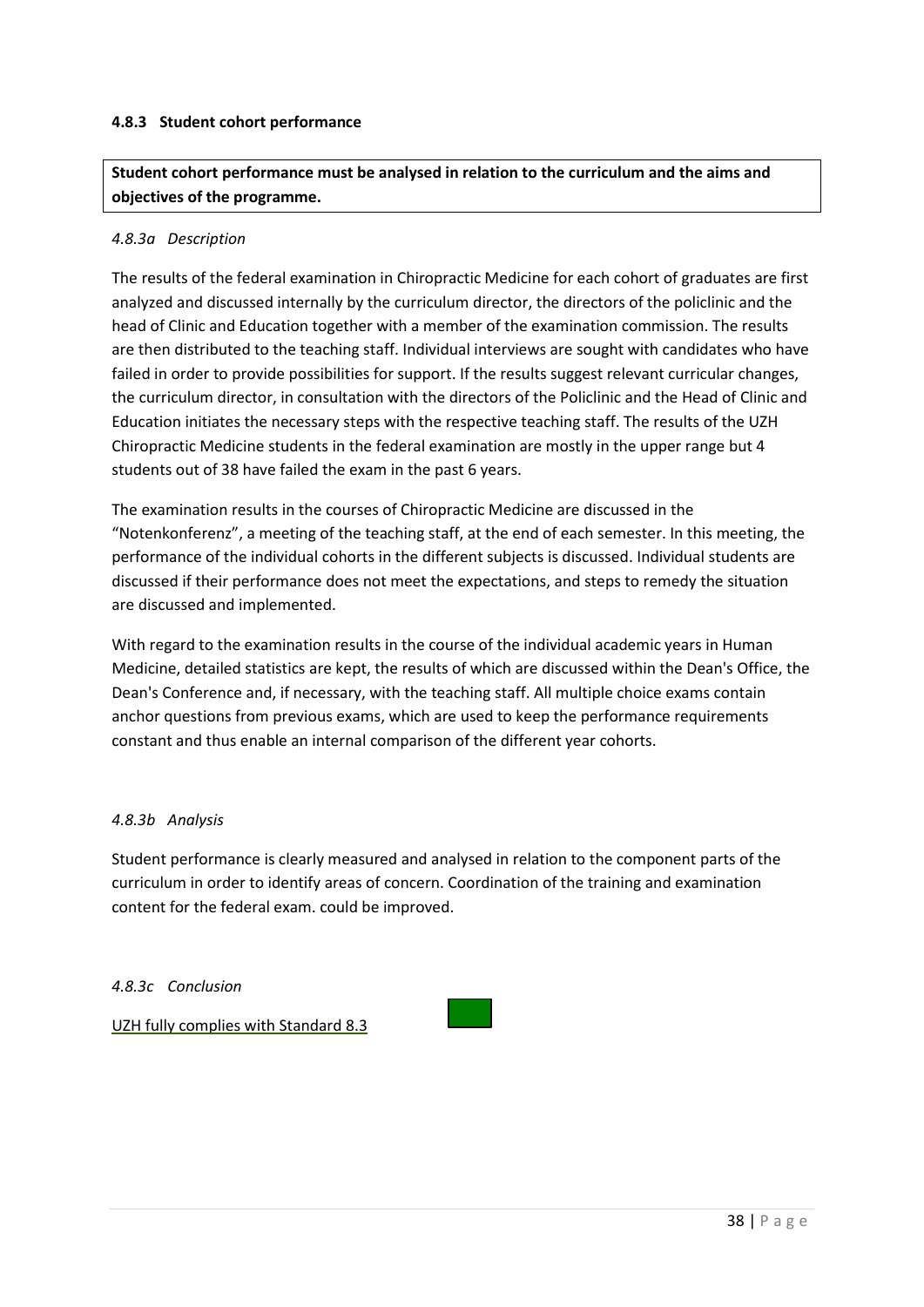## **4.8.3 Student cohort performance**

**Student cohort performance must be analysed in relation to the curriculum and the aims and objectives of the programme.**

### *4.8.3a Description*

The results of the federal examination in Chiropractic Medicine for each cohort of graduates are first analyzed and discussed internally by the curriculum director, the directors of the policlinic and the head of Clinic and Education together with a member of the examination commission. The results are then distributed to the teaching staff. Individual interviews are sought with candidates who have failed in order to provide possibilities for support. If the results suggest relevant curricular changes, the curriculum director, in consultation with the directors of the Policlinic and the Head of Clinic and Education initiates the necessary steps with the respective teaching staff. The results of the UZH Chiropractic Medicine students in the federal examination are mostly in the upper range but 4 students out of 38 have failed the exam in the past 6 years.

The examination results in the courses of Chiropractic Medicine are discussed in the "Notenkonferenz", a meeting of the teaching staff, at the end of each semester. In this meeting, the performance of the individual cohorts in the different subjects is discussed. Individual students are discussed if their performance does not meet the expectations, and steps to remedy the situation are discussed and implemented.

With regard to the examination results in the course of the individual academic years in Human Medicine, detailed statistics are kept, the results of which are discussed within the Dean's Office, the Dean's Conference and, if necessary, with the teaching staff. All multiple choice exams contain anchor questions from previous exams, which are used to keep the performance requirements constant and thus enable an internal comparison of the different year cohorts.

### *4.8.3b Analysis*

Student performance is clearly measured and analysed in relation to the component parts of the curriculum in order to identify areas of concern. Coordination of the training and examination content for the federal exam. could be improved.

### *4.8.3c Conclusion*

UZH fully complies with Standard 8.3

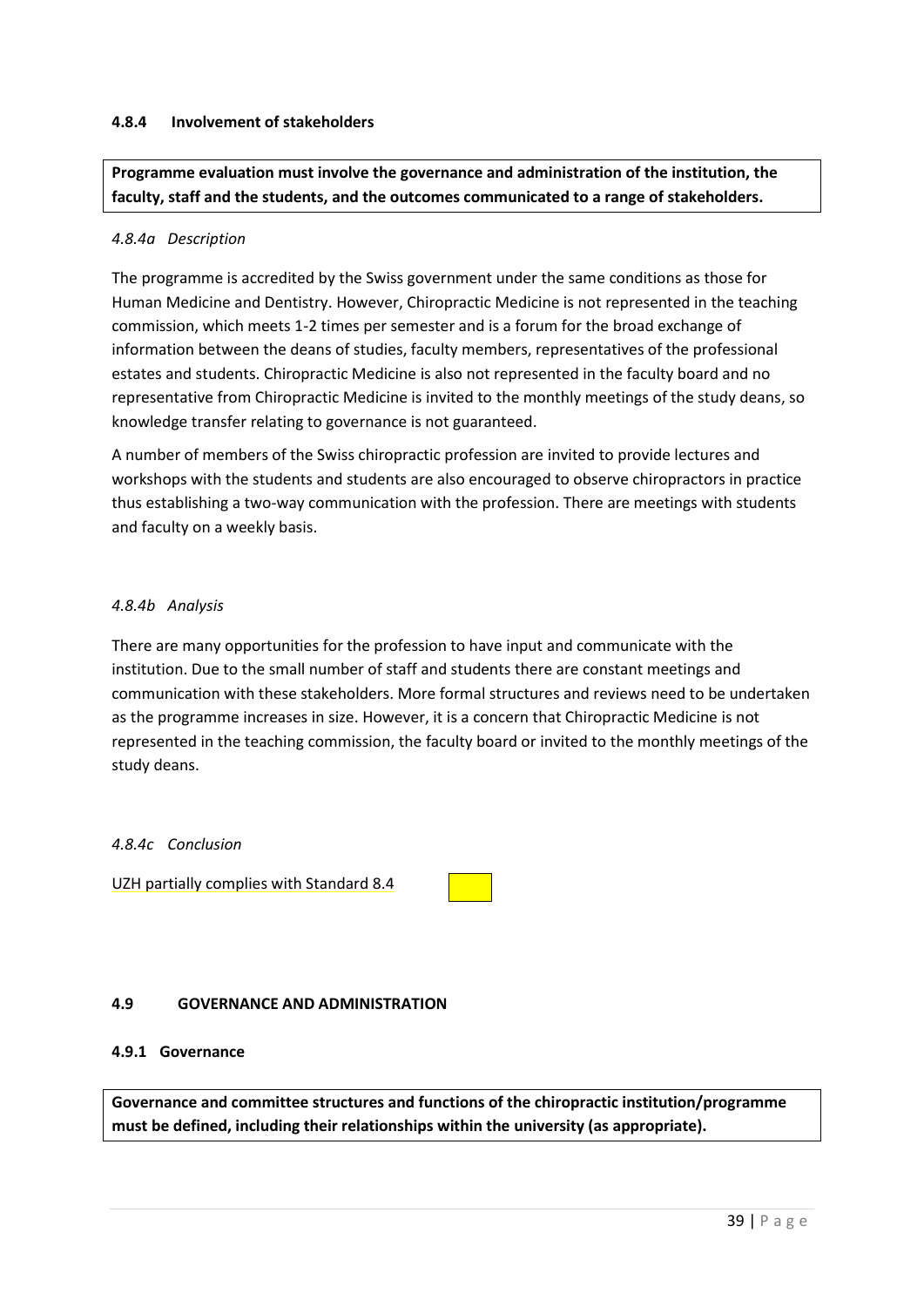### **4.8.4 Involvement of stakeholders**

**Programme evaluation must involve the governance and administration of the institution, the faculty, staff and the students, and the outcomes communicated to a range of stakeholders.**

### *4.8.4a Description*

The programme is accredited by the Swiss government under the same conditions as those for Human Medicine and Dentistry. However, Chiropractic Medicine is not represented in the teaching commission, which meets 1-2 times per semester and is a forum for the broad exchange of information between the deans of studies, faculty members, representatives of the professional estates and students. Chiropractic Medicine is also not represented in the faculty board and no representative from Chiropractic Medicine is invited to the monthly meetings of the study deans, so knowledge transfer relating to governance is not guaranteed.

A number of members of the Swiss chiropractic profession are invited to provide lectures and workshops with the students and students are also encouraged to observe chiropractors in practice thus establishing a two-way communication with the profession. There are meetings with students and faculty on a weekly basis.

## *4.8.4b Analysis*

There are many opportunities for the profession to have input and communicate with the institution. Due to the small number of staff and students there are constant meetings and communication with these stakeholders. More formal structures and reviews need to be undertaken as the programme increases in size. However, it is a concern that Chiropractic Medicine is not represented in the teaching commission, the faculty board or invited to the monthly meetings of the study deans.

### *4.8.4c Conclusion*

UZH partially complies with Standard 8.4

# **4.9 GOVERNANCE AND ADMINISTRATION**

### **4.9.1 Governance**

**Governance and committee structures and functions of the chiropractic institution/programme must be defined, including their relationships within the university (as appropriate).**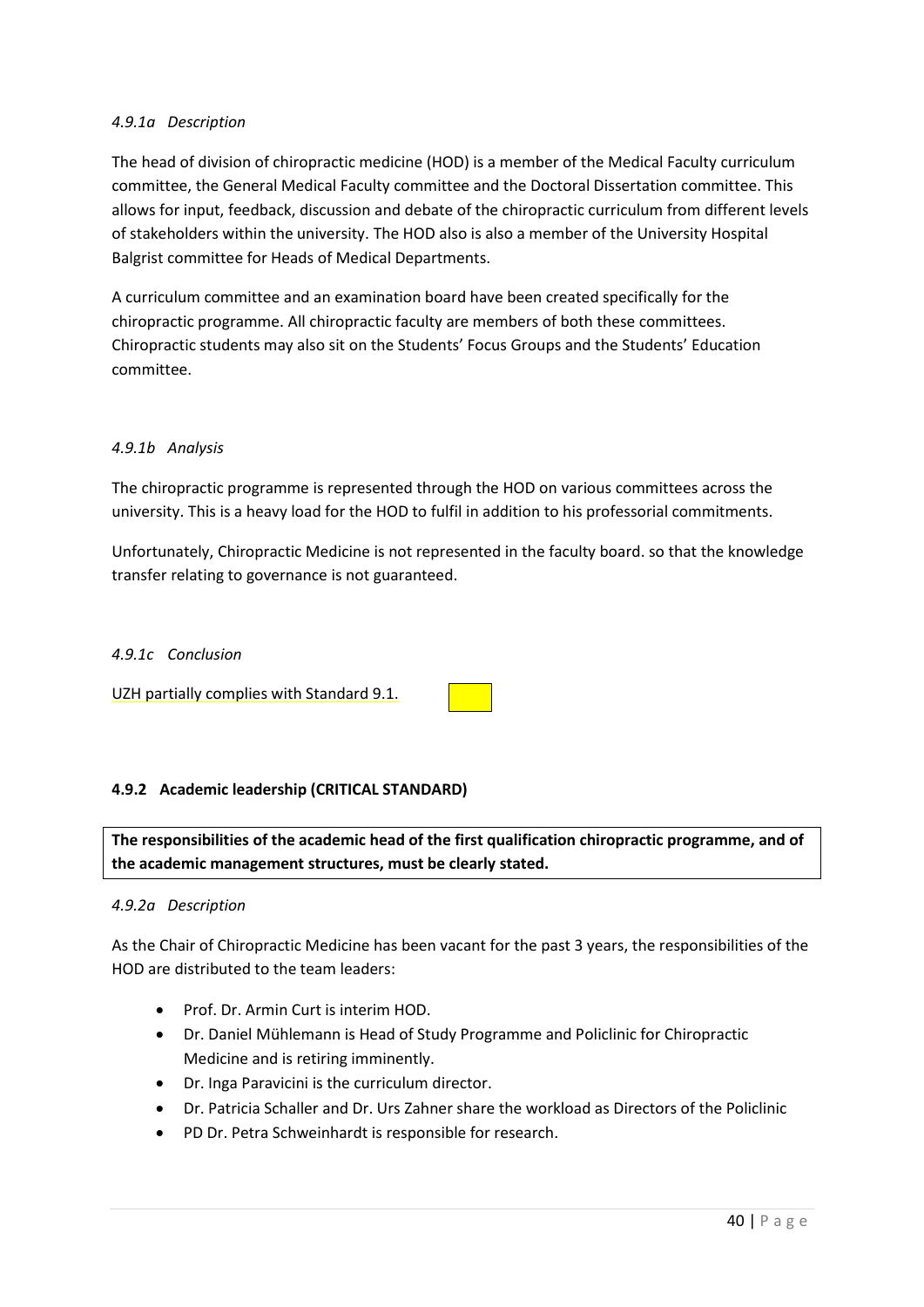## *4.9.1a Description*

The head of division of chiropractic medicine (HOD) is a member of the Medical Faculty curriculum committee, the General Medical Faculty committee and the Doctoral Dissertation committee. This allows for input, feedback, discussion and debate of the chiropractic curriculum from different levels of stakeholders within the university. The HOD also is also a member of the University Hospital Balgrist committee for Heads of Medical Departments.

A curriculum committee and an examination board have been created specifically for the chiropractic programme. All chiropractic faculty are members of both these committees. Chiropractic students may also sit on the Students' Focus Groups and the Students' Education committee.

## *4.9.1b Analysis*

The chiropractic programme is represented through the HOD on various committees across the university. This is a heavy load for the HOD to fulfil in addition to his professorial commitments.

Unfortunately, Chiropractic Medicine is not represented in the faculty board. so that the knowledge transfer relating to governance is not guaranteed.

### *4.9.1c Conclusion*

UZH partially complies with Standard 9.1.

### **4.9.2 Academic leadership (CRITICAL STANDARD)**

**The responsibilities of the academic head of the first qualification chiropractic programme, and of the academic management structures, must be clearly stated.**

### *4.9.2a Description*

As the Chair of Chiropractic Medicine has been vacant for the past 3 years, the responsibilities of the HOD are distributed to the team leaders:

- Prof. Dr. Armin Curt is interim HOD.
- Dr. Daniel Mühlemann is Head of Study Programme and Policlinic for Chiropractic Medicine and is retiring imminently.
- Dr. Inga Paravicini is the curriculum director.
- Dr. Patricia Schaller and Dr. Urs Zahner share the workload as Directors of the Policlinic
- PD Dr. Petra Schweinhardt is responsible for research.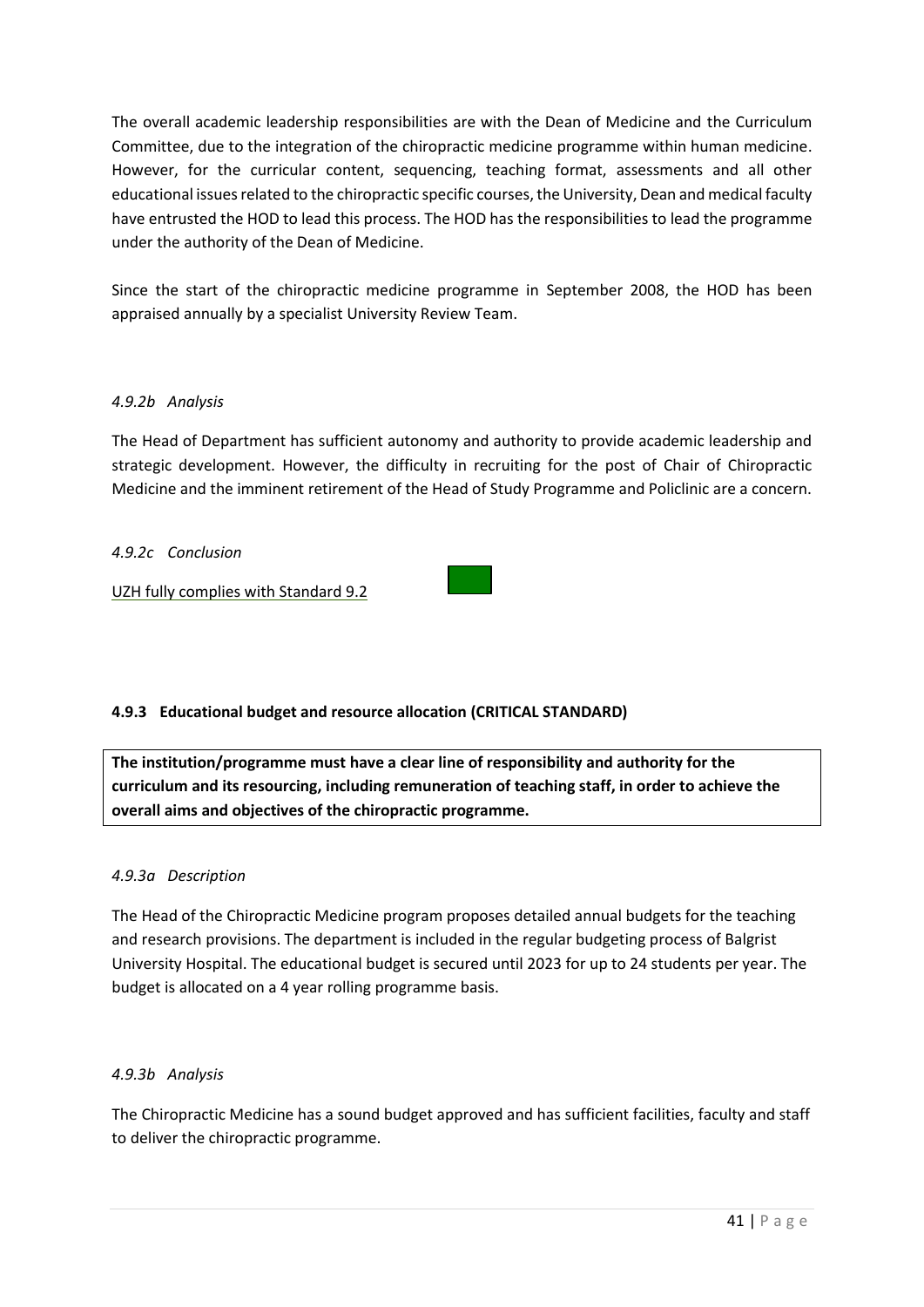The overall academic leadership responsibilities are with the Dean of Medicine and the Curriculum Committee, due to the integration of the chiropractic medicine programme within human medicine. However, for the curricular content, sequencing, teaching format, assessments and all other educational issues related to the chiropractic specific courses, the University, Dean and medical faculty have entrusted the HOD to lead this process. The HOD has the responsibilities to lead the programme under the authority of the Dean of Medicine.

Since the start of the chiropractic medicine programme in September 2008, the HOD has been appraised annually by a specialist University Review Team.

## *4.9.2b Analysis*

The Head of Department has sufficient autonomy and authority to provide academic leadership and strategic development. However, the difficulty in recruiting for the post of Chair of Chiropractic Medicine and the imminent retirement of the Head of Study Programme and Policlinic are a concern.

### *4.9.2c Conclusion*

UZH fully complies with Standard 9.2



**The institution/programme must have a clear line of responsibility and authority for the curriculum and its resourcing, including remuneration of teaching staff, in order to achieve the overall aims and objectives of the chiropractic programme.**

### *4.9.3a Description*

The Head of the Chiropractic Medicine program proposes detailed annual budgets for the teaching and research provisions. The department is included in the regular budgeting process of Balgrist University Hospital. The educational budget is secured until 2023 for up to 24 students per year. The budget is allocated on a 4 year rolling programme basis.

### *4.9.3b Analysis*

The Chiropractic Medicine has a sound budget approved and has sufficient facilities, faculty and staff to deliver the chiropractic programme.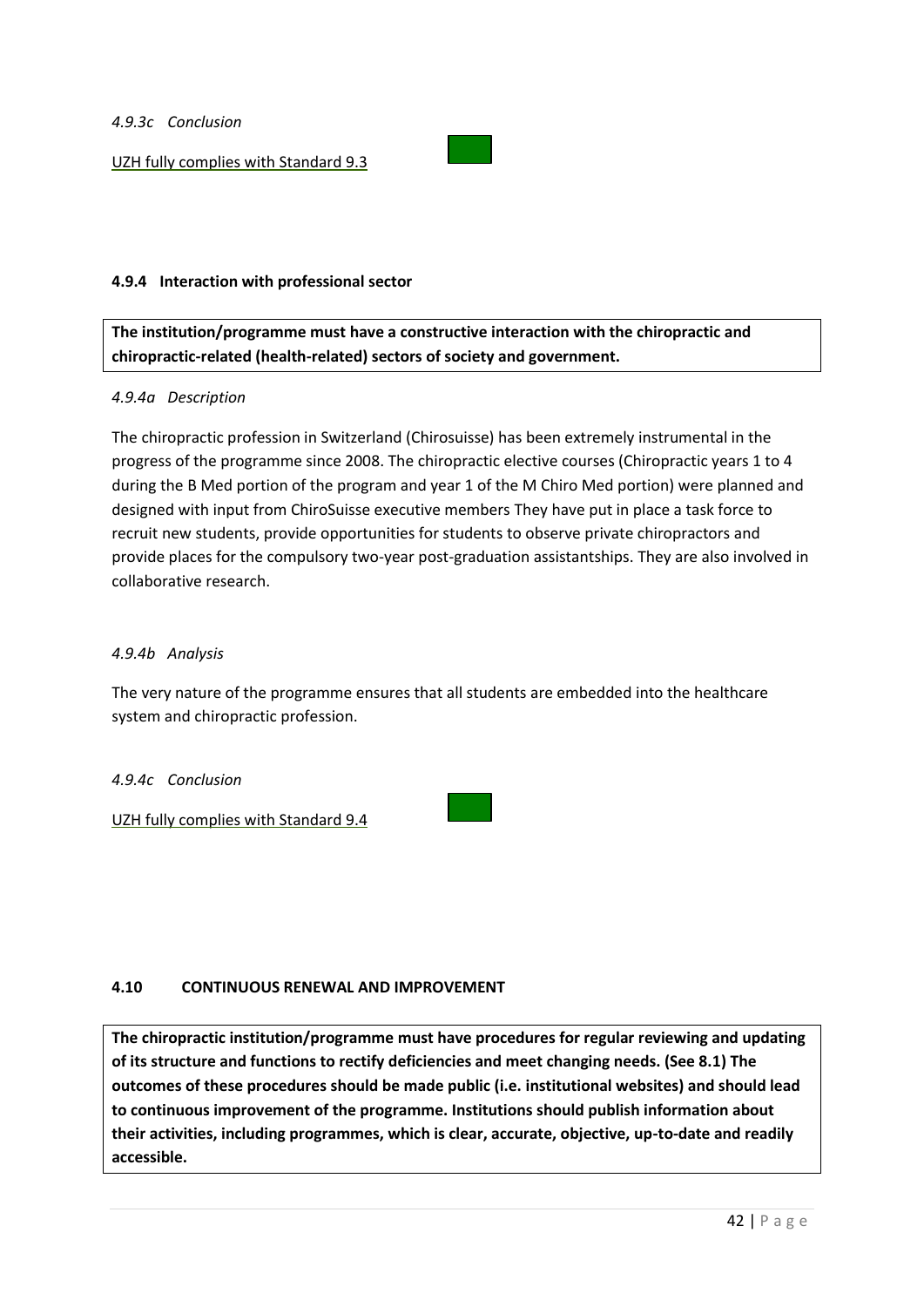### *4.9.3c Conclusion*

UZH fully complies with Standard 9.3



### **4.9.4 Interaction with professional sector**

**The institution/programme must have a constructive interaction with the chiropractic and chiropractic-related (health-related) sectors of society and government.**

### *4.9.4a Description*

The chiropractic profession in Switzerland (Chirosuisse) has been extremely instrumental in the progress of the programme since 2008. The chiropractic elective courses (Chiropractic years 1 to 4 during the B Med portion of the program and year 1 of the M Chiro Med portion) were planned and designed with input from ChiroSuisse executive members They have put in place a task force to recruit new students, provide opportunities for students to observe private chiropractors and provide places for the compulsory two-year post-graduation assistantships. They are also involved in collaborative research.

### *4.9.4b Analysis*

The very nature of the programme ensures that all students are embedded into the healthcare system and chiropractic profession.

### *4.9.4c Conclusion*

UZH fully complies with Standard 9.4



### **4.10 CONTINUOUS RENEWAL AND IMPROVEMENT**

**The chiropractic institution/programme must have procedures for regular reviewing and updating of its structure and functions to rectify deficiencies and meet changing needs. (See 8.1) The outcomes of these procedures should be made public (i.e. institutional websites) and should lead to continuous improvement of the programme. Institutions should publish information about their activities, including programmes, which is clear, accurate, objective, up-to-date and readily accessible.**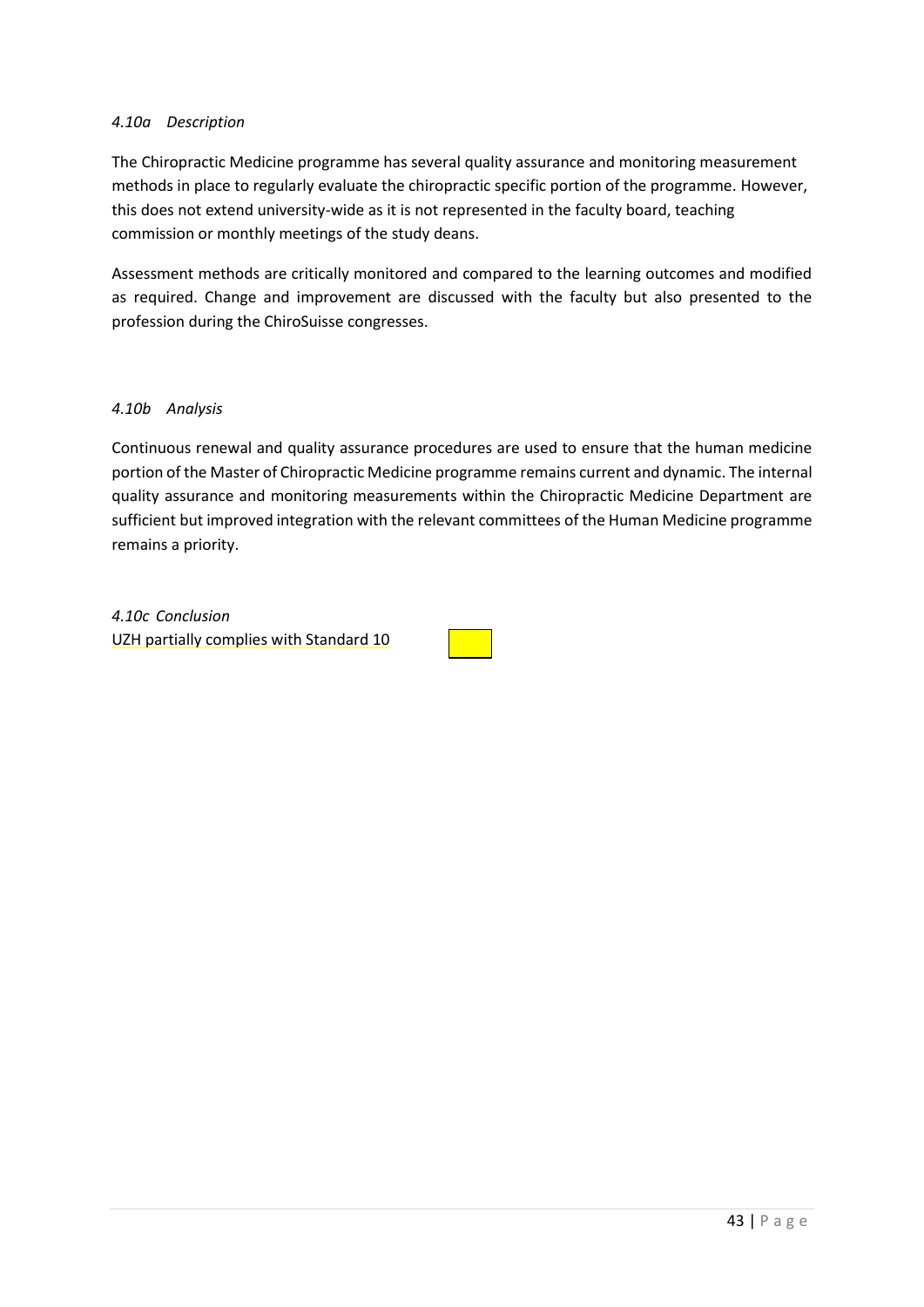### *4.10a Description*

The Chiropractic Medicine programme has several quality assurance and monitoring measurement methods in place to regularly evaluate the chiropractic specific portion of the programme. However, this does not extend university-wide as it is not represented in the faculty board, teaching commission or monthly meetings of the study deans.

Assessment methods are critically monitored and compared to the learning outcomes and modified as required. Change and improvement are discussed with the faculty but also presented to the profession during the ChiroSuisse congresses.

### *4.10b Analysis*

Continuous renewal and quality assurance procedures are used to ensure that the human medicine portion of the Master of Chiropractic Medicine programme remains current and dynamic. The internal quality assurance and monitoring measurements within the Chiropractic Medicine Department are sufficient but improved integration with the relevant committees of the Human Medicine programme remains a priority.

*4.10c Conclusion* UZH partially complies with Standard 10

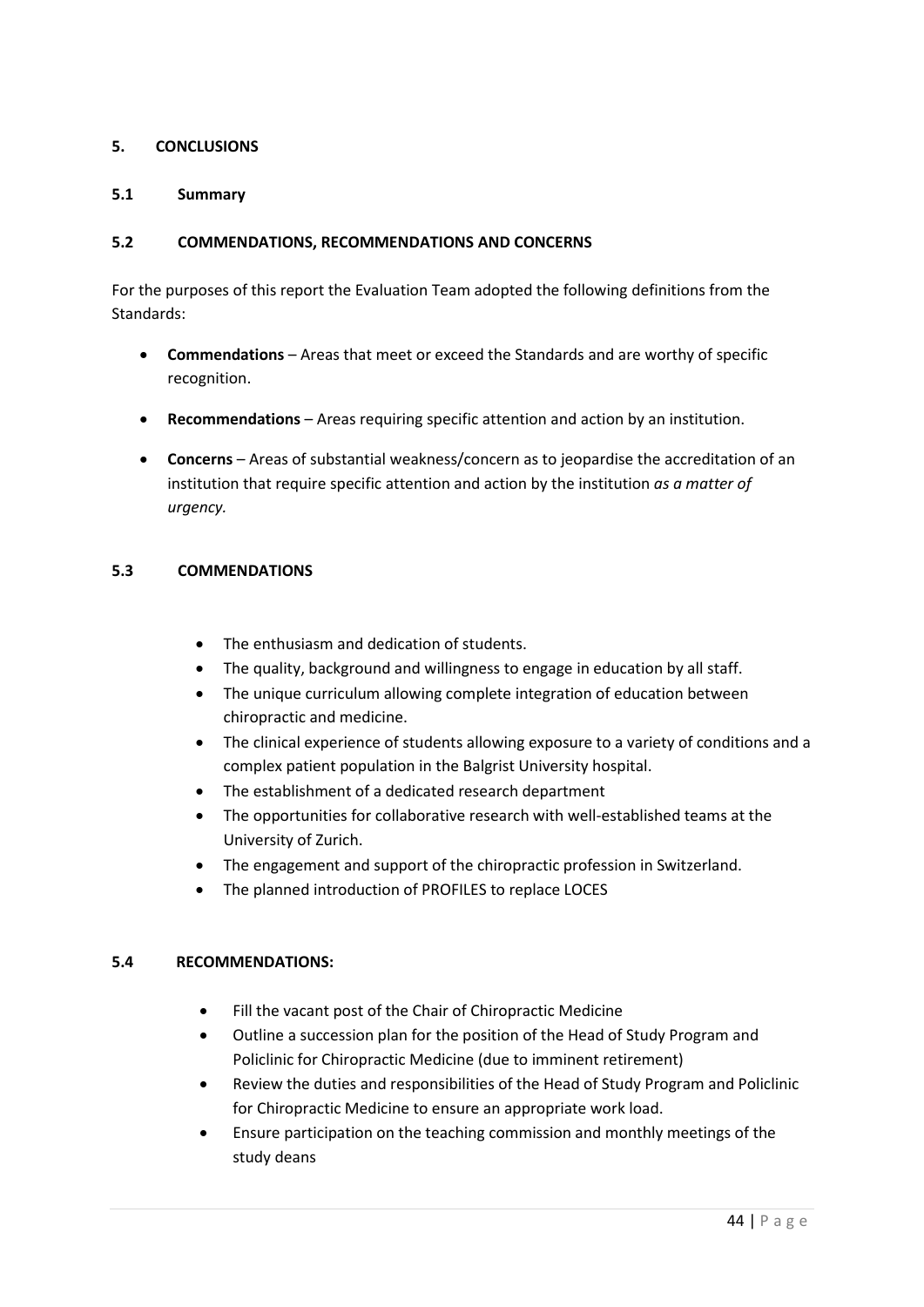# **5. CONCLUSIONS**

# **5.1 Summary**

# **5.2 COMMENDATIONS, RECOMMENDATIONS AND CONCERNS**

For the purposes of this report the Evaluation Team adopted the following definitions from the Standards:

- **Commendations** Areas that meet or exceed the Standards and are worthy of specific recognition.
- **Recommendations** Areas requiring specific attention and action by an institution.
- **Concerns**  Areas of substantial weakness/concern as to jeopardise the accreditation of an institution that require specific attention and action by the institution *as a matter of urgency.*

## <span id="page-44-0"></span>**5.3 COMMENDATIONS**

- The enthusiasm and dedication of students.
- The quality, background and willingness to engage in education by all staff.
- The unique curriculum allowing complete integration of education between chiropractic and medicine.
- The clinical experience of students allowing exposure to a variety of conditions and a complex patient population in the Balgrist University hospital.
- The establishment of a dedicated research department
- The opportunities for collaborative research with well-established teams at the University of Zurich.
- The engagement and support of the chiropractic profession in Switzerland.
- The planned introduction of PROFILES to replace LOCES

### **5.4 RECOMMENDATIONS:**

- Fill the vacant post of the Chair of Chiropractic Medicine
- Outline a succession plan for the position of the Head of Study Program and Policlinic for Chiropractic Medicine (due to imminent retirement)
- Review the duties and responsibilities of the Head of Study Program and Policlinic for Chiropractic Medicine to ensure an appropriate work load.
- Ensure participation on the teaching commission and monthly meetings of the study deans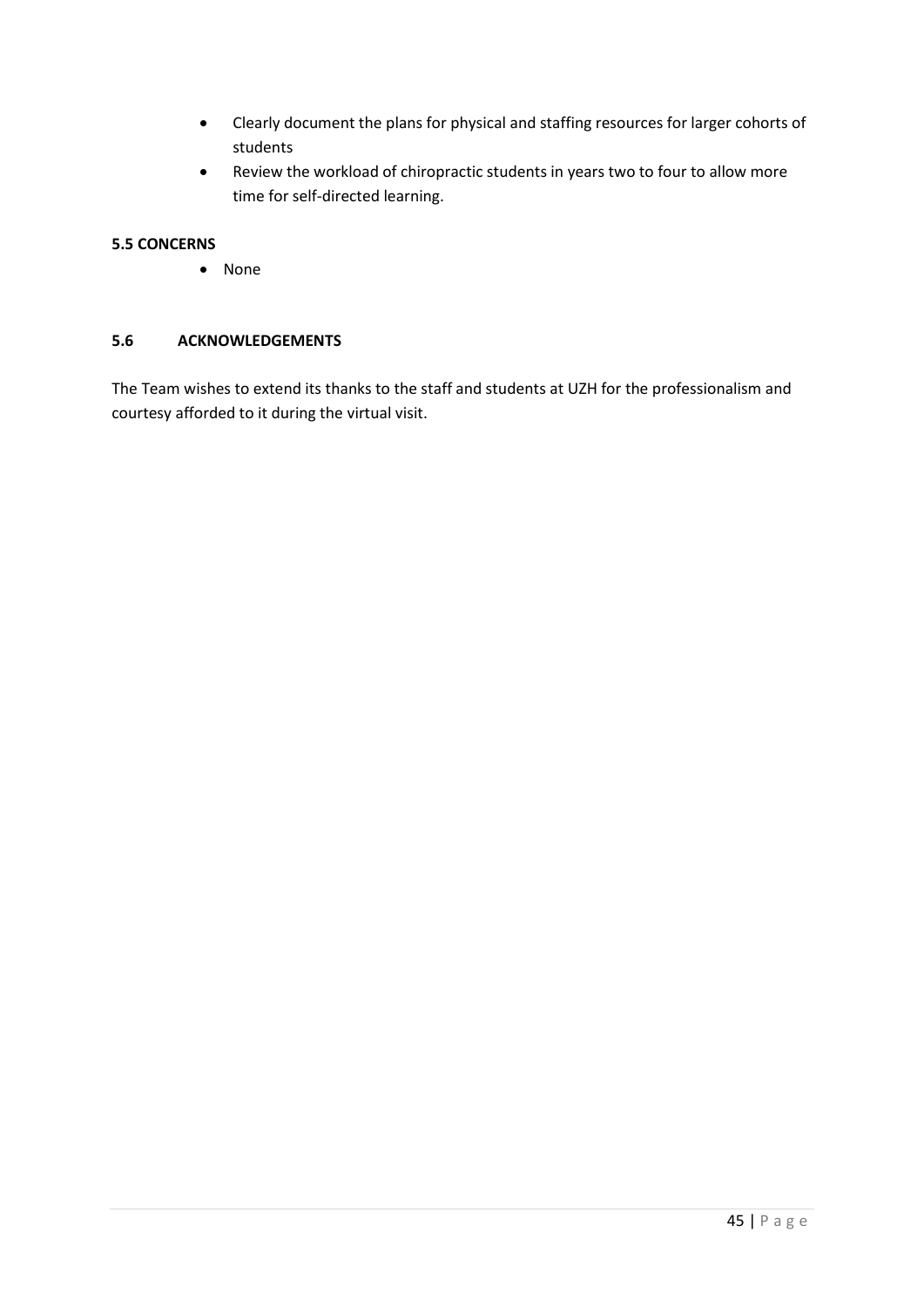- Clearly document the plans for physical and staffing resources for larger cohorts of students
- Review the workload of chiropractic students in years two to four to allow more time for self-directed learning.

## <span id="page-45-0"></span>**5.5 CONCERNS**

• None

## <span id="page-45-1"></span>**5.6 ACKNOWLEDGEMENTS**

<span id="page-45-2"></span>The Team wishes to extend its thanks to the staff and students at UZH for the professionalism and courtesy afforded to it during the virtual visit.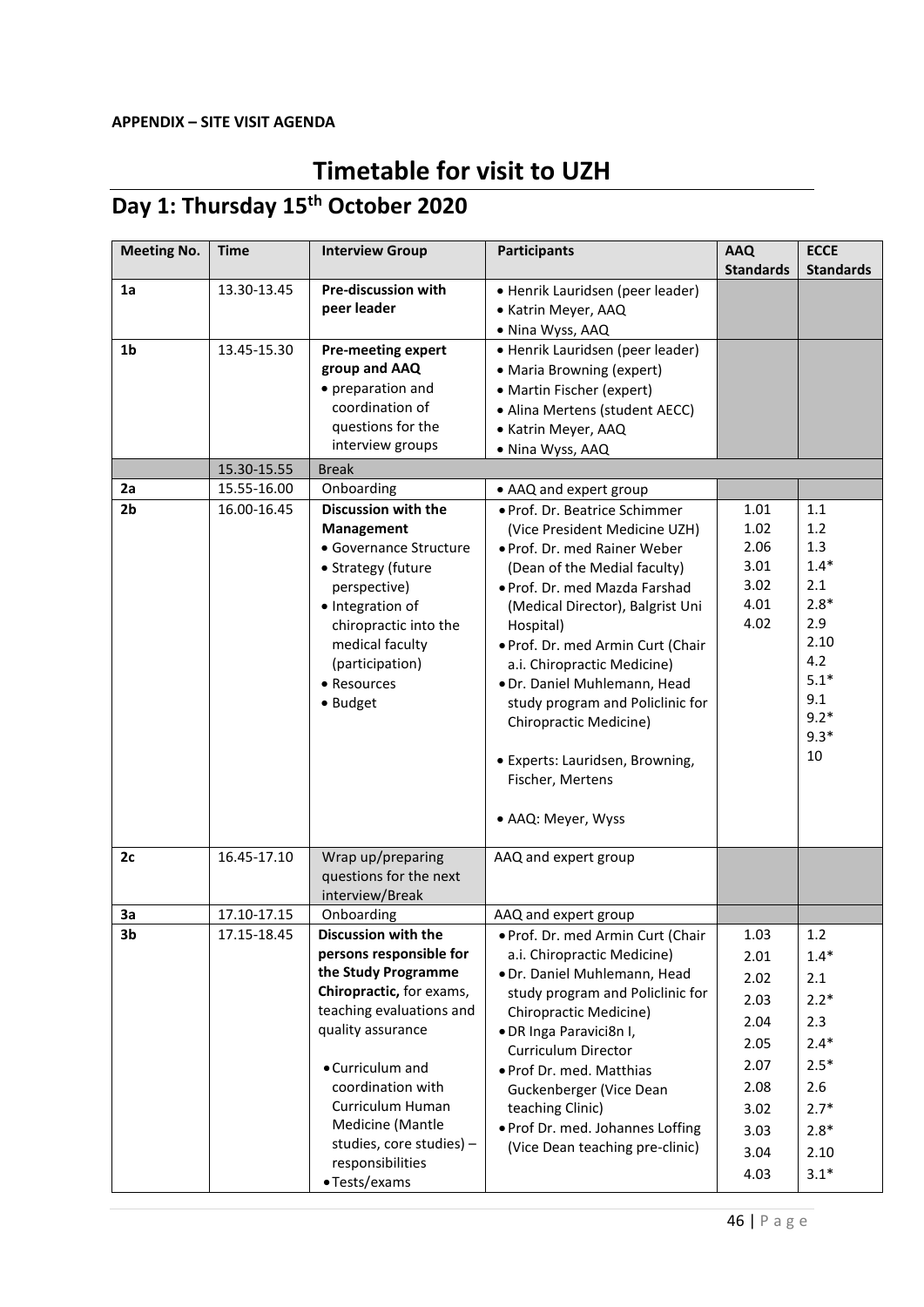# **Timetable for visit to UZH**

# **Day 1: Thursday 15th October 2020**

| <b>Meeting No.</b> | <b>Time</b> | <b>Interview Group</b>                       | <b>Participants</b>               | <b>AAQ</b>       | <b>ECCE</b>      |
|--------------------|-------------|----------------------------------------------|-----------------------------------|------------------|------------------|
|                    |             |                                              |                                   | <b>Standards</b> | <b>Standards</b> |
| 1a                 | 13.30-13.45 | <b>Pre-discussion with</b>                   | • Henrik Lauridsen (peer leader)  |                  |                  |
|                    |             | peer leader                                  | • Katrin Meyer, AAQ               |                  |                  |
|                    |             |                                              | · Nina Wyss, AAQ                  |                  |                  |
| 1 <sub>b</sub>     | 13.45-15.30 | <b>Pre-meeting expert</b>                    | · Henrik Lauridsen (peer leader)  |                  |                  |
|                    |             | group and AAQ                                | • Maria Browning (expert)         |                  |                  |
|                    |             | • preparation and                            | • Martin Fischer (expert)         |                  |                  |
|                    |             | coordination of                              | • Alina Mertens (student AECC)    |                  |                  |
|                    |             | questions for the                            | • Katrin Meyer, AAQ               |                  |                  |
|                    |             | interview groups                             | · Nina Wyss, AAQ                  |                  |                  |
|                    | 15.30-15.55 | <b>Break</b>                                 |                                   |                  |                  |
| 2a                 | 15.55-16.00 | Onboarding                                   | • AAQ and expert group            |                  |                  |
| 2 <sub>b</sub>     | 16.00-16.45 | Discussion with the                          | · Prof. Dr. Beatrice Schimmer     | 1.01             | 1.1              |
|                    |             | <b>Management</b>                            | (Vice President Medicine UZH)     | 1.02             | 1.2              |
|                    |             | • Governance Structure                       | . Prof. Dr. med Rainer Weber      | 2.06             | 1.3              |
|                    |             | • Strategy (future                           | (Dean of the Medial faculty)      | 3.01             | $1.4*$           |
|                    |             | perspective)                                 | · Prof. Dr. med Mazda Farshad     | 3.02             | 2.1              |
|                    |             | · Integration of                             | (Medical Director), Balgrist Uni  | 4.01             | $2.8*$           |
|                    |             | chiropractic into the                        | Hospital)                         | 4.02             | 2.9              |
|                    |             | medical faculty                              | . Prof. Dr. med Armin Curt (Chair |                  | 2.10             |
|                    |             | (participation)                              | a.i. Chiropractic Medicine)       |                  | 4.2              |
|                    |             | • Resources                                  | · Dr. Daniel Muhlemann, Head      |                  | $5.1*$           |
|                    |             | • Budget                                     | study program and Policlinic for  |                  | 9.1              |
|                    |             |                                              | Chiropractic Medicine)            |                  | $9.2*$           |
|                    |             |                                              |                                   |                  | $9.3*$           |
|                    |             |                                              | · Experts: Lauridsen, Browning,   |                  | 10               |
|                    |             |                                              | Fischer, Mertens                  |                  |                  |
|                    |             |                                              |                                   |                  |                  |
|                    |             |                                              | • AAQ: Meyer, Wyss                |                  |                  |
|                    |             |                                              |                                   |                  |                  |
| 2c                 | 16.45-17.10 | Wrap up/preparing                            | AAQ and expert group              |                  |                  |
|                    |             | questions for the next                       |                                   |                  |                  |
|                    |             | interview/Break                              |                                   |                  |                  |
| 3a                 | 17.10-17.15 | Onboarding                                   | AAQ and expert group              |                  |                  |
| 3b                 | 17.15-18.45 | Discussion with the                          | . Prof. Dr. med Armin Curt (Chair | 1.03             | 1.2              |
|                    |             | persons responsible for                      | a.i. Chiropractic Medicine)       | 2.01             | $1.4*$           |
|                    |             | the Study Programme                          | · Dr. Daniel Muhlemann, Head      | 2.02             | 2.1              |
|                    |             | Chiropractic, for exams,                     | study program and Policlinic for  | 2.03             | $2.2*$           |
|                    |             | teaching evaluations and                     | Chiropractic Medicine)            | 2.04             | 2.3              |
|                    |             | quality assurance                            | · DR Inga Paravici8n I,           | 2.05             | $2.4*$           |
|                    |             |                                              | <b>Curriculum Director</b>        | 2.07             | $2.5*$           |
|                    |             | • Curriculum and                             | · Prof Dr. med. Matthias          |                  |                  |
|                    |             | coordination with                            | Guckenberger (Vice Dean           | 2.08             | 2.6              |
|                    |             | Curriculum Human                             | teaching Clinic)                  | 3.02             | $2.7*$           |
|                    |             | Medicine (Mantle                             | . Prof Dr. med. Johannes Loffing  | 3.03             | $2.8*$           |
|                    |             | studies, core studies) -<br>responsibilities | (Vice Dean teaching pre-clinic)   | 3.04             | 2.10             |
|                    |             | • Tests/exams                                |                                   | 4.03             | $3.1*$           |
|                    |             |                                              |                                   |                  |                  |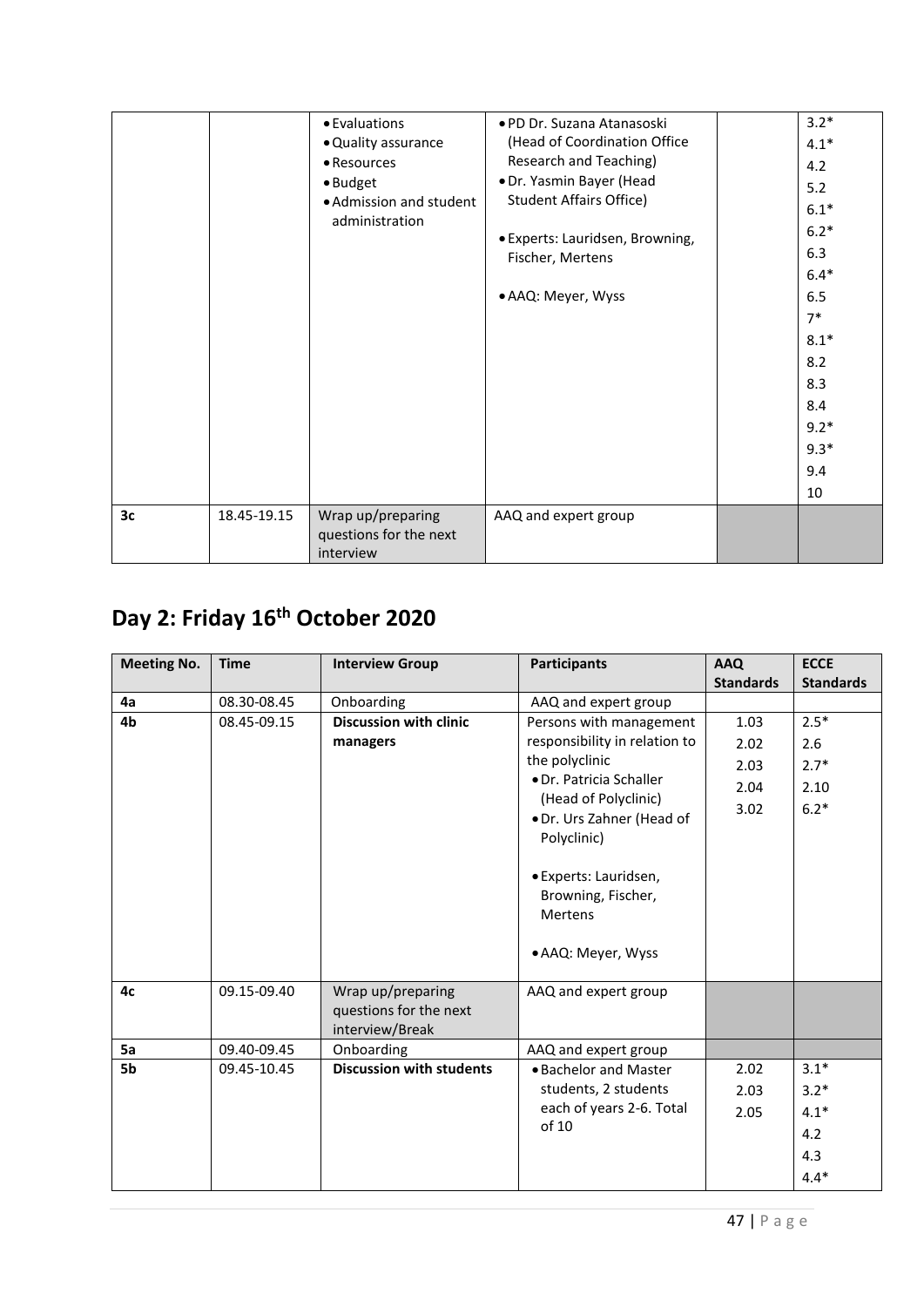|                |             | • Evaluations                                            | • PD Dr. Suzana Atanasoski      | $3.2*$ |
|----------------|-------------|----------------------------------------------------------|---------------------------------|--------|
|                |             | • Quality assurance                                      | (Head of Coordination Office    | $4.1*$ |
|                |             | • Resources                                              | Research and Teaching)          | 4.2    |
|                |             | · Budget                                                 | · Dr. Yasmin Bayer (Head        | 5.2    |
|                |             | • Admission and student                                  | <b>Student Affairs Office)</b>  | $6.1*$ |
|                |             | administration                                           | · Experts: Lauridsen, Browning, | $6.2*$ |
|                |             |                                                          | Fischer, Mertens                | 6.3    |
|                |             |                                                          |                                 | $6.4*$ |
|                |             |                                                          | • AAQ: Meyer, Wyss              | 6.5    |
|                |             |                                                          |                                 | $7*$   |
|                |             |                                                          |                                 | $8.1*$ |
|                |             |                                                          |                                 | 8.2    |
|                |             |                                                          |                                 | 8.3    |
|                |             |                                                          |                                 | 8.4    |
|                |             |                                                          |                                 | $9.2*$ |
|                |             |                                                          |                                 | $9.3*$ |
|                |             |                                                          |                                 | 9.4    |
|                |             |                                                          |                                 | 10     |
| 3 <sub>c</sub> | 18.45-19.15 | Wrap up/preparing<br>questions for the next<br>interview | AAQ and expert group            |        |

# **Day 2: Friday 16th October 2020**

| <b>Meeting No.</b> | <b>Time</b> | <b>Interview Group</b>                                         | <b>Participants</b>                                                                                                                                                                                                                                              | <b>AAQ</b>                           | <b>ECCE</b>                               |
|--------------------|-------------|----------------------------------------------------------------|------------------------------------------------------------------------------------------------------------------------------------------------------------------------------------------------------------------------------------------------------------------|--------------------------------------|-------------------------------------------|
|                    |             |                                                                |                                                                                                                                                                                                                                                                  | <b>Standards</b>                     | <b>Standards</b>                          |
| 4a                 | 08.30-08.45 | Onboarding                                                     | AAQ and expert group                                                                                                                                                                                                                                             |                                      |                                           |
| 4b                 | 08.45-09.15 | <b>Discussion with clinic</b><br>managers                      | Persons with management<br>responsibility in relation to<br>the polyclinic<br>· Dr. Patricia Schaller<br>(Head of Polyclinic)<br>· Dr. Urs Zahner (Head of<br>Polyclinic)<br>• Experts: Lauridsen,<br>Browning, Fischer,<br><b>Mertens</b><br>• AAQ: Meyer, Wyss | 1.03<br>2.02<br>2.03<br>2.04<br>3.02 | $2.5*$<br>2.6<br>$2.7*$<br>2.10<br>$6.2*$ |
| 4c                 | 09.15-09.40 | Wrap up/preparing<br>questions for the next<br>interview/Break | AAQ and expert group                                                                                                                                                                                                                                             |                                      |                                           |
| 5a                 | 09.40-09.45 | Onboarding                                                     | AAQ and expert group                                                                                                                                                                                                                                             |                                      |                                           |
| 5b                 | 09.45-10.45 | <b>Discussion with students</b>                                | • Bachelor and Master                                                                                                                                                                                                                                            | 2.02                                 | $3.1*$                                    |
|                    |             |                                                                | students, 2 students                                                                                                                                                                                                                                             | 2.03                                 | $3.2*$                                    |
|                    |             |                                                                | each of years 2-6. Total                                                                                                                                                                                                                                         | 2.05                                 | $4.1*$                                    |
|                    |             |                                                                | of 10                                                                                                                                                                                                                                                            |                                      | 4.2                                       |
|                    |             |                                                                |                                                                                                                                                                                                                                                                  |                                      | 4.3                                       |
|                    |             |                                                                |                                                                                                                                                                                                                                                                  |                                      | $4.4*$                                    |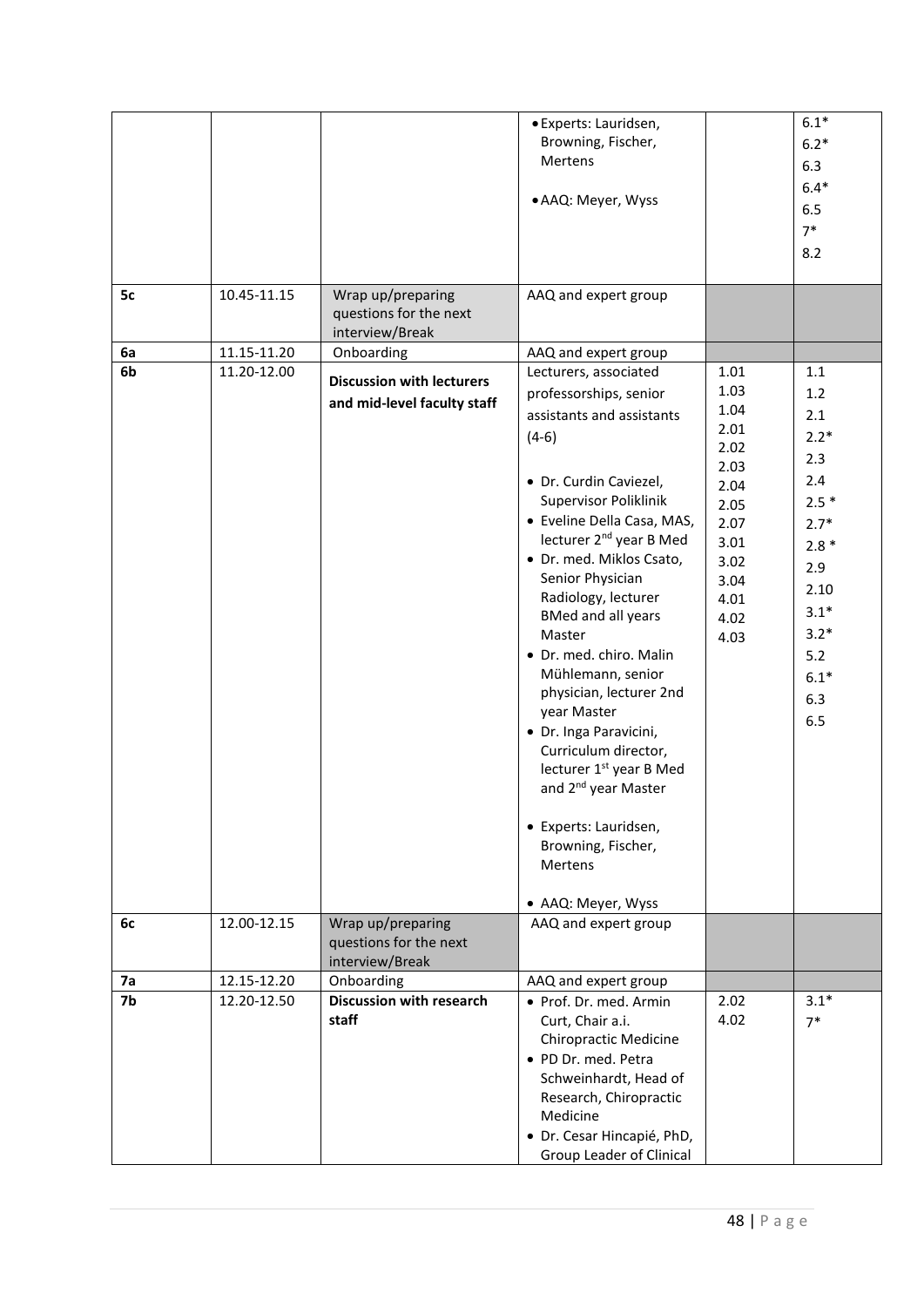|    |             |                                                                 | · Experts: Lauridsen,<br>Browning, Fischer,<br>Mertens<br>• AAQ: Meyer, Wyss                                                                                                                                                                                                                                                                                                                                                                                                                                                                                                                                         |                                                                                                                      | $6.1*$<br>$6.2*$<br>6.3<br>$6.4*$<br>6.5<br>$7*$<br>8.2                                                                                     |
|----|-------------|-----------------------------------------------------------------|----------------------------------------------------------------------------------------------------------------------------------------------------------------------------------------------------------------------------------------------------------------------------------------------------------------------------------------------------------------------------------------------------------------------------------------------------------------------------------------------------------------------------------------------------------------------------------------------------------------------|----------------------------------------------------------------------------------------------------------------------|---------------------------------------------------------------------------------------------------------------------------------------------|
| 5c | 10.45-11.15 | Wrap up/preparing<br>questions for the next<br>interview/Break  | AAQ and expert group                                                                                                                                                                                                                                                                                                                                                                                                                                                                                                                                                                                                 |                                                                                                                      |                                                                                                                                             |
| 6a | 11.15-11.20 | Onboarding                                                      | AAQ and expert group                                                                                                                                                                                                                                                                                                                                                                                                                                                                                                                                                                                                 |                                                                                                                      |                                                                                                                                             |
| 6b | 11.20-12.00 | <b>Discussion with lecturers</b><br>and mid-level faculty staff | Lecturers, associated<br>professorships, senior<br>assistants and assistants<br>$(4-6)$<br>• Dr. Curdin Caviezel,<br>Supervisor Poliklinik<br>• Eveline Della Casa, MAS,<br>lecturer 2 <sup>nd</sup> year B Med<br>· Dr. med. Miklos Csato,<br>Senior Physician<br>Radiology, lecturer<br><b>BMed and all years</b><br>Master<br>· Dr. med. chiro. Malin<br>Mühlemann, senior<br>physician, lecturer 2nd<br>year Master<br>· Dr. Inga Paravicini,<br>Curriculum director,<br>lecturer 1 <sup>st</sup> year B Med<br>and 2 <sup>nd</sup> year Master<br>• Experts: Lauridsen,<br>Browning, Fischer,<br><b>Mertens</b> | 1.01<br>1.03<br>1.04<br>2.01<br>2.02<br>2.03<br>2.04<br>2.05<br>2.07<br>3.01<br>3.02<br>3.04<br>4.01<br>4.02<br>4.03 | 1.1<br>$1.2$<br>2.1<br>$2.2*$<br>2.3<br>2.4<br>$2.5*$<br>$2.7*$<br>$2.8*$<br>2.9<br>2.10<br>$3.1*$<br>$3.2*$<br>5.2<br>$6.1*$<br>6.3<br>6.5 |
| 6с | 12.00-12.15 | Wrap up/preparing<br>questions for the next<br>interview/Break  | • AAQ: Meyer, Wyss<br>AAQ and expert group                                                                                                                                                                                                                                                                                                                                                                                                                                                                                                                                                                           |                                                                                                                      |                                                                                                                                             |
| 7a | 12.15-12.20 | Onboarding                                                      | AAQ and expert group                                                                                                                                                                                                                                                                                                                                                                                                                                                                                                                                                                                                 |                                                                                                                      |                                                                                                                                             |
| 7b | 12.20-12.50 | <b>Discussion with research</b><br>staff                        | • Prof. Dr. med. Armin<br>Curt, Chair a.i.<br><b>Chiropractic Medicine</b><br>· PD Dr. med. Petra<br>Schweinhardt, Head of<br>Research, Chiropractic<br>Medicine<br>• Dr. Cesar Hincapié, PhD,<br>Group Leader of Clinical                                                                                                                                                                                                                                                                                                                                                                                           | 2.02<br>4.02                                                                                                         | $3.1*$<br>$7*$                                                                                                                              |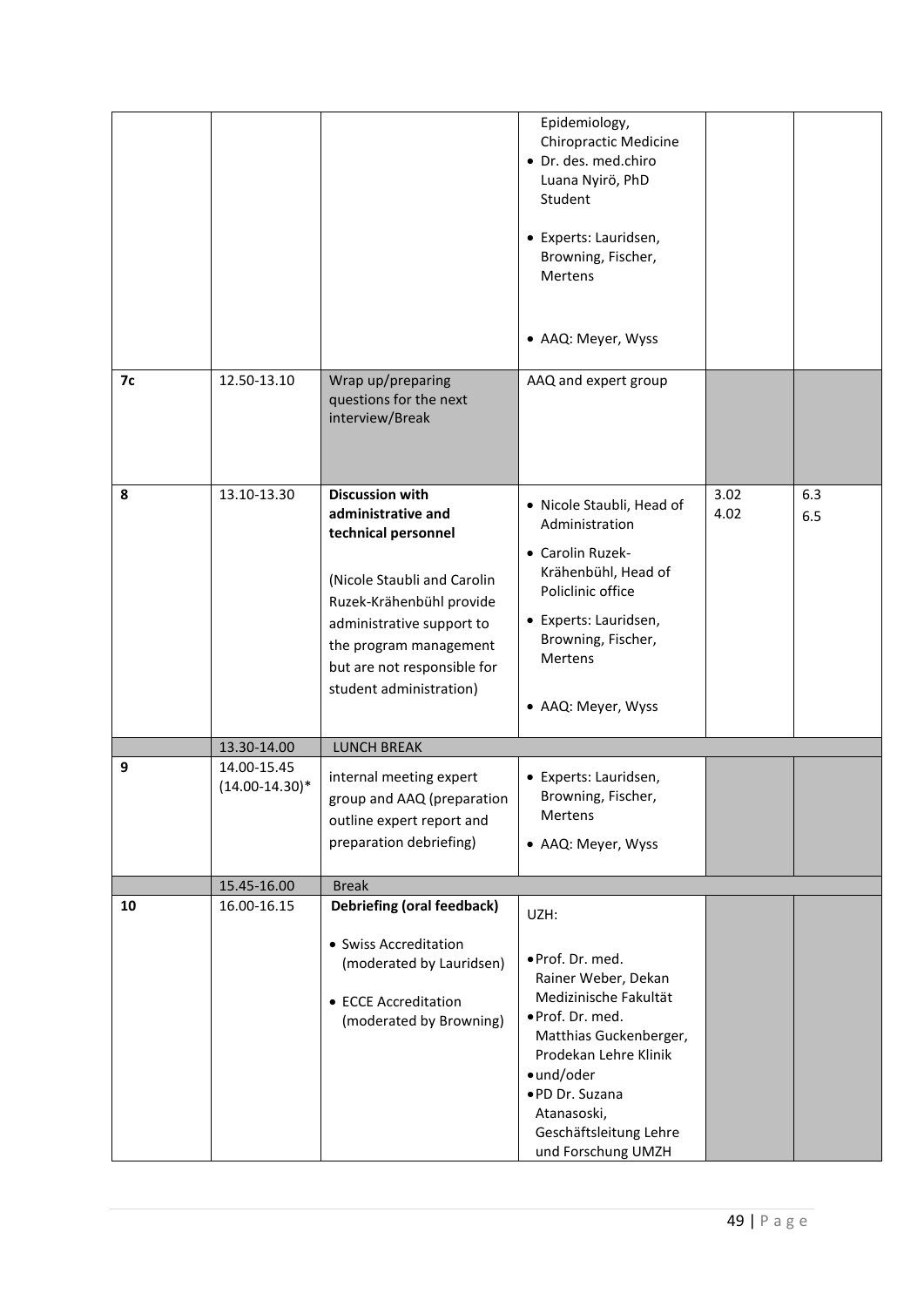|    |                                    |                                                                                                                                                                                                                                                 | Epidemiology,<br><b>Chiropractic Medicine</b><br>· Dr. des. med.chiro<br>Luana Nyirö, PhD<br>Student<br>• Experts: Lauridsen,<br>Browning, Fischer,<br>Mertens<br>• AAQ: Meyer, Wyss          |              |            |
|----|------------------------------------|-------------------------------------------------------------------------------------------------------------------------------------------------------------------------------------------------------------------------------------------------|-----------------------------------------------------------------------------------------------------------------------------------------------------------------------------------------------|--------------|------------|
| 7с | 12.50-13.10                        | Wrap up/preparing<br>questions for the next<br>interview/Break                                                                                                                                                                                  | AAQ and expert group                                                                                                                                                                          |              |            |
| 8  | 13.10-13.30                        | <b>Discussion with</b><br>administrative and<br>technical personnel<br>(Nicole Staubli and Carolin<br>Ruzek-Krähenbühl provide<br>administrative support to<br>the program management<br>but are not responsible for<br>student administration) | · Nicole Staubli, Head of<br>Administration<br>• Carolin Ruzek-<br>Krähenbühl, Head of<br>Policlinic office<br>• Experts: Lauridsen,<br>Browning, Fischer,<br>Mertens<br>• AAQ: Meyer, Wyss   | 3.02<br>4.02 | 6.3<br>6.5 |
|    | 13.30-14.00                        | <b>LUNCH BREAK</b>                                                                                                                                                                                                                              |                                                                                                                                                                                               |              |            |
| 9  | 14.00-15.45<br>$(14.00 - 14.30)^*$ | internal meeting expert<br>group and AAQ (preparation<br>outline expert report and<br>preparation debriefing)                                                                                                                                   | • Experts: Lauridsen,<br>Browning, Fischer,<br>Mertens<br>• AAQ: Meyer, Wyss                                                                                                                  |              |            |
|    | 15.45-16.00                        | <b>Break</b>                                                                                                                                                                                                                                    |                                                                                                                                                                                               |              |            |
| 10 | 16.00-16.15                        | <b>Debriefing (oral feedback)</b><br>• Swiss Accreditation<br>(moderated by Lauridsen)<br>• ECCE Accreditation<br>(moderated by Browning)                                                                                                       | UZH:<br>· Prof. Dr. med.<br>Rainer Weber, Dekan<br>Medizinische Fakultät<br>· Prof. Dr. med.<br>Matthias Guckenberger,<br>Prodekan Lehre Klinik<br>•und/oder<br>·PD Dr. Suzana<br>Atanasoski, |              |            |